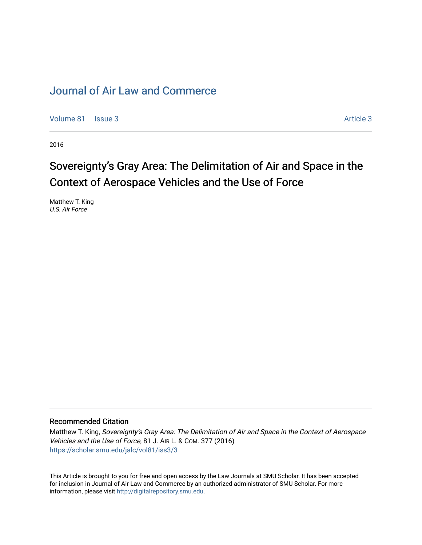## [Journal of Air Law and Commerce](https://scholar.smu.edu/jalc)

[Volume 81](https://scholar.smu.edu/jalc/vol81) | [Issue 3](https://scholar.smu.edu/jalc/vol81/iss3) Article 3

2016

# Sovereignty's Gray Area: The Delimitation of Air and Space in the Context of Aerospace Vehicles and the Use of Force

Matthew T. King U.S. Air Force

## Recommended Citation

Matthew T. King, Sovereignty's Gray Area: The Delimitation of Air and Space in the Context of Aerospace Vehicles and the Use of Force, 81 J. AIR L. & COM. 377 (2016) [https://scholar.smu.edu/jalc/vol81/iss3/3](https://scholar.smu.edu/jalc/vol81/iss3/3?utm_source=scholar.smu.edu%2Fjalc%2Fvol81%2Fiss3%2F3&utm_medium=PDF&utm_campaign=PDFCoverPages) 

This Article is brought to you for free and open access by the Law Journals at SMU Scholar. It has been accepted for inclusion in Journal of Air Law and Commerce by an authorized administrator of SMU Scholar. For more information, please visit [http://digitalrepository.smu.edu](http://digitalrepository.smu.edu/).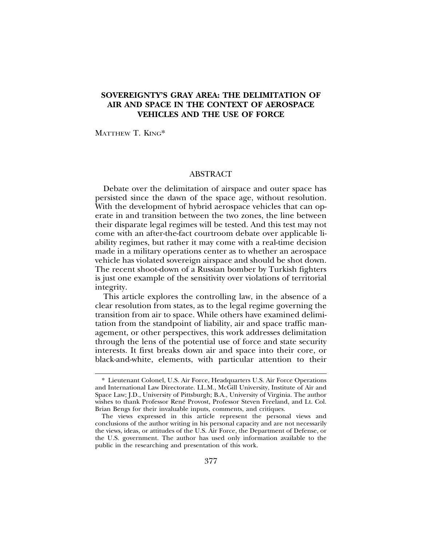## **SOVEREIGNTY'S GRAY AREA: THE DELIMITATION OF AIR AND SPACE IN THE CONTEXT OF AEROSPACE VEHICLES AND THE USE OF FORCE**

MATTHEW T. KING\*

## ABSTRACT

Debate over the delimitation of airspace and outer space has persisted since the dawn of the space age, without resolution. With the development of hybrid aerospace vehicles that can operate in and transition between the two zones, the line between their disparate legal regimes will be tested. And this test may not come with an after-the-fact courtroom debate over applicable liability regimes, but rather it may come with a real-time decision made in a military operations center as to whether an aerospace vehicle has violated sovereign airspace and should be shot down. The recent shoot-down of a Russian bomber by Turkish fighters is just one example of the sensitivity over violations of territorial integrity.

This article explores the controlling law, in the absence of a clear resolution from states, as to the legal regime governing the transition from air to space. While others have examined delimitation from the standpoint of liability, air and space traffic management, or other perspectives, this work addresses delimitation through the lens of the potential use of force and state security interests. It first breaks down air and space into their core, or black-and-white, elements, with particular attention to their

<sup>\*</sup> Lieutenant Colonel, U.S. Air Force, Headquarters U.S. Air Force Operations and International Law Directorate. LL.M., McGill University, Institute of Air and Space Law; J.D., University of Pittsburgh; B.A., University of Virginia. The author wishes to thank Professor René Provost, Professor Steven Freeland, and Lt. Col. Brian Bengs for their invaluable inputs, comments, and critiques.

The views expressed in this article represent the personal views and conclusions of the author writing in his personal capacity and are not necessarily the views, ideas, or attitudes of the U.S. Air Force, the Department of Defense, or the U.S. government. The author has used only information available to the public in the researching and presentation of this work.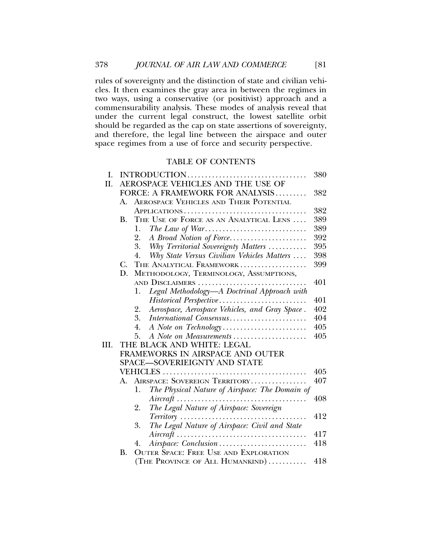rules of sovereignty and the distinction of state and civilian vehicles. It then examines the gray area in between the regimes in two ways, using a conservative (or positivist) approach and a commensurability analysis. These modes of analysis reveal that under the current legal construct, the lowest satellite orbit should be regarded as the cap on state assertions of sovereignty, and therefore, the legal line between the airspace and outer space regimes from a use of force and security perspective.

## TABLE OF CONTENTS

| I.   | INTRODUCTION<br>380               |                                                                                         |     |  |  |
|------|-----------------------------------|-----------------------------------------------------------------------------------------|-----|--|--|
| II.  | AEROSPACE VEHICLES AND THE USE OF |                                                                                         |     |  |  |
|      |                                   | FORCE: A FRAMEWORK FOR ANALYSIS                                                         | 382 |  |  |
|      | А.                                | <b>AEROSPACE VEHICLES AND THEIR POTENTIAL</b>                                           |     |  |  |
|      |                                   |                                                                                         | 382 |  |  |
|      | <b>B.</b>                         | THE USE OF FORCE AS AN ANALYTICAL LENS                                                  | 389 |  |  |
|      |                                   | 1.                                                                                      | 389 |  |  |
|      |                                   | A Broad Notion of Force<br>2.                                                           | 392 |  |  |
|      |                                   | 3.<br>Why Territorial Sovereignty Matters                                               | 395 |  |  |
|      |                                   | Why State Versus Civilian Vehicles Matters<br>4.                                        | 398 |  |  |
|      | $C_{\cdot}$                       | THE ANALYTICAL FRAMEWORK                                                                | 399 |  |  |
|      | D.                                | METHODOLOGY, TERMINOLOGY, ASSUMPTIONS,                                                  |     |  |  |
|      |                                   | AND DISCLAIMERS                                                                         | 401 |  |  |
|      |                                   | Legal Methodology-A Doctrinal Approach with<br>1.                                       |     |  |  |
|      |                                   | Historical Perspective                                                                  | 401 |  |  |
|      |                                   | Aerospace, Aerospace Vehicles, and Gray Space.<br>2.                                    | 402 |  |  |
|      |                                   | 3.<br>International Consensus                                                           | 404 |  |  |
|      |                                   | 4.                                                                                      | 405 |  |  |
|      |                                   | A Note on Measurements<br>5.                                                            | 405 |  |  |
| III. | THE BLACK AND WHITE: LEGAL        |                                                                                         |     |  |  |
|      | FRAMEWORKS IN AIRSPACE AND OUTER  |                                                                                         |     |  |  |
|      |                                   | SPACE-SOVERIEIGNTY AND STATE                                                            |     |  |  |
|      |                                   |                                                                                         | 405 |  |  |
|      | A.                                | AIRSPACE: SOVEREIGN TERRITORY                                                           | 407 |  |  |
|      |                                   | The Physical Nature of Airspace: The Domain of<br>1.                                    |     |  |  |
|      |                                   | $Aircraft \dots \dots \dots \dots \dots \dots \dots \dots \dots \dots$                  | 408 |  |  |
|      |                                   | The Legal Nature of Airspace: Sovereign<br>2.                                           |     |  |  |
|      |                                   |                                                                                         | 412 |  |  |
|      |                                   | The Legal Nature of Airspace: Civil and State<br>3.                                     |     |  |  |
|      |                                   | $Aircraft \ldots \ldots \ldots \ldots \ldots \ldots \ldots \ldots \ldots \ldots \ldots$ | 417 |  |  |
|      |                                   | Airspace: Conclusion<br>4.                                                              | 418 |  |  |
|      | В.                                | <b>OUTER SPACE: FREE USE AND EXPLORATION</b>                                            |     |  |  |
|      |                                   | (THE PROVINCE OF ALL HUMANKIND)                                                         | 418 |  |  |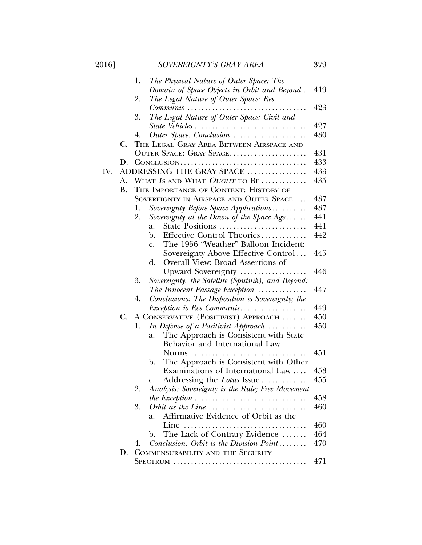| 2016] |    | SOVEREIGNTY'S GRAY AREA                                                               | 379 |
|-------|----|---------------------------------------------------------------------------------------|-----|
|       |    | The Physical Nature of Outer Space: The<br>1.                                         |     |
|       |    | Domain of Space Objects in Orbit and Beyond.                                          | 419 |
|       |    | 2.<br>The Legal Nature of Outer Space: Res                                            |     |
|       |    | Communis                                                                              | 423 |
|       |    | 3.<br>The Legal Nature of Outer Space: Civil and                                      |     |
|       |    | State Vehicles                                                                        | 427 |
|       |    | Outer Space: Conclusion<br>4.                                                         | 430 |
|       | C. | THE LEGAL GRAY AREA BETWEEN AIRSPACE AND                                              |     |
|       |    | OUTER SPACE: GRAY SPACE                                                               | 431 |
|       | D. |                                                                                       | 433 |
| IV.   |    | ADDRESSING THE GRAY SPACE                                                             | 433 |
|       | A. | WHAT IS AND WHAT OUGHT TO BE                                                          | 435 |
|       | В. | THE IMPORTANCE OF CONTEXT: HISTORY OF                                                 |     |
|       |    | SOVEREIGNTY IN AIRSPACE AND OUTER SPACE                                               | 437 |
|       |    | Sovereignty Before Space Applications<br>1.                                           | 437 |
|       |    | Sovereignty at the Dawn of the Space $Age \ldots$ .<br>2.                             | 441 |
|       |    | State Positions<br>a.                                                                 | 441 |
|       |    | Effective Control Theories<br>b.                                                      | 442 |
|       |    | The 1956 "Weather" Balloon Incident:<br>$\mathbf{C}$ .                                |     |
|       |    | Sovereignty Above Effective Control                                                   | 445 |
|       |    | Overall View: Broad Assertions of<br>d.                                               |     |
|       |    | Upward Sovereignty                                                                    | 446 |
|       |    | 3.<br>Sovereignty, the Satellite (Sputnik), and Beyond:                               |     |
|       |    | The Innocent Passage Exception                                                        | 447 |
|       |    | Conclusions: The Disposition is Sovereignty; the<br>4.                                |     |
|       |    | <i>Exception is Res Communis</i>                                                      | 449 |
|       | C. | A CONSERVATIVE (POSITIVIST) APPROACH                                                  | 450 |
|       |    | In Defense of a Positivist Approach<br>1.                                             | 450 |
|       |    | The Approach is Consistent with State<br>a.                                           |     |
|       |    | Behavior and International Law                                                        |     |
|       |    | Norms $\ldots$ .                                                                      | 451 |
|       |    | The Approach is Consistent with Other<br>b.                                           |     |
|       |    | Examinations of International Law                                                     | 453 |
|       |    | Addressing the Lotus Issue<br>c.                                                      | 455 |
|       |    | 2.<br>Analysis: Sovereignty is the Rule; Free Movement                                |     |
|       |    | the Exception $\ldots \ldots \ldots \ldots \ldots \ldots \ldots \ldots \ldots \ldots$ | 458 |
|       |    | Orbit as the Line $\dots\dots\dots\dots\dots\dots\dots\dots\dots\dots\dots$<br>3.     | 460 |
|       |    | Affirmative Evidence of Orbit as the<br>a.                                            |     |
|       |    | Line                                                                                  | 460 |
|       |    | The Lack of Contrary Evidence<br>b.                                                   | 464 |
|       |    | Conclusion: Orbit is the Division Point<br>4.                                         | 470 |
|       | D. | COMMENSURABILITY AND THE SECURITY                                                     |     |
|       |    |                                                                                       | 471 |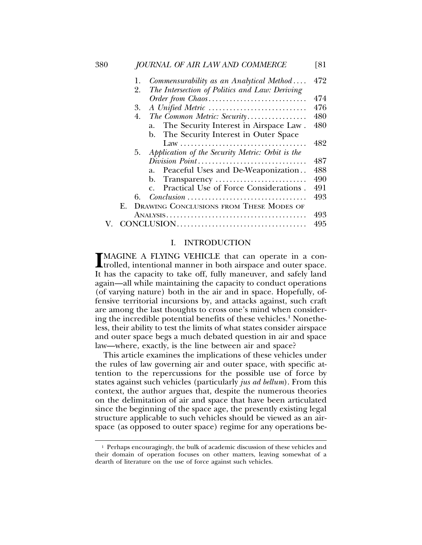| 380 |    | JOURNAL OF AIR LAW AND COMMERCE                                                         | [81] |
|-----|----|-----------------------------------------------------------------------------------------|------|
|     | 1. | Commensurability as an Analytical Method                                                | 472  |
|     | 2. | The Intersection of Politics and Law: Deriving                                          |      |
|     |    | Order from Chaos                                                                        | 474  |
|     | 3. | A Unified Metric                                                                        | 476  |
|     | 4. | The Common Metric: Security                                                             | 480  |
|     |    | a. The Security Interest in Airspace Law.                                               | 480  |
|     |    | b. The Security Interest in Outer Space                                                 |      |
|     |    |                                                                                         | 482  |
|     | 5. | Application of the Security Metric: Orbit is the                                        |      |
|     |    | Division Point                                                                          | 487  |
|     |    | Peaceful Uses and De-Weaponization<br>a.                                                | 488  |
|     |    | b. Transparency                                                                         | 490  |
|     |    | Practical Use of Force Considerations.                                                  | 491  |
|     | 6. |                                                                                         | 493  |
|     | F. | <b>DRAWING CONCLUSIONS FROM THESE MODES OF</b>                                          |      |
|     |    | $\text{ANALYSIS}\dots\dots\dots\dots\dots\dots\dots\dots\dots\dots\dots\dots\dots\dots$ | 493  |
|     |    |                                                                                         | 495  |
|     |    |                                                                                         |      |

## I. INTRODUCTION

MAGINE A FLYING VEHICLE that can operate in a controlled, intentional manner in both airspace and outer space. MAGINE A FLYING VEHICLE that can operate in a con-It has the capacity to take off, fully maneuver, and safely land again—all while maintaining the capacity to conduct operations (of varying nature) both in the air and in space. Hopefully, offensive territorial incursions by, and attacks against, such craft are among the last thoughts to cross one's mind when considering the incredible potential benefits of these vehicles.<sup>1</sup> Nonetheless, their ability to test the limits of what states consider airspace and outer space begs a much debated question in air and space law—where, exactly, is the line between air and space?

This article examines the implications of these vehicles under the rules of law governing air and outer space, with specific attention to the repercussions for the possible use of force by states against such vehicles (particularly *jus ad bellum*). From this context, the author argues that, despite the numerous theories on the delimitation of air and space that have been articulated since the beginning of the space age, the presently existing legal structure applicable to such vehicles should be viewed as an airspace (as opposed to outer space) regime for any operations be-

<sup>&</sup>lt;sup>1</sup> Perhaps encouragingly, the bulk of academic discussion of these vehicles and their domain of operation focuses on other matters, leaving somewhat of a dearth of literature on the use of force against such vehicles.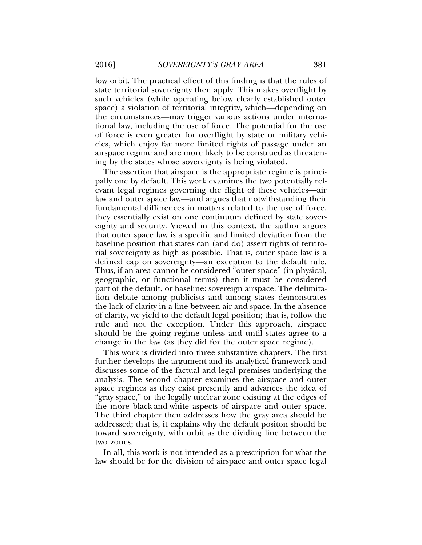low orbit. The practical effect of this finding is that the rules of state territorial sovereignty then apply. This makes overflight by such vehicles (while operating below clearly established outer space) a violation of territorial integrity, which—depending on the circumstances—may trigger various actions under international law, including the use of force. The potential for the use of force is even greater for overflight by state or military vehicles, which enjoy far more limited rights of passage under an airspace regime and are more likely to be construed as threatening by the states whose sovereignty is being violated.

The assertion that airspace is the appropriate regime is principally one by default. This work examines the two potentially relevant legal regimes governing the flight of these vehicles—air law and outer space law—and argues that notwithstanding their fundamental differences in matters related to the use of force, they essentially exist on one continuum defined by state sovereignty and security. Viewed in this context, the author argues that outer space law is a specific and limited deviation from the baseline position that states can (and do) assert rights of territorial sovereignty as high as possible. That is, outer space law is a defined cap on sovereignty—an exception to the default rule. Thus, if an area cannot be considered "outer space" (in physical, geographic, or functional terms) then it must be considered part of the default, or baseline: sovereign airspace. The delimitation debate among publicists and among states demonstrates the lack of clarity in a line between air and space. In the absence of clarity, we yield to the default legal position; that is, follow the rule and not the exception. Under this approach, airspace should be the going regime unless and until states agree to a change in the law (as they did for the outer space regime).

This work is divided into three substantive chapters. The first further develops the argument and its analytical framework and discusses some of the factual and legal premises underlying the analysis. The second chapter examines the airspace and outer space regimes as they exist presently and advances the idea of "gray space," or the legally unclear zone existing at the edges of the more black-and-white aspects of airspace and outer space. The third chapter then addresses how the gray area should be addressed; that is, it explains why the default positon should be toward sovereignty, with orbit as the dividing line between the two zones.

In all, this work is not intended as a prescription for what the law should be for the division of airspace and outer space legal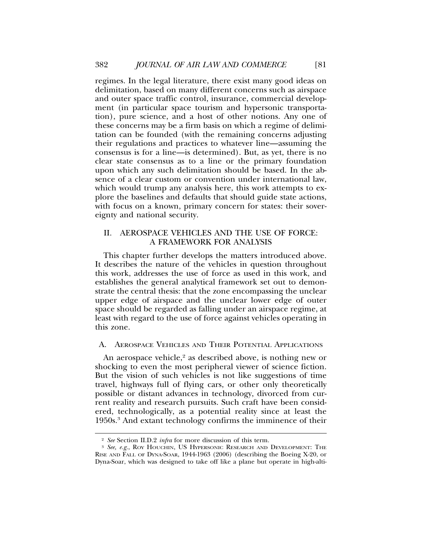regimes. In the legal literature, there exist many good ideas on delimitation, based on many different concerns such as airspace and outer space traffic control, insurance, commercial development (in particular space tourism and hypersonic transportation), pure science, and a host of other notions. Any one of these concerns may be a firm basis on which a regime of delimitation can be founded (with the remaining concerns adjusting their regulations and practices to whatever line—assuming the consensus is for a line—is determined). But, as yet, there is no clear state consensus as to a line or the primary foundation upon which any such delimitation should be based. In the absence of a clear custom or convention under international law, which would trump any analysis here, this work attempts to explore the baselines and defaults that should guide state actions, with focus on a known, primary concern for states: their sovereignty and national security.

## II. AEROSPACE VEHICLES AND THE USE OF FORCE: A FRAMEWORK FOR ANALYSIS

This chapter further develops the matters introduced above. It describes the nature of the vehicles in question throughout this work, addresses the use of force as used in this work, and establishes the general analytical framework set out to demonstrate the central thesis: that the zone encompassing the unclear upper edge of airspace and the unclear lower edge of outer space should be regarded as falling under an airspace regime, at least with regard to the use of force against vehicles operating in this zone.

## A. AEROSPACE VEHICLES AND THEIR POTENTIAL APPLICATIONS

An aerospace vehicle,<sup>2</sup> as described above, is nothing new or shocking to even the most peripheral viewer of science fiction. But the vision of such vehicles is not like suggestions of time travel, highways full of flying cars, or other only theoretically possible or distant advances in technology, divorced from current reality and research pursuits. Such craft have been considered, technologically, as a potential reality since at least the 1950s.<sup>3</sup> And extant technology confirms the imminence of their

<sup>2</sup> *See* Section II.D.2 *infra* for more discussion of this term.

<sup>3</sup> *See, e.g.*, ROY HOUCHIN, US HYPERSONIC RESEARCH AND DEVELOPMENT: THE RISE AND FALL OF DYNA-SOAR, 1944-1963 (2006) (describing the Boeing X-20, or Dyna-Soar, which was designed to take off like a plane but operate in high-alti-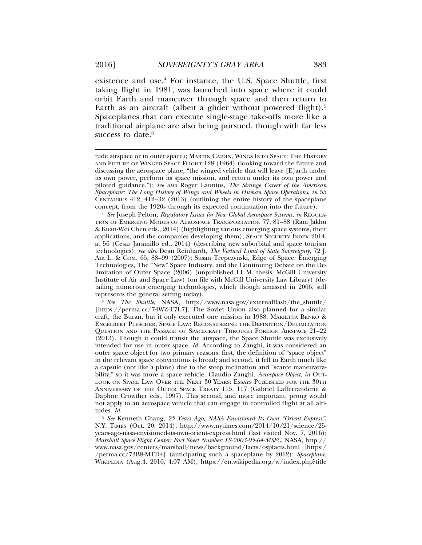existence and use.4 For instance, the U.S. Space Shuttle, first taking flight in 1981, was launched into space where it could orbit Earth and maneuver through space and then return to Earth as an aircraft (albeit a glider without powered flight).<sup>5</sup> Spaceplanes that can execute single-stage take-offs more like a traditional airplane are also being pursued, though with far less success to date.<sup>6</sup>

<sup>4</sup> *See* Joseph Pelton, *Regulatory Issues for New Global Aerospace Systems*, *in* REGULA-TION OF EMERGING MODES OF AEROSPACE TRANSPORTATION 77, 81–88 (Ram Jakhu & Kuan-Wei Chen eds., 2014) (highlighting various emerging space systems, their applications, and the companies developing them); SPACE SECURITY INDEX 2014, at 56 (Cesar Jaramillo ed., 2014) (describing new suborbital and space tourism technologies); *see also* Dean Reinhardt, *The Vertical Limit of State Sovereignty*, 72 J. AIR L. & COM. 65, 88–99 (2007); Susan Trepczynski, Edge of Space: Emerging Technologies, The "New" Space Industry, and the Continuing Debate on the Delimitation of Outer Space (2006) (unpublished LL.M. thesis, McGill University Institute of Air and Space Law) (on file with McGill University Law Library) (detailing numerous emerging technologies, which though amassed in 2006, still represents the general setting today).

<sup>5</sup> *See The Shuttle*, NASA, http://www.nasa.gov/externalflash/the\_shuttle/ [https://perma.cc/74WZ-T7L7]. The Soviet Union also planned for a similar craft, the Buran, but it only executed one mission in 1988. MARIETTA BENKO & ENGELBERT PLESCHER, SPACE LAW: RECONSIDERING THE DEFINITION/DELIMITATION QUESTION AND THE PASSAGE OF SPACECRAFT THROUGH FOREIGN AIRSPACE 21–22 (2013). Though it could transit the airspace, the Space Shuttle was exclusively intended for use in outer space. *Id.* According to Zanghi, it was considered an outer space object for two primary reasons: first, the definition of "space object" in the relevant space conventions is broad; and second, it fell to Earth much like a capsule (not like a plane) due to the steep inclination and "scarce maneuverability," so it was more a space vehicle. Claudio Zanghi, *Aerospace Object*, *in* OUT-LOOK ON SPACE LAW OVER THE NEXT 30 YEARS: ESSAYS PUBLISHED FOR THE 30TH ANNIVERSARY OF THE OUTER SPACE TREATY 115, 117 (Gabriel Lafferranderie & Daphne Crowther eds., 1997). This second, and more important, prong would not apply to an aerospace vehicle that can engage in controlled flight at all altitudes. *Id.*

<sup>6</sup> *See* Kenneth Chang, *25 Years Ago, NASA Envisioned Its Own "Orient Express"*, N.Y. TIMES (Oct. 20, 2014), http://www.nytimes.com/2014/10/21/science/25 years-ago-nasa-envisioned-its-own-orient-express.html (last visited Nov. 7, 2016); *Marshall Space Flight Center: Fact Sheet Number: FS-2003-05-64-MSFC*, NASA, http:// www.nasa.gov/centers/marshall/news/background/facts/ospfacts.html [https:/ /perma.cc/73B8-MTD4] (anticipating such a spaceplane by 2012); *Spaceplane*, WIKIPEDIA (Aug.4, 2016, 4:07 AM), https://en.wikipedia.org/w/index.php?title

tude airspace or in outer space); MARTIN CAIDIN, WINGS INTO SPACE: THE HISTORY AND FUTURE OF WINGED SPACE FLIGHT 128 (1964) (looking toward the future and discussing the aerospace plane, "the winged vehicle that will leave [E]arth under its own power, perform its space mission, and return under its own power and piloted guidance."); *see also* Roger Launius, *The Strange Career of the American Spaceplane: The Long History of Wings and Wheels in Human Space Operations*, *in* 55 CENTAURUS 412, 412–32 (2013) (outlining the entire history of the spaceplane concept, from the 1920s through its expected continuation into the future).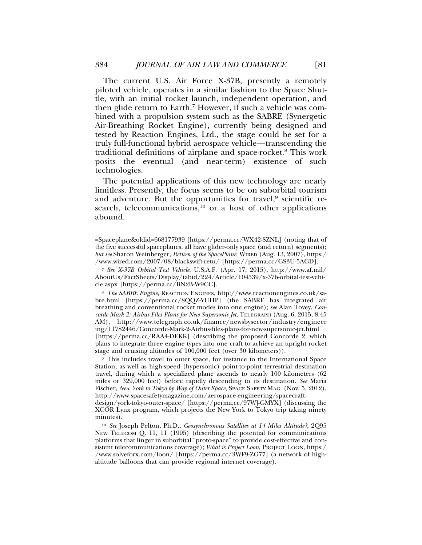The current U.S. Air Force X-37B, presently a remotely piloted vehicle, operates in a similar fashion to the Space Shuttle, with an initial rocket launch, independent operation, and then glide return to Earth.<sup>7</sup> However, if such a vehicle was combined with a propulsion system such as the SABRE (Synergetic Air-Breathing Rocket Engine), currently being designed and tested by Reaction Engines, Ltd., the stage could be set for a truly full-functional hybrid aerospace vehicle—transcending the traditional definitions of airplane and space-rocket.8 This work posits the eventual (and near-term) existence of such technologies.

The potential applications of this new technology are nearly limitless. Presently, the focus seems to be on suborbital tourism and adventure. But the opportunities for travel,<sup>9</sup> scientific research, telecommunications, $10$  or a host of other applications abound.

<sup>=</sup>Spaceplane&oldid=668177939 [https://perma.cc/WX42-SZNL] (noting that of the five successful spaceplanes, all have glider-only space (and return) segments); *but see* Sharon Weinberger, *Return of the SpacePlane*, WIRED (Aug. 13, 2007), https:/ /www.wired.com/2007/08/blackswift-retu/ [https://perma.cc/GS3U-5AGD].

<sup>7</sup> *See X-37B Orbital Test Vehicle*, U.S.A.F. (Apr. 17, 2015), http://www.af.mil/ AboutUs/FactSheets/Display/tabid/224/Article/104539/x-37b-orbital-test-vehicle.aspx [https://perma.cc/BN2B-W9CC].

<sup>8</sup> *The SABRE Engine*, REACTION ENGINES, http://www.reactionengines.co.uk/sabre.html [https://perma.cc/8QQZ-YUHP] (the SABRE has integrated air breathing and conventional rocket modes into one engine); *see* Alan Tovey, *Concorde Mark 2: Airbus Files Plans for New Supersonic Jet*, TELEGRAPH (Aug. 6, 2015, 8:45 AM), http://www.telegraph.co.uk/finance/newsbysector/industry/engineer ing/11782446/Concorde-Mark-2-Airbus-files-plans-for-new-supersonic-jet.html [https://perma.cc/RAA4-DEKK] (describing the proposed Concorde 2, which plans to integrate three engine types into one craft to achieve an upright rocket stage and cruising altitudes of 100,000 feet (over 30 kilometers)).

<sup>9</sup> This includes travel to outer space, for instance to the International Space Station, as well as high-speed (hypersonic) point-to-point terrestrial destination travel, during which a specialized plane ascends to nearly 100 kilometers (62 miles or 329,000 feet) before rapidly descending to its destination. *See* Maria Fischer, *New York to Tokyo by Way of Outer Space*, SPACE SAFETY MAG. (Nov. 5, 2012), http://www.spacesafetymagazine.com/aerospace-engineering/spacecraft-

design/york-tokyo-outer-space/ [https://perma.cc/97WJ-GMYX] (discussing the XCOR Lynx program, which projects the New York to Tokyo trip taking ninety minutes).

<sup>10</sup> *See* Joseph Pelton, Ph.D., *Geosynchronous Satellites at 14 Miles Altitude?*, 2Q95 NEW TELECOM Q. 11, 11 (1995) (describing the potential for communications platforms that linger in suborbital "proto-space" to provide cost-effective and consistent telecommunications coverage); *What is Project Loon*, Project Loon, https:/ /www.solveforx.com/loon/ [https://perma.cc/3WF9-ZG77] (a network of highaltitude balloons that can provide regional internet coverage).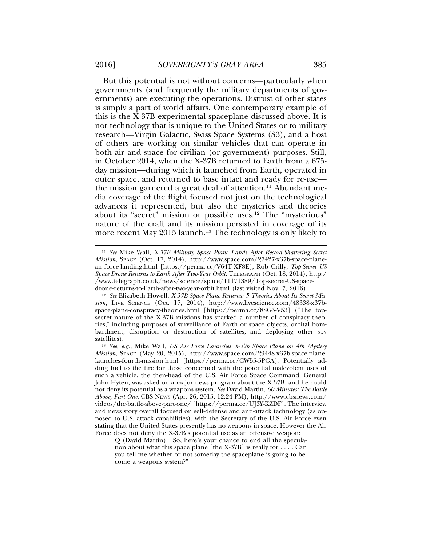But this potential is not without concerns—particularly when governments (and frequently the military departments of governments) are executing the operations. Distrust of other states is simply a part of world affairs. One contemporary example of this is the X-37B experimental spaceplane discussed above. It is not technology that is unique to the United States or to military research—Virgin Galactic, Swiss Space Systems (S3), and a host of others are working on similar vehicles that can operate in both air and space for civilian (or government) purposes. Still, in October 2014, when the X-37B returned to Earth from a 675 day mission—during which it launched from Earth, operated in outer space, and returned to base intact and ready for re-use the mission garnered a great deal of attention.<sup>11</sup> Abundant media coverage of the flight focused not just on the technological advances it represented, but also the mysteries and theories about its "secret" mission or possible uses.12 The "mysterious" nature of the craft and its mission persisted in coverage of its more recent May 2015 launch.<sup>13</sup> The technology is only likely to

<sup>11</sup> *See* Mike Wall, *X-37B Military Space Plane Lands After Record-Shattering Secret Mission*, SPACE (Oct. 17, 2014), http://www.space.com/27427-x37b-space-planeair-force-landing.html [https://perma.cc/V64T-XF8E]; Rob Crilly, *Top-Secret US Space Drone Returns to Earth After Two-Year Orbit*, TELEGRAPH (Oct. 18, 2014), http:/ /www.telegraph.co.uk/news/science/space/11171389/Top-secret-US-spacedrone-returns-to-Earth-after-two-year-orbit.html (last visited Nov. 7, 2016).

<sup>12</sup> *See* Elizabeth Howell, *X-37B Space Plane Returns: 5 Theories About Its Secret Mission*, LIVE SCIENCE (Oct. 17, 2014), http://www.livescience.com/48338-x37bspace-plane-conspiracy-theories.html [https://perma.cc/88G5-V53] ("The topsecret nature of the X-37B missions has sparked a number of conspiracy theories," including purposes of surveillance of Earth or space objects, orbital bombardment, disruption or destruction of satellites, and deploying other spy satellites).

<sup>13</sup> *See, e.g.*, Mike Wall, *US Air Force Launches X-37b Space Plane on 4th Mystery Mission*, SPACE (May 20, 2015), http://www.space.com/29448-x37b-space-planelaunches-fourth-mission.html [https://perma.cc/CW55-5PGA]. Potentially adding fuel to the fire for those concerned with the potential malevolent uses of such a vehicle, the then-head of the U.S. Air Force Space Command, General John Hyten, was asked on a major news program about the X-37B, and he could not deny its potential as a weapons system. *See* David Martin, *60 Minutes: The Battle Above, Part One*, CBS NEWS (Apr. 26, 2015, 12:24 PM), http://www.cbsnews.com/ videos/the-battle-above-part-one/ [https://perma.cc/UJ3Y-KZDF]. The interview and news story overall focused on self-defense and anti-attack technology (as opposed to U.S. attack capabilities), with the Secretary of the U.S. Air Force even stating that the United States presently has no weapons in space. However the Air Force does not deny the X-37B's potential use as an offensive weapon:

Q (David Martin): "So, here's your chance to end all the speculation about what this space plane [the X-37B] is really for . . . . Can you tell me whether or not someday the spaceplane is going to become a weapons system?"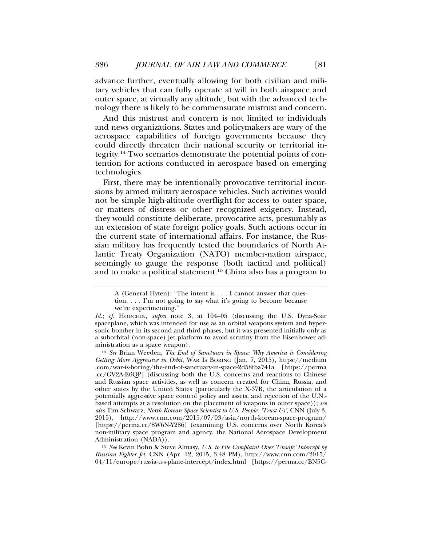advance further, eventually allowing for both civilian and military vehicles that can fully operate at will in both airspace and outer space, at virtually any altitude, but with the advanced technology there is likely to be commensurate mistrust and concern.

And this mistrust and concern is not limited to individuals and news organizations. States and policymakers are wary of the aerospace capabilities of foreign governments because they could directly threaten their national security or territorial integrity.14 Two scenarios demonstrate the potential points of contention for actions conducted in aerospace based on emerging technologies.

First, there may be intentionally provocative territorial incursions by armed military aerospace vehicles. Such activities would not be simple high-altitude overflight for access to outer space, or matters of distress or other recognized exigency. Instead, they would constitute deliberate, provocative acts, presumably as an extension of state foreign policy goals. Such actions occur in the current state of international affairs. For instance, the Russian military has frequently tested the boundaries of North Atlantic Treaty Organization (NATO) member-nation airspace, seemingly to gauge the response (both tactical and political) and to make a political statement.15 China also has a program to

<sup>15</sup> *See* Kevin Bohn & Steve Almasy, *U.S. to File Complaint Over 'Unsafe' Intercept by Russian Fighter Jet*, CNN (Apr. 12, 2015, 3:48 PM), http://www.cnn.com/2015/ 04/11/europe/russia-u-s-plane-intercept/index.html [https://perma.cc/BN5C-

A (General Hyten): "The intent is . . . I cannot answer that question. . . . I'm not going to say what it's going to become because we're experimenting."

*Id.*; *cf.* HOUCHIN, *supra* note 3, at 104–05 (discussing the U.S. Dyna-Soar spaceplane, which was intended for use as an orbital weapons system and hypersonic bomber in its second and third phases, but it was presented initially only as a suborbital (non-space) jet platform to avoid scrutiny from the Eisenhower administration as a space weapon).

<sup>14</sup> *See* Brian Weeden, *The End of Sanctuary in Space: Why America is Considering Getting More Aggressive in Orbit*, WAR IS BORING (Jan. 7, 2015), https://medium .com/war-is-boring/the-end-of-sanctuary-in-space-2d58fba741a [https://perma .cc/GV2A-E6QP] (discussing both the U.S. concerns and reactions to Chinese and Russian space activities, as well as concern created for China, Russia, and other states by the United States (particularly the X-37B, the articulation of a potentially aggressive space control policy and assets, and rejection of the U.N. based attempts at a resolution on the placement of weapons in outer space)); *see also* Tim Schwarz, *North Korean Space Scientist to U.S. People: 'Trust Us'*, CNN (July 3, 2015), http://www.cnn.com/2015/07/03/asia/north-korean-space-program/ [https://perma.cc/8W6N-Y286] (examining U.S. concerns over North Korea's non-military space program and agency, the National Aerospace Development Administration (NADA)).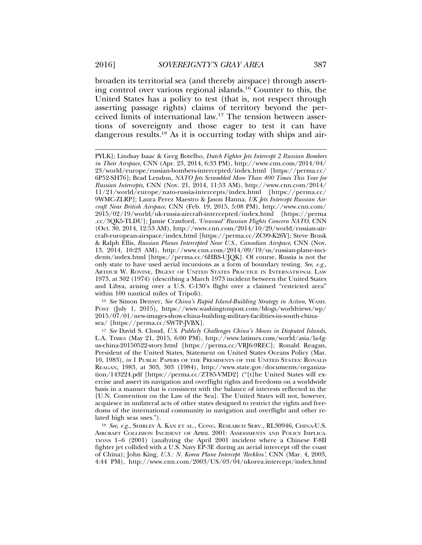broaden its territorial sea (and thereby airspace) through asserting control over various regional islands.16 Counter to this, the United States has a policy to test (that is, not respect through asserting passage rights) claims of territory beyond the perceived limits of international law.17 The tension between assertions of sovereignty and those eager to test it can have dangerous results.<sup>18</sup> As it is occurring today with ships and air-

<sup>16</sup> *See* Simon Denyer, *See China's Rapid Island-Building Strategy in Action*, WASH. POST (July 1, 2015), https://www.washingtonpost.com/blogs/worldviews/wp/ 2015/07/01/new-images-show-china-building-military-facilities-in-south-chinasea/ [https://perma.cc/SW7P-JVBX].

<sup>17</sup> *See* David S. Cloud, *U.S. Publicly Challenges China's Moves in Disputed Islands*, L.A. TIMES (May 21, 2015, 6:00 PM), http://www.latimes.com/world/asia/la-fgus-china-20150522-story.html [https://perma.cc/VRJ6-9REC]; Ronald Reagan, President of the United States, Statement on United States Oceans Policy (Mar. 10, 1983), *in* 1 PUBLIC PAPERS OF THE PRESIDENTS OF THE UNITED STATES: RONALD REAGAN, 1983, at 303, 303 (1984), http://www.state.gov/documents/organization/143224.pdf [https://perma.cc/ZT85-VMD2] ("[t]he United States will exercise and assert its navigation and overflight rights and freedoms on a worldwide basis in a manner that is consistent with the balance of interests reflected in the [U.N. Convention on the Law of the Sea]. The United States will not, however, acquiesce in unilateral acts of other states designed to restrict the rights and freedoms of the international community in navigation and overflight and other related high seas uses.").

<sup>18</sup> *See, e.g.*, SHIRLEY A. KAN ET AL., CONG. RESEARCH SERV., RL30946, CHINA-U.S. AIRCRAFT COLLISION INCIDENT OF APRIL 2001: ASSESSMENTS AND POLICY IMPLICA-TIONS 1–6 (2001) (analyzing the April 2001 incident where a Chinese F-8II fighter jet collided with a U.S. Navy EP-3E during an aerial intercept off the coast of China); John King, *U.S.: N. Korea Plane Intercept 'Reckless'*, CNN (Mar. 4, 2003, 4:44 PM), http://www.cnn.com/2003/US/03/04/nkorea.intercept/index.html

PYLK]; Lindsay Isaac & Greg Botelho, *Dutch Fighter Jets Intercept 2 Russian Bombers in Their Airspace*, CNN (Apr. 23, 2014, 6:33 PM), http://www.cnn.com/2014/04/ 23/world/europe/russian-bombers-intercepted/index.html [https://perma.cc/ 6P52-SH76]; Brad Lendon, *NATO Jets Scrambled More Than 400 Times This Year for Russian Intercepts*, CNN (Nov. 21, 2014, 11:53 AM), http://www.cnn.com/2014/ 11/21/world/europe/nato-russia-intercepts/index.html [https://perma.cc/ 9WMC-ZLRP]; Laura Perez Maestro & Jason Hanna, *UK Jets Intercept Russian Aircraft Near British Airspace*, CNN (Feb. 19, 2015, 5:08 PM), http://www.cnn.com/ 2015/02/19/world/uk-russia-aircraft-intercepted/index.html [https://perma .cc/3QK5-TLDU]; Jamie Crawford, *'Unusual' Russian Flights Concern NATO*, CNN (Oct. 30, 2014, 12:53 AM), http://www.cnn.com/2014/10/29/world/russian-aircraft-european-airspace/index.html [https://perma.cc/ZC99-K26Y]; Steve Brusk & Ralph Ellis, *Russian Planes Intercepted Near U.S., Canadian Airspace*, CNN (Nov. 13, 2014, 10:23 AM), http://www.cnn.com/2014/09/19/us/russian-plane-incidents/index.html [https://perma.cc/6HBS-UJQK]. Of course, Russia is not the only state to have used aerial incursions as a form of boundary testing. *See, e.g.*, ARTHUR W. ROVINE, DIGEST OF UNITED STATES PRACTICE IN INTERNATIONAL LAW 1973, at 302 (1974) (describing a March 1973 incident between the United States and Libya, arising over a U.S. C-130's flight over a claimed "restricted area" within 100 nautical miles of Tripoli).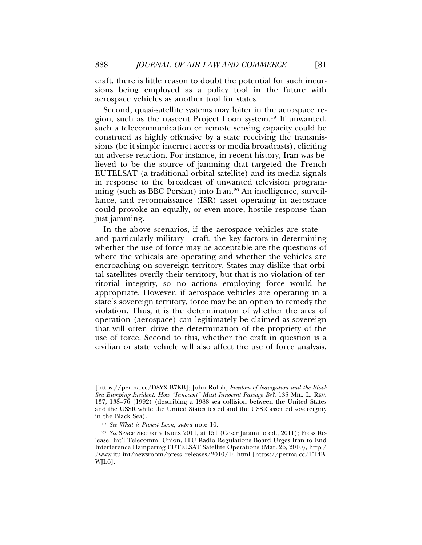craft, there is little reason to doubt the potential for such incursions being employed as a policy tool in the future with aerospace vehicles as another tool for states.

Second, quasi-satellite systems may loiter in the aerospace region, such as the nascent Project Loon system.19 If unwanted, such a telecommunication or remote sensing capacity could be construed as highly offensive by a state receiving the transmissions (be it simple internet access or media broadcasts), eliciting an adverse reaction. For instance, in recent history, Iran was believed to be the source of jamming that targeted the French EUTELSAT (a traditional orbital satellite) and its media signals in response to the broadcast of unwanted television programming (such as BBC Persian) into Iran.<sup>20</sup> An intelligence, surveillance, and reconnaissance (ISR) asset operating in aerospace could provoke an equally, or even more, hostile response than just jamming.

In the above scenarios, if the aerospace vehicles are state and particularly military—craft, the key factors in determining whether the use of force may be acceptable are the questions of where the vehicals are operating and whether the vehicles are encroaching on sovereign territory. States may dislike that orbital satellites overfly their territory, but that is no violation of territorial integrity, so no actions employing force would be appropriate. However, if aerospace vehicles are operating in a state's sovereign territory, force may be an option to remedy the violation. Thus, it is the determination of whether the area of operation (aerospace) can legitimately be claimed as sovereign that will often drive the determination of the propriety of the use of force. Second to this, whether the craft in question is a civilian or state vehicle will also affect the use of force analysis.

<sup>[</sup>https://perma.cc/D8YX-B7KB]; John Rolph, *Freedom of Navigation and the Black Sea Bumping Incident: How "Innocent" Must Innocent Passage Be?*, 135 MIL. L. REV. 137, 138–76 (1992) (describing a 1988 sea collision between the United States and the USSR while the United States tested and the USSR asserted sovereignty in the Black Sea).

<sup>19</sup> *See What is Project Loon*, *supra* note 10.

<sup>20</sup> *See* SPACE SECURITY INDEX 2011, at 151 (Cesar Jaramillo ed., 2011); Press Release, Int'l Telecomm. Union, ITU Radio Regulations Board Urges Iran to End Interference Hampering EUTELSAT Satellite Operations (Mar. 26, 2010), http:/ /www.itu.int/newsroom/press\_releases/2010/14.html [https://perma.cc/TT4B-WJL6].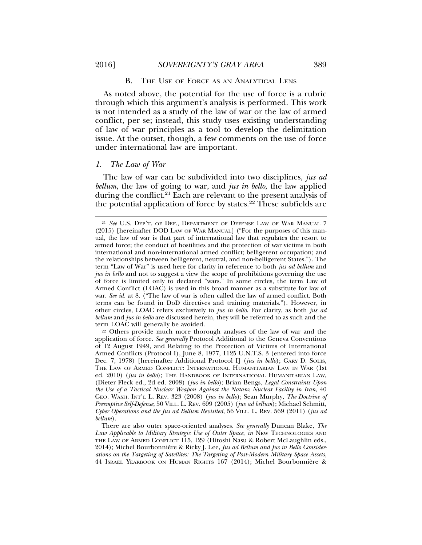#### B. THE USE OF FORCE AS AN ANALYTICAL LENS

As noted above, the potential for the use of force is a rubric through which this argument's analysis is performed. This work is not intended as a study of the law of war or the law of armed conflict, per se; instead, this study uses existing understanding of law of war principles as a tool to develop the delimitation issue. At the outset, though, a few comments on the use of force under international law are important.

#### *1. The Law of War*

The law of war can be subdivided into two disciplines, *jus ad bellum*, the law of going to war, and *jus in bello*, the law applied during the conflict.21 Each are relevant to the present analysis of the potential application of force by states. $22$  These subfields are

<sup>22</sup> Others provide much more thorough analyses of the law of war and the application of force. *See generally* Protocol Additional to the Geneva Conventions of 12 August 1949, and Relating to the Protection of Victims of International Armed Conflicts (Protocol I), June 8, 1977, 1125 U.N.T.S. 3 (entered into force Dec. 7, 1978) [hereinafter Additional Protocol I] (*jus in bello*); GARY D. SOLIS, THE LAW OF ARMED CONFLICT: INTERNATIONAL HUMANITARIAN LAW IN WAR (1st ed. 2010) (*jus in bello*); THE HANDBOOK OF INTERNATIONAL HUMANITARIAN LAW, (Dieter Fleck ed., 2d ed. 2008) (*jus in bello*); Brian Bengs, *Legal Constraints Upon the Use of a Tactical Nuclear Weapon Against the Natanz Nuclear Facility in Iran*, 40 GEO. WASH. INT'L L. REV. 323 (2008) (*jus in bello*); Sean Murphy, *The Doctrine of Preemptive Self-Defense*, 50 VILL. L. REV. 699 (2005) (*jus ad bellum*); Michael Schmitt, *Cyber Operations and the Jus ad Bellum Revisited*, 56 VILL. L. REV. 569 (2011) (*jus ad bellum*).

<sup>21</sup> *See* U.S. DEP'T. OF DEF., DEPARTMENT OF DEFENSE LAW OF WAR MANUAL 7 (2015) [hereinafter DOD LAW OF WAR MANUAL] ("For the purposes of this manual, the law of war is that part of international law that regulates the resort to armed force; the conduct of hostilities and the protection of war victims in both international and non-international armed conflict; belligerent occupation; and the relationships between belligerent, neutral, and non-belligerent States."). The term "Law of War" is used here for clarity in reference to both *jus ad bellum* and *jus in bello* and not to suggest a view the scope of prohibitions governing the use of force is limited only to declared "wars." In some circles, the term Law of Armed Conflict (LOAC) is used in this broad manner as a substitute for law of war. *See id.* at 8. ("The law of war is often called the law of armed conflict. Both terms can be found in DoD directives and training materials."). However, in other circles, LOAC refers exclusively to *jus in bello*. For clarity, as both *jus ad bellum* and *jus in bello* are discussed herein, they will be referred to as such and the term LOAC will generally be avoided.

There are also outer space-oriented analyses. *See generally* Duncan Blake, *The Law Applicable to Military Strategic Use of Outer Space*, *in* NEW TECHNOLOGIES AND THE LAW OF ARMED CONFLICT 115, 129 (Hitoshi Nasu & Robert McLaughlin eds., 2014); Michel Bourbonnière & Ricky J. Lee, Jus ad Bellum and Jus in Bello Consider*ations on the Targeting of Satellites: The Targeting of Post-Modern Military Space Assets*, 44 ISRAEL YEARBOOK ON HUMAN RIGHTS 167 (2014); Michel Bourbonniere & `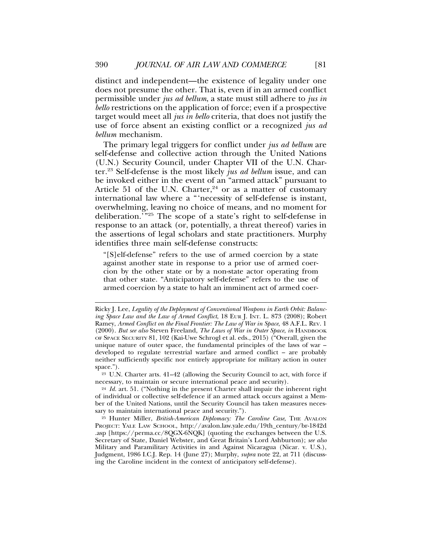distinct and independent—the existence of legality under one does not presume the other. That is, even if in an armed conflict permissible under *jus ad bellum*, a state must still adhere to *jus in bello* restrictions on the application of force; even if a prospective target would meet all *jus in bello* criteria, that does not justify the use of force absent an existing conflict or a recognized *jus ad bellum* mechanism.

The primary legal triggers for conflict under *jus ad bellum* are self-defense and collective action through the United Nations (U.N.) Security Council, under Chapter VII of the U.N. Charter.23 Self-defense is the most likely *jus ad bellum* issue, and can be invoked either in the event of an "armed attack" pursuant to Article 51 of the U.N. Charter,  $24$  or as a matter of customary international law where a "'necessity of self-defense is instant, overwhelming, leaving no choice of means, and no moment for deliberation.'"25 The scope of a state's right to self-defense in response to an attack (or, potentially, a threat thereof) varies in the assertions of legal scholars and state practitioners. Murphy identifies three main self-defense constructs:

"[S]elf-defense" refers to the use of armed coercion by a state against another state in response to a prior use of armed coercion by the other state or by a non-state actor operating from that other state. "Anticipatory self-defense" refers to the use of armed coercion by a state to halt an imminent act of armed coer-

<sup>23</sup> U.N. Charter arts. 41–42 (allowing the Security Council to act, with force if necessary, to maintain or secure international peace and security).

Ricky J. Lee, *Legality of the Deployment of Conventional Weapons in Earth Orbit: Balancing Space Law and the Law of Armed Conflict*, 18 EUR J. INT. L. 873 (2008); Robert Ramey, *Armed Conflict on the Final Frontier: The Law of War in Space*, 48 A.F.L. REV. 1 (2000). *But see also* Steven Freeland, *The Laws of War in Outer Space*, *in* HANDBOOK OF SPACE SECURITY 81, 102 (Kai-Uwe Schrogl et al. eds., 2015) ("Overall, given the unique nature of outer space, the fundamental principles of the laws of war – developed to regulate terrestrial warfare and armed conflict – are probably neither sufficiently specific nor entirely appropriate for military action in outer space.").

<sup>24</sup> *Id.* art. 51. ("Nothing in the present Charter shall impair the inherent right of individual or collective self-defence if an armed attack occurs against a Member of the United Nations, until the Security Council has taken measures necessary to maintain international peace and security.").

<sup>&</sup>lt;sup>25</sup> Hunter Miller, *British-American Diplomacy: The Caroline Case*, THE AVALON PROJECT: YALE LAW SCHOOL, http://avalon.law.yale.edu/19th\_century/br-1842d .asp [https://perma.cc/8QGX-6NQK] (quoting the exchanges between the U.S. Secretary of State, Daniel Webster, and Great Britain's Lord Ashburton); *see also* Military and Paramilitary Activities in and Against Nicaragua (Nicar. v. U.S.), Judgment, 1986 I.C.J. Rep. 14 (June 27); Murphy, *supra* note 22, at 711 (discussing the Caroline incident in the context of anticipatory self-defense).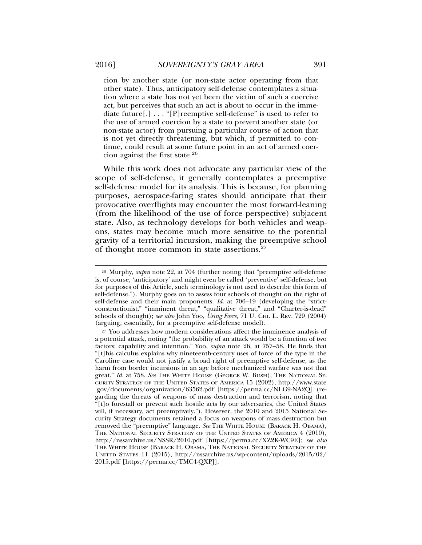cion by another state (or non-state actor operating from that other state). Thus, anticipatory self-defense contemplates a situation where a state has not yet been the victim of such a coercive act, but perceives that such an act is about to occur in the immediate future[.] . . . "[P]reemptive self-defense" is used to refer to the use of armed coercion by a state to prevent another state (or non-state actor) from pursuing a particular course of action that is not yet directly threatening, but which, if permitted to continue, could result at some future point in an act of armed coercion against the first state.26

While this work does not advocate any particular view of the scope of self-defense, it generally contemplates a preemptive self-defense model for its analysis. This is because, for planning purposes, aerospace-faring states should anticipate that their provocative overflights may encounter the most forward-leaning (from the likelihood of the use of force perspective) subjacent state. Also, as technology develops for both vehicles and weapons, states may become much more sensitive to the potential gravity of a territorial incursion, making the preemptive school of thought more common in state assertions.<sup>27</sup>

<sup>26</sup> Murphy, *supra* note 22, at 704 (further noting that "preemptive self-defense is, of course, 'anticipatory' and might even be called 'preventive' self-defense, but for purposes of this Article, such terminology is not used to describe this form of self-defense."). Murphy goes on to assess four schools of thought on the right of self-defense and their main proponents. *Id.* at 706–19 (developing the "strictconstructionist," "imminent threat," "qualitative threat," and "Charter-is-dead" schools of thought); *see also* John Yoo, *Using Force*, 71 U. CHI. L. REV. 729 (2004) (arguing, essentially, for a preemptive self-defense model).

<sup>&</sup>lt;sup>27</sup> Yoo addresses how modern considerations affect the imminence analysis of a potential attack, noting "the probability of an attack would be a function of two factors: capability and intention." Yoo, *supra* note 26, at 757–58. He finds that "[t]his calculus explains why nineteenth-century uses of force of the type in the Caroline case would not justify a broad right of preemptive self-defense, as the harm from border incursions in an age before mechanized warfare was not that great." *Id.* at 758. *See* THE WHITE HOUSE (GEORGE W. BUSH), THE NATIONAL SE-CURITY STRATEGY OF THE UNITED STATES OF AMERICA 15 (2002), http://www.state .gov/documents/organization/63562.pdf [https://perma.cc/NLG9-NA2Q] (regarding the threats of weapons of mass destruction and terrorism, noting that "[t]o forestall or prevent such hostile acts by our adversaries, the United States will, if necessary, act preemptively."). However, the 2010 and 2015 National Security Strategy documents retained a focus on weapons of mass destruction but removed the "preemptive" language. See THE WHITE HOUSE (BARACK H. OBAMA), THE NATIONAL SECURITY STRATEGY OF THE UNITED STATES OF AMERICA 4 (2010), http://nssarchive.us/NSSR/2010.pdf [https://perma.cc/XZ2K-WC9E]; *see also* THE WHITE HOUSE (BARACK H. OBAMA, THE NATIONAL SECURITY STRATEGY OF THE UNITED STATES 11 (2015), http://nssarchive.us/wp-content/uploads/2015/02/ 2015.pdf [https://perma.cc/TMC4-QXPJ].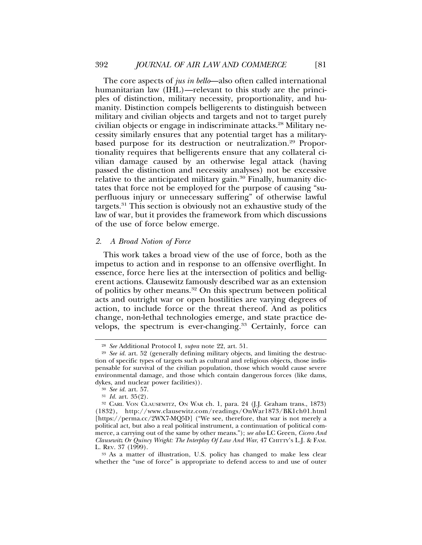The core aspects of *jus in bello*—also often called international humanitarian law (IHL)—relevant to this study are the principles of distinction, military necessity, proportionality, and humanity. Distinction compels belligerents to distinguish between military and civilian objects and targets and not to target purely civilian objects or engage in indiscriminate attacks.28 Military necessity similarly ensures that any potential target has a militarybased purpose for its destruction or neutralization.<sup>29</sup> Proportionality requires that belligerents ensure that any collateral civilian damage caused by an otherwise legal attack (having passed the distinction and necessity analyses) not be excessive relative to the anticipated military gain.<sup>30</sup> Finally, humanity dictates that force not be employed for the purpose of causing "superfluous injury or unnecessary suffering" of otherwise lawful targets.31 This section is obviously not an exhaustive study of the law of war, but it provides the framework from which discussions of the use of force below emerge.

#### *2. A Broad Notion of Force*

This work takes a broad view of the use of force, both as the impetus to action and in response to an offensive overflight. In essence, force here lies at the intersection of politics and belligerent actions. Clausewitz famously described war as an extension of politics by other means.32 On this spectrum between political acts and outright war or open hostilities are varying degrees of action, to include force or the threat thereof. And as politics change, non-lethal technologies emerge, and state practice develops, the spectrum is ever-changing.<sup>33</sup> Certainly, force can

<sup>28</sup> *See* Additional Protocol I, *supra* note 22, art. 51.

<sup>29</sup> *See id.* art. 52 (generally defining military objects, and limiting the destruction of specific types of targets such as cultural and religious objects, those indispensable for survival of the civilian population, those which would cause severe environmental damage, and those which contain dangerous forces (like dams, dykes, and nuclear power facilities)).

<sup>30</sup> *See id.* art. 57.

<sup>31</sup> *Id.* art. 35(2).

<sup>32</sup> CARL VON CLAUSEWITZ, ON WAR ch. 1, para. 24 (J.J. Graham trans., 1873) (1832), http://www.clausewitz.com/readings/OnWar1873/BK1ch01.html [https://perma.cc/2WX7-MQ5D] ("We see, therefore, that war is not merely a political act, but also a real political instrument, a continuation of political commerce, a carrying out of the same by other means."); *see also* LC Green, *Cicero And Clausewitz Or Quincy Wright: The Interplay Of Law And War*, 47 CHITTY'S L.J. & FAM. L. REV. 37 (1999).

<sup>33</sup> As a matter of illustration, U.S. policy has changed to make less clear whether the "use of force" is appropriate to defend access to and use of outer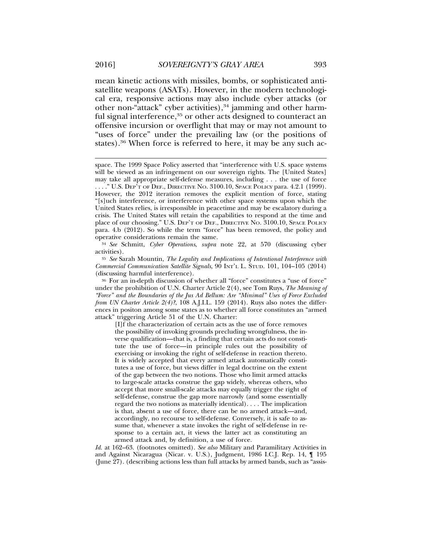mean kinetic actions with missiles, bombs, or sophisticated antisatellite weapons (ASATs). However, in the modern technological era, responsive actions may also include cyber attacks (or other non-"attack" cyber activities),<sup>34</sup> jamming and other harmful signal interference,<sup>35</sup> or other acts designed to counteract an offensive incursion or overflight that may or may not amount to "uses of force" under the prevailing law (or the positions of states).<sup>36</sup> When force is referred to here, it may be any such ac-

<sup>34</sup> *See* Schmitt, *Cyber Operations*, *supra* note 22, at 570 (discussing cyber activities).

<sup>35</sup> *See* Sarah Mountin, *The Legality and Implications of Intentional Interference with Commercial Communication Satellite Signals*, 90 INT'L L. STUD. 101, 104–105 (2014) (discussing harmful interference).

<sup>36</sup> For an in-depth discussion of whether all "force" constitutes a "use of force" under the prohibition of U.N. Charter Article 2(4), see Tom Ruys, *The Meaning of "Force" and the Boundaries of the Jus Ad Bellum: Are "Minimal" Uses of Force Excluded from UN Charter Article 2(4)?*, 108 A.J.I.L. 159 (2014). Ruys also notes the differences in positon among some states as to whether all force constitutes an "armed attack" triggering Article 51 of the U.N. Charter:

[I]f the characterization of certain acts as the use of force removes the possibility of invoking grounds precluding wrongfulness, the inverse qualification—that is, a finding that certain acts do not constitute the use of force—in principle rules out the possibility of exercising or invoking the right of self-defense in reaction thereto. It is widely accepted that every armed attack automatically constitutes a use of force, but views differ in legal doctrine on the extent of the gap between the two notions. Those who limit armed attacks to large-scale attacks construe the gap widely, whereas others, who accept that more small-scale attacks may equally trigger the right of self-defense, construe the gap more narrowly (and some essentially regard the two notions as materially identical). . . . The implication is that, absent a use of force, there can be no armed attack—and, accordingly, no recourse to self-defense. Conversely, it is safe to assume that, whenever a state invokes the right of self-defense in response to a certain act, it views the latter act as constituting an armed attack and, by definition, a use of force.

*Id.* at 162–63. (footnotes omitted). *See also* Military and Paramilitary Activities in and Against Nicaragua (Nicar. v. U.S.), Judgment, 1986 I.C.J. Rep. 14, ¶ 195 (June  $27$ ). (describing actions less than full attacks by armed bands, such as "assis-

space. The 1999 Space Policy asserted that "interference with U.S. space systems will be viewed as an infringement on our sovereign rights. The [United States] may take all appropriate self-defense measures, including . . . the use of force . . . ." U.S. DEP'T OF DEF., DIRECTIVE NO. 3100.10, SPACE POLICY para. 4.2.1 (1999). However, the 2012 iteration removes the explicit mention of force, stating "[s]uch interference, or interference with other space systems upon which the United States relies, is irresponsible in peacetime and may be escalatory during a crisis. The United States will retain the capabilities to respond at the time and place of our choosing." U.S. DEP'T OF DEF., DIRECTIVE NO. 3100.10, SPACE POLICY para. 4.b (2012). So while the term "force" has been removed, the policy and operative considerations remain the same.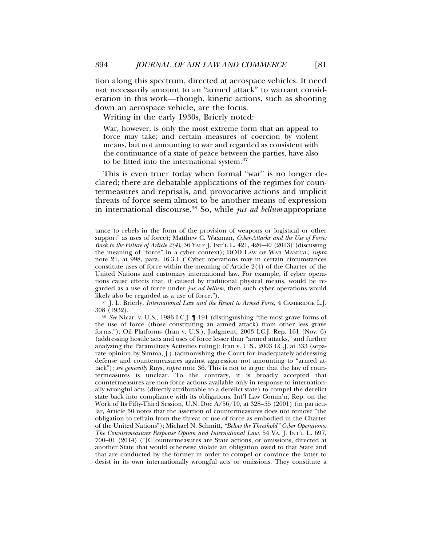tion along this spectrum, directed at aerospace vehicles. It need not necessarily amount to an "armed attack" to warrant consideration in this work—though, kinetic actions, such as shooting down an aerospace vehicle, are the focus.

Writing in the early 1930s, Brierly noted:

War, however, is only the most extreme form that an appeal to force may take; and certain measures of coercion by violent means, but not amounting to war and regarded as consistent with the continuance of a state of peace between the parties, have also to be fitted into the international system.<sup>37</sup>

This is even truer today when formal "war" is no longer declared; there are debatable applications of the regimes for countermeasures and reprisals, and provocative actions and implicit threats of force seem almost to be another means of expression in international discourse.38 So, while *jus ad bellum*-appropriate

<sup>37</sup> J. L. Brierly, *International Law and the Resort to Armed Force*, 4 CAMBRIDGE L.J. 308 (1932).

<sup>38</sup> *See* Nicar. v. U.S., 1986 I.C.J. ¶ 191 (distinguishing "the most grave forms of the use of force (those constituting an armed attack) from other less grave forms."); Oil Platforms (Iran v. U.S.), Judgment, 2003 I.C.J. Rep. 161 (Nov. 6) (addressing hostile acts and uses of force lesser than "armed attacks," and further analyzing the Paramilitary Activities ruling); Iran v. U.S., 2003 I.C.J. at 333 (separate opinion by Simma, J.) (admonishing the Court for inadequately addressing defense and countermeasures against aggression not amounting to "armed attack"); *see generally* Ruys, *supra* note 36. This is not to argue that the law of countermeasures is unclear. To the contrary, it is broadly accepted that countermeasures are non-force actions available only in response to internationally wrongful acts (directly attributable to a derelict state) to compel the derelict state back into compliance with its obligations. Int'l Law Comm'n, Rep. on the Work of Its Fifty-Third Session, U.N. Doc A/56/10, at 328–55 (2001) (in particular, Article 50 notes that the assertion of countermeasures does not remove "the obligation to refrain from the threat or use of force as embodied in the Charter of the United Nations"); Michael N. Schmitt, *"Below the Threshold" Cyber Operations: The Countermeasures Response Option and International Law*, 54 VA. J. INT'L L. 697, 700–01 (2014) ("[C]ountermeasures are State actions, or omissions, directed at another State that would otherwise violate an obligation owed to that State and that are conducted by the former in order to compel or convince the latter to desist in its own internationally wrongful acts or omissions. They constitute a

tance to rebels in the form of the provision of weapons or logistical or other support" as uses of force); Matthew C. Waxman, *Cyber-Attacks and the Use of Force: Back to the Future of Article 2(4)*, 36 YALE J. INT'L L. 421, 426–40 (2013) (discussing the meaning of "force" in a cyber context); DOD LAW OF WAR MANUAL, *supra* note 21, at 998, para. 16.3.1 ("Cyber operations may in certain circumstances constitute uses of force within the meaning of Article 2(4) of the Charter of the United Nations and customary international law. For example, if cyber operations cause effects that, if caused by traditional physical means, would be regarded as a use of force under *jus ad bellum*, then such cyber operations would likely also be regarded as a use of force.").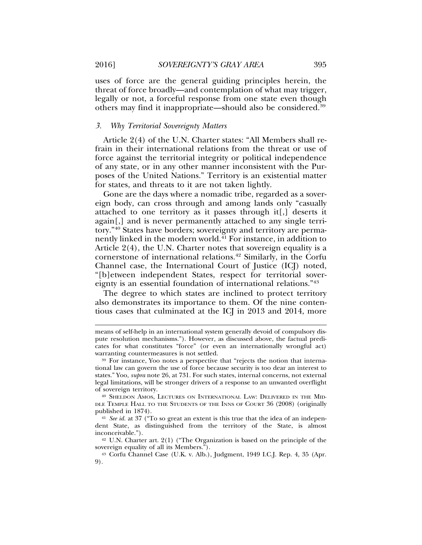uses of force are the general guiding principles herein, the threat of force broadly—and contemplation of what may trigger, legally or not, a forceful response from one state even though others may find it inappropriate—should also be considered.39

#### *3. Why Territorial Sovereignty Matters*

Article 2(4) of the U.N. Charter states: "All Members shall refrain in their international relations from the threat or use of force against the territorial integrity or political independence of any state, or in any other manner inconsistent with the Purposes of the United Nations." Territory is an existential matter for states, and threats to it are not taken lightly.

Gone are the days where a nomadic tribe, regarded as a sovereign body, can cross through and among lands only "casually attached to one territory as it passes through it[,] deserts it again[,] and is never permanently attached to any single territory."40 States have borders; sovereignty and territory are permanently linked in the modern world.<sup>41</sup> For instance, in addition to Article 2(4), the U.N. Charter notes that sovereign equality is a cornerstone of international relations.42 Similarly, in the Corfu Channel case, the International Court of Justice (ICJ) noted, "[b]etween independent States, respect for territorial sovereignty is an essential foundation of international relations."43

The degree to which states are inclined to protect territory also demonstrates its importance to them. Of the nine contentious cases that culminated at the ICJ in 2013 and 2014, more

means of self-help in an international system generally devoid of compulsory dispute resolution mechanisms."). However, as discussed above, the factual predicates for what constitutes "force" (or even an internationally wrongful act) warranting countermeasures is not settled.

<sup>39</sup> For instance, Yoo notes a perspective that "rejects the notion that international law can govern the use of force because security is too dear an interest to states." Yoo, *supra* note 26, at 731. For such states, internal concerns, not external legal limitations, will be stronger drivers of a response to an unwanted overflight of sovereign territory.

<sup>40</sup> SHELDON AMOS, LECTURES ON INTERNATIONAL LAW: DELIVERED IN THE MID-DLE TEMPLE HALL TO THE STUDENTS OF THE INNS OF COURT 36 (2008) (originally published in 1874).

<sup>41</sup> *See id.* at 37 ("To so great an extent is this true that the idea of an independent State, as distinguished from the territory of the State, is almost inconceivable.").

<sup>42</sup> U.N. Charter art. 2(1) ("The Organization is based on the principle of the sovereign equality of all its Members.<sup>"</sup>).

<sup>43</sup> Corfu Channel Case (U.K. v. Alb.), Judgment, 1949 I.C.J. Rep. 4, 35 (Apr. 9).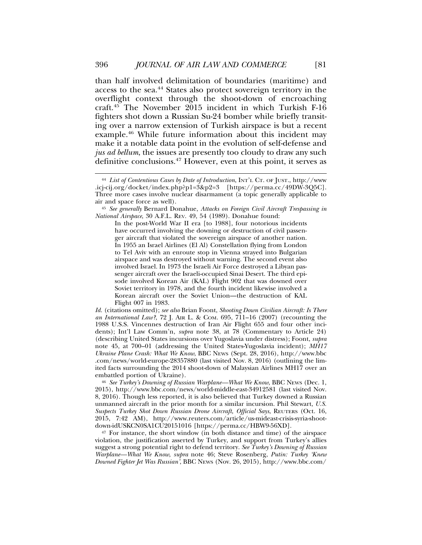than half involved delimitation of boundaries (maritime) and access to the sea.44 States also protect sovereign territory in the overflight context through the shoot-down of encroaching craft.45 The November 2015 incident in which Turkish F-16 fighters shot down a Russian Su-24 bomber while briefly transiting over a narrow extension of Turkish airspace is but a recent example.46 While future information about this incident may make it a notable data point in the evolution of self-defense and *jus ad bellum*, the issues are presently too cloudy to draw any such definitive conclusions.47 However, even at this point, it serves as

*Id.* (citations omitted); *see also* Brian Foont, *Shooting Down Civilian Aircraft: Is There an International Law?*, 72 J. AIR L. & COM. 695, 711–16 (2007) (recounting the 1988 U.S.S. Vincennes destruction of Iran Air Flight 655 and four other incidents); Int'l Law Comm'n, *supra* note 38, at 78 (Commentary to Article 24) (describing United States incursions over Yugoslavia under distress); Foont, *supra* note 45, at 700–01 (addressing the United States-Yugoslavia incident); *MH17 Ukraine Plane Crash: What We Know*, BBC NEWS (Sept. 28, 2016), http://www.bbc .com/news/world-europe-28357880 (last visited Nov. 8, 2016) (outlining the limited facts surrounding the 2014 shoot-down of Malaysian Airlines MH17 over an embattled portion of Ukraine).

<sup>46</sup> *See Turkey's Downing of Russian Warplane—What We Know*, BBC NEWS (Dec. 1, 2015), http://www.bbc.com/news/world-middle-east-34912581 (last visited Nov. 8, 2016). Though less reported, it is also believed that Turkey downed a Russian unmanned aircraft in the prior month for a similar incursion. Phil Stewart, *U.S. Suspects Turkey Shot Down Russian Drone Aircraft, Official Says*, REUTERS (Oct. 16, 2015, 7:42 AM), http://www.reuters.com/article/us-mideast-crisis-syria-shootdown-idUSKCN0SA1CU20151016 [https://perma.cc/HBW9-56XD].

<sup>47</sup> For instance, the short window (in both distance and time) of the airspace violation, the justification asserted by Turkey, and support from Turkey's allies suggest a strong potential right to defend territory. *See Turkey's Downing of Russian Warplane—What We Know*, *supra* note 46; Steve Rosenberg, *Putin: Turkey 'Knew Downed Fighter Jet Was Russian'*, BBC NEWS (Nov. 26, 2015), http://www.bbc.com/

<sup>44</sup> *List of Contentious Cases by Date of Introduction*, INT'L CT. OF JUST., http://www .icj-cij.org/docket/index.php?p1=3&p2=3 [https://perma.cc/49DW-3Q5C]. Three more cases involve nuclear disarmament (a topic generally applicable to air and space force as well).

<sup>45</sup> *See generally* Bernard Donahue, *Attacks on Foreign Civil Aircraft Trespassing in National Airspace*, 30 A.F.L. REV. 49, 54 (1989). Donahue found:

In the post-World War II era [to 1988], four notorious incidents have occurred involving the downing or destruction of civil passenger aircraft that violated the sovereign airspace of another nation. In 1955 an Israel Airlines (El Al) Constellation flying from London to Tel Aviv with an enroute stop in Vienna strayed into Bulgarian airspace and was destroyed without warning. The second event also involved Israel. In 1973 the Israeli Air Force destroyed a Libyan passenger aircraft over the Israeli-occupied Sinai Desert. The third episode involved Korean Air (KAL) Flight 902 that was downed over Soviet territory in 1978, and the fourth incident likewise involved a Korean aircraft over the Soviet Union—the destruction of KAL Flight 007 in 1983.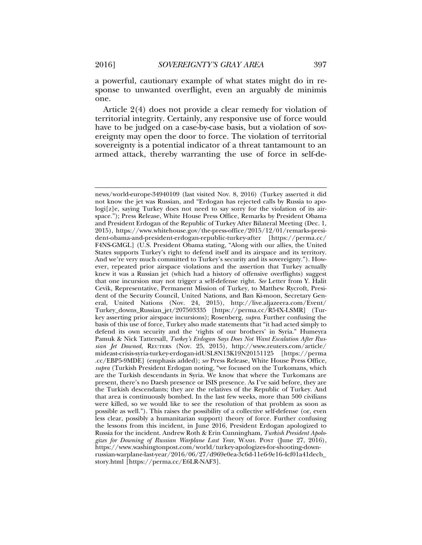a powerful, cautionary example of what states might do in response to unwanted overflight, even an arguably de minimis one.

Article 2(4) does not provide a clear remedy for violation of territorial integrity. Certainly, any responsive use of force would have to be judged on a case-by-case basis, but a violation of sovereignty may open the door to force. The violation of territorial sovereignty is a potential indicator of a threat tantamount to an armed attack, thereby warranting the use of force in self-de-

news/world-europe-34940109 (last visited Nov. 8, 2016) (Turkey asserted it did not know the jet was Russian, and "Erdogan has rejected calls by Russia to apologi[z]e, saying Turkey does not need to say sorry for the violation of its airspace."); Press Release, White House Press Office, Remarks by President Obama and President Erdogan of the Republic of Turkey After Bilateral Meeting (Dec. 1, 2015), https://www.whitehouse.gov/the-press-office/2015/12/01/remarks-president-obama-and-president-erdogan-republic-turkey-after [https://perma.cc/ F4NS-GMGL] (U.S. President Obama stating, "Along with our allies, the United States supports Turkey's right to defend itself and its airspace and its territory. And we're very much committed to Turkey's security and its sovereignty."). However, repeated prior airspace violations and the assertion that Turkey actually knew it was a Russian jet (which had a history of offensive overflights) suggest that one incursion may not trigger a self-defense right. *See* Letter from Y. Halit Cevik, Representative, Permanent Mission of Turkey, to Matthew Rycroft, President of the Security Council, United Nations, and Ban Ki-moon, Secretary General, United Nations (Nov. 24, 2015), http://live.aljazeera.com/Event/ Turkey\_downs\_Russian\_jet/207503335 [https://perma.cc/R54X-LSMR] (Turkey asserting prior airspace incursions); Rosenberg, *supra*. Further confusing the basis of this use of force, Turkey also made statements that "it had acted simply to defend its own security and the 'rights of our brothers' in Syria." Humeyra Pamuk & Nick Tattersall, *Turkey's Erdogan Says Does Not Want Escalation After Russian Jet Downed*, REUTERS (Nov. 25, 2015), http://www.reuters.com/article/ mideast-crisis-syria-turkey-erdogan-idUSL8N13K19N20151125 [https://perma .cc/EBP5-9MDE] (emphasis added); *see* Press Release, White House Press Office, *supra* (Turkish President Erdogan noting, "we focused on the Turkomans, which are the Turkish descendants in Syria. We know that where the Turkomans are present, there's no Daesh presence or ISIS presence. As I've said before, they are the Turkish descendants; they are the relatives of the Republic of Turkey. And that area is continuously bombed. In the last few weeks, more than 500 civilians were killed, so we would like to see the resolution of that problem as soon as possible as well."). This raises the possibility of a collective self-defense (or, even less clear, possibly a humanitarian support) theory of force. Further confusing the lessons from this incident, in June 2016, President Erdogan apologized to Russia for the incident. Andrew Roth & Erin Cunningham, *Turkish President Apologizes for Downing of Russian Warplane Last Year*, WASH. POST (June 27, 2016), https://www.washingtonpost.com/world/turkey-apologizes-for-shooting-downrussian-warplane-last-year/2016/06/27/d969e0ea-3c6d-11e6-9e16-4cf01a41decb\_ story.html [https://perma.cc/E6LR-NAF3].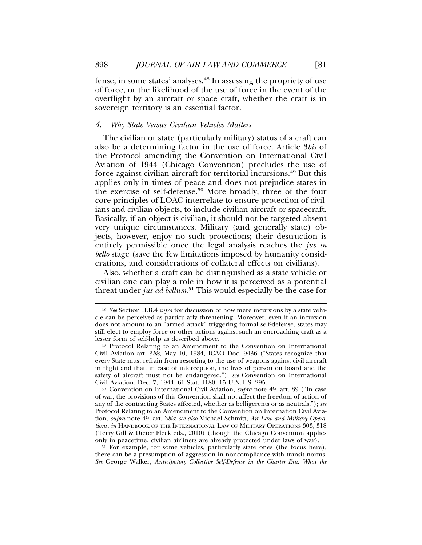fense, in some states' analyses.48 In assessing the propriety of use of force, or the likelihood of the use of force in the event of the overflight by an aircraft or space craft, whether the craft is in sovereign territory is an essential factor.

## *4. Why State Versus Civilian Vehicles Matters*

The civilian or state (particularly military) status of a craft can also be a determining factor in the use of force. Article 3*bis* of the Protocol amending the Convention on International Civil Aviation of 1944 (Chicago Convention) precludes the use of force against civilian aircraft for territorial incursions.49 But this applies only in times of peace and does not prejudice states in the exercise of self-defense.50 More broadly, three of the four core principles of LOAC interrelate to ensure protection of civilians and civilian objects, to include civilian aircraft or spacecraft. Basically, if an object is civilian, it should not be targeted absent very unique circumstances. Military (and generally state) objects, however, enjoy no such protections; their destruction is entirely permissible once the legal analysis reaches the *jus in bello* stage (save the few limitations imposed by humanity considerations, and considerations of collateral effects on civilians).

Also, whether a craft can be distinguished as a state vehicle or civilian one can play a role in how it is perceived as a potential threat under *jus ad bellum*. 51 This would especially be the case for

<sup>51</sup> For example, for some vehicles, particularly state ones (the focus here), there can be a presumption of aggression in noncompliance with transit norms. *See* George Walker, *Anticipatory Collective Self-Defense in the Charter Era: What the*

<sup>48</sup> *See* Section II.B.4 *infra* for discussion of how mere incursions by a state vehicle can be perceived as particularly threatening. Moreover, even if an incursion does not amount to an "armed attack" triggering formal self-defense, states may still elect to employ force or other actions against such an encroaching craft as a lesser form of self-help as described above.

<sup>49</sup> Protocol Relating to an Amendment to the Convention on International Civil Aviation art. 3*bis*, May 10, 1984, ICAO Doc. 9436 ("States recognize that every State must refrain from resorting to the use of weapons against civil aircraft in flight and that, in case of interception, the lives of person on board and the safety of aircraft must not be endangered."); *see* Convention on International Civil Aviation, Dec. 7, 1944, 61 Stat. 1180, 15 U.N.T.S. 295.

<sup>50</sup> Convention on International Civil Aviation, *supra* note 49, art. 89 ("In case of war, the provisions of this Convention shall not affect the freedom of action of any of the contracting States affected, whether as belligerents or as neutrals."); *see* Protocol Relating to an Amendment to the Convention on Internation Civil Aviation, *supra* note 49, art. 3*bis*; *see also* Michael Schmitt, *Air Law and Military Operations*, *in* HANDBOOK OF THE INTERNATIONAL LAW OF MILITARY OPERATIONS 303, 318 (Terry Gill & Dieter Fleck eds., 2010) (though the Chicago Convention applies only in peacetime, civilian airliners are already protected under laws of war).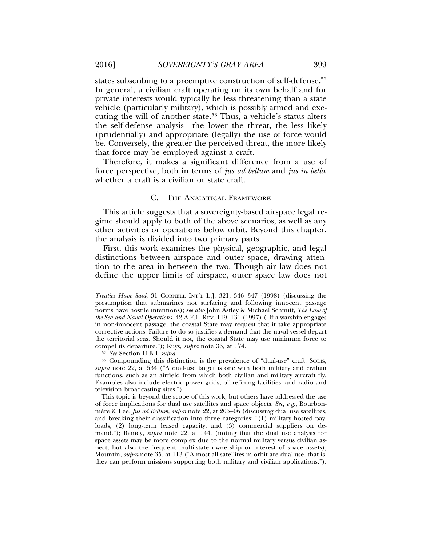states subscribing to a preemptive construction of self-defense.<sup>52</sup> In general, a civilian craft operating on its own behalf and for private interests would typically be less threatening than a state vehicle (particularly military), which is possibly armed and executing the will of another state.<sup>53</sup> Thus, a vehicle's status alters the self-defense analysis—the lower the threat, the less likely (prudentially) and appropriate (legally) the use of force would be. Conversely, the greater the perceived threat, the more likely that force may be employed against a craft.

Therefore, it makes a significant difference from a use of force perspective, both in terms of *jus ad bellum* and *jus in bello*, whether a craft is a civilian or state craft.

#### C. THE ANALYTICAL FRAMEWORK

This article suggests that a sovereignty-based airspace legal regime should apply to both of the above scenarios, as well as any other activities or operations below orbit. Beyond this chapter, the analysis is divided into two primary parts.

First, this work examines the physical, geographic, and legal distinctions between airspace and outer space, drawing attention to the area in between the two. Though air law does not define the upper limits of airspace, outer space law does not

<sup>52</sup> *See* Section II.B.1 *supra*.

<sup>53</sup> Compounding this distinction is the prevalence of "dual-use" craft. SOLIS, *supra* note 22, at 534 ("A dual-use target is one with both military and civilian functions, such as an airfield from which both civilian and military aircraft fly. Examples also include electric power grids, oil-refining facilities, and radio and television broadcasting sites.").

This topic is beyond the scope of this work, but others have addressed the use of force implications for dual use satellites and space objects. *See, e.g.*, Bourbonnière & Lee, *Jus ad Bellum, supra* note 22, at 205–06 (discussing dual use satellites, and breaking their classification into three categories: "(1) military hosted payloads; (2) long-term leased capacity; and (3) commercial suppliers on demand."); Ramey, *supra* note 22, at 144. (noting that the dual use analysis for space assets may be more complex due to the normal military versus civilian aspect, but also the frequent multi-state ownership or interest of space assets); Mountin, *supra* note 35, at 113 ("Almost all satellites in orbit are dual-use, that is, they can perform missions supporting both military and civilian applications.").

*Treaties Have Said*, 31 CORNELL INT'L L.J. 321, 346–347 (1998) (discussing the presumption that submarines not surfacing and following innocent passage norms have hostile intentions); *see also* John Astley & Michael Schmitt, *The Law of the Sea and Naval Operations*, 42 A.F.L. REV. 119, 131 (1997) ("If a warship engages in non-innocent passage, the coastal State may request that it take appropriate corrective actions. Failure to do so justifies a demand that the naval vessel depart the territorial seas. Should it not, the coastal State may use minimum force to compel its departure."); Ruys, *supra* note 36, at 174.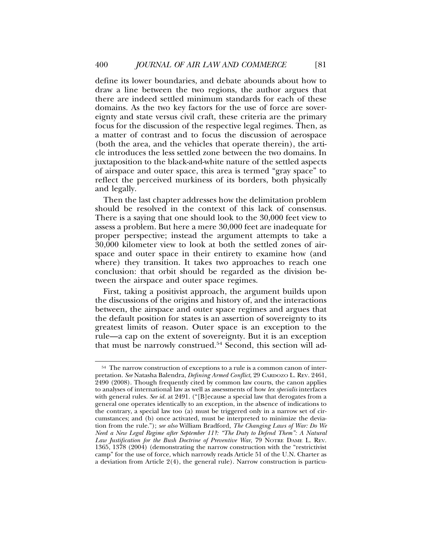define its lower boundaries, and debate abounds about how to draw a line between the two regions, the author argues that there are indeed settled minimum standards for each of these domains. As the two key factors for the use of force are sovereignty and state versus civil craft, these criteria are the primary focus for the discussion of the respective legal regimes. Then, as a matter of contrast and to focus the discussion of aerospace (both the area, and the vehicles that operate therein), the article introduces the less settled zone between the two domains. In juxtaposition to the black-and-white nature of the settled aspects of airspace and outer space, this area is termed "gray space" to reflect the perceived murkiness of its borders, both physically and legally.

Then the last chapter addresses how the delimitation problem should be resolved in the context of this lack of consensus. There is a saying that one should look to the 30,000 feet view to assess a problem. But here a mere 30,000 feet are inadequate for proper perspective; instead the argument attempts to take a 30,000 kilometer view to look at both the settled zones of airspace and outer space in their entirety to examine how (and where) they transition. It takes two approaches to reach one conclusion: that orbit should be regarded as the division between the airspace and outer space regimes.

First, taking a positivist approach, the argument builds upon the discussions of the origins and history of, and the interactions between, the airspace and outer space regimes and argues that the default position for states is an assertion of sovereignty to its greatest limits of reason. Outer space is an exception to the rule—a cap on the extent of sovereignty. But it is an exception that must be narrowly construed.54 Second, this section will ad-

<sup>54</sup> The narrow construction of exceptions to a rule is a common canon of interpretation. *See* Natasha Balendra, *Defining Armed Conflict*, 29 CARDOZO L. REV. 2461, 2490 (2008). Though frequently cited by common law courts, the canon applies to analyses of international law as well as assessments of how *lex specialis* interfaces with general rules. *See id.* at 2491. ("[B]ecause a special law that derogates from a general one operates identically to an exception, in the absence of indications to the contrary, a special law too (a) must be triggered only in a narrow set of circumstances; and (b) once activated, must be interpreted to minimize the deviation from the rule."); *see also* William Bradford, *The Changing Laws of War: Do We Need a New Legal Regime after September 11?: "The Duty to Defend Them": A Natural Law Justification for the Bush Doctrine of Preventive War*, 79 NOTRE DAME L. REV. 1365, 1378 (2004) (demonstrating the narrow construction with the "restrictivist camp" for the use of force, which narrowly reads Article 51 of the U.N. Charter as a deviation from Article 2(4), the general rule). Narrow construction is particu-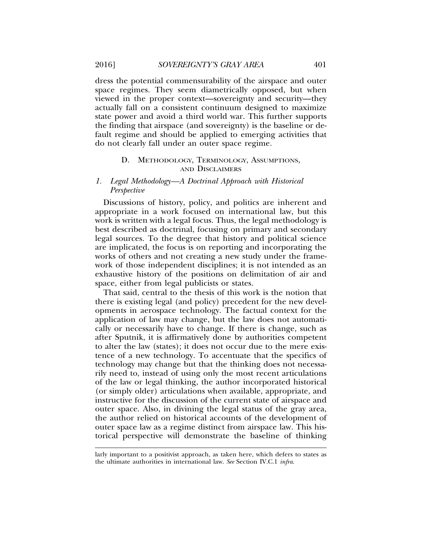dress the potential commensurability of the airspace and outer space regimes. They seem diametrically opposed, but when viewed in the proper context—sovereignty and security—they actually fall on a consistent continuum designed to maximize state power and avoid a third world war. This further supports the finding that airspace (and sovereignty) is the baseline or default regime and should be applied to emerging activities that do not clearly fall under an outer space regime.

## D. METHODOLOGY, TERMINOLOGY, ASSUMPTIONS, AND DISCLAIMERS

## *1. Legal Methodology—A Doctrinal Approach with Historical Perspective*

Discussions of history, policy, and politics are inherent and appropriate in a work focused on international law, but this work is written with a legal focus. Thus, the legal methodology is best described as doctrinal, focusing on primary and secondary legal sources. To the degree that history and political science are implicated, the focus is on reporting and incorporating the works of others and not creating a new study under the framework of those independent disciplines; it is not intended as an exhaustive history of the positions on delimitation of air and space, either from legal publicists or states.

That said, central to the thesis of this work is the notion that there is existing legal (and policy) precedent for the new developments in aerospace technology. The factual context for the application of law may change, but the law does not automatically or necessarily have to change. If there is change, such as after Sputnik, it is affirmatively done by authorities competent to alter the law (states); it does not occur due to the mere existence of a new technology. To accentuate that the specifics of technology may change but that the thinking does not necessarily need to, instead of using only the most recent articulations of the law or legal thinking, the author incorporated historical (or simply older) articulations when available, appropriate, and instructive for the discussion of the current state of airspace and outer space. Also, in divining the legal status of the gray area, the author relied on historical accounts of the development of outer space law as a regime distinct from airspace law. This historical perspective will demonstrate the baseline of thinking

larly important to a positivist approach, as taken here, which defers to states as the ultimate authorities in international law. *See* Section IV.C.1 *infra*.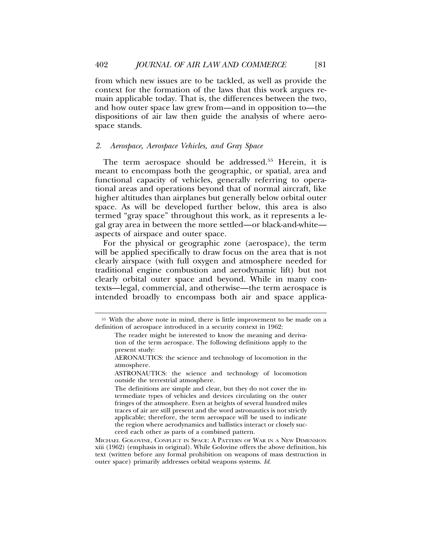from which new issues are to be tackled, as well as provide the context for the formation of the laws that this work argues remain applicable today. That is, the differences between the two, and how outer space law grew from—and in opposition to—the dispositions of air law then guide the analysis of where aerospace stands.

#### *2. Aerospace, Aerospace Vehicles, and Gray Space*

The term aerospace should be addressed.<sup>55</sup> Herein, it is meant to encompass both the geographic, or spatial, area and functional capacity of vehicles, generally referring to operational areas and operations beyond that of normal aircraft, like higher altitudes than airplanes but generally below orbital outer space. As will be developed further below, this area is also termed "gray space" throughout this work, as it represents a legal gray area in between the more settled—or black-and-white aspects of airspace and outer space.

For the physical or geographic zone (aerospace), the term will be applied specifically to draw focus on the area that is not clearly airspace (with full oxygen and atmosphere needed for traditional engine combustion and aerodynamic lift) but not clearly orbital outer space and beyond. While in many contexts—legal, commercial, and otherwise—the term aerospace is intended broadly to encompass both air and space applica-

MICHAEL GOLOVINE, CONFLICT IN SPACE: A PATTERN OF WAR IN A NEW DIMENSION xiii (1962) (emphasis in original). While Golovine offers the above definition, his text (written before any formal prohibition on weapons of mass destruction in outer space) primarily addresses orbital weapons systems. *Id.*

<sup>55</sup> With the above note in mind, there is little improvement to be made on a definition of aerospace introduced in a security context in 1962:

The reader might be interested to know the meaning and derivation of the term aerospace. The following definitions apply to the present study:

AERONAUTICS: the science and technology of locomotion in the atmosphere.

ASTRONAUTICS: the science and technology of locomotion outside the terrestrial atmosphere.

The definitions are simple and clear, but they do not cover the intermediate types of vehicles and devices circulating on the outer fringes of the atmosphere. Even at heights of several hundred miles traces of air are still present and the word astronautics is not strictly applicable; therefore, the term aerospace will be used to indicate the region where aerodynamics and ballistics interact or closely succeed each other as parts of a combined pattern.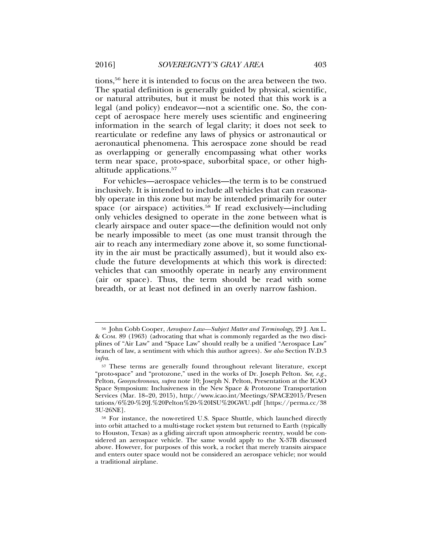tions,56 here it is intended to focus on the area between the two. The spatial definition is generally guided by physical, scientific, or natural attributes, but it must be noted that this work is a legal (and policy) endeavor—not a scientific one. So, the concept of aerospace here merely uses scientific and engineering information in the search of legal clarity; it does not seek to rearticulate or redefine any laws of physics or astronautical or aeronautical phenomena. This aerospace zone should be read as overlapping or generally encompassing what other works term near space, proto-space, suborbital space, or other highaltitude applications.57

For vehicles—aerospace vehicles—the term is to be construed inclusively. It is intended to include all vehicles that can reasonably operate in this zone but may be intended primarily for outer space (or airspace) activities.<sup>58</sup> If read exclusively—including only vehicles designed to operate in the zone between what is clearly airspace and outer space—the definition would not only be nearly impossible to meet (as one must transit through the air to reach any intermediary zone above it, so some functionality in the air must be practically assumed), but it would also exclude the future developments at which this work is directed: vehicles that can smoothly operate in nearly any environment (air or space). Thus, the term should be read with some breadth, or at least not defined in an overly narrow fashion.

<sup>56</sup> John Cobb Cooper, *Aerospace Law—Subject Matter and Terminology*, 29 J. AIR L. & COM. 89 (1963) (advocating that what is commonly regarded as the two disciplines of "Air Law" and "Space Law" should really be a unified "Aerospace Law" branch of law, a sentiment with which this author agrees). *See also* Section IV.D.3 *infra*.

<sup>57</sup> These terms are generally found throughout relevant literature, except "proto-space" and "protozone," used in the works of Dr. Joseph Pelton. *See, e.g.*, Pelton, *Geosynchronous*, *supra* note 10; Joseph N. Pelton, Presentation at the ICAO Space Symposium: Inclusiveness in the New Space & Protozone Transportation Services (Mar. 18–20, 2015), http://www.icao.int/Meetings/SPACE2015/Presen tations/6%20-%20J.%20Pelton%20-%20ISU%20GWU.pdf [https://perma.cc/38 3U-26NE].

<sup>58</sup> For instance, the now-retired U.S. Space Shuttle, which launched directly into orbit attached to a multi-stage rocket system but returned to Earth (typically to Houston, Texas) as a gliding aircraft upon atmospheric reentry, would be considered an aerospace vehicle. The same would apply to the X-37B discussed above. However, for purposes of this work, a rocket that merely transits airspace and enters outer space would not be considered an aerospace vehicle; nor would a traditional airplane.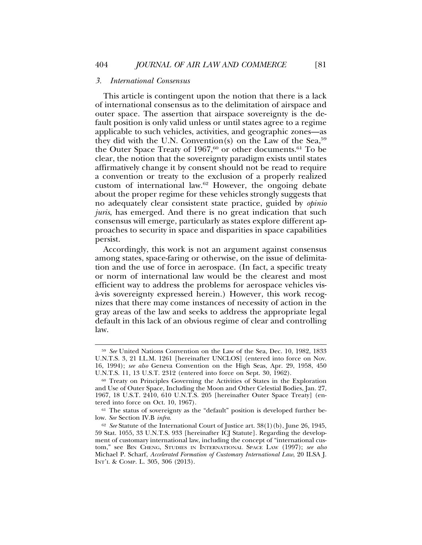#### *3. International Consensus*

This article is contingent upon the notion that there is a lack of international consensus as to the delimitation of airspace and outer space. The assertion that airspace sovereignty is the default position is only valid unless or until states agree to a regime applicable to such vehicles, activities, and geographic zones—as they did with the U.N. Convention(s) on the Law of the Sea,  $59$ the Outer Space Treaty of  $1967,60$  or other documents.<sup>61</sup> To be clear, the notion that the sovereignty paradigm exists until states affirmatively change it by consent should not be read to require a convention or treaty to the exclusion of a properly realized custom of international law.62 However, the ongoing debate about the proper regime for these vehicles strongly suggests that no adequately clear consistent state practice, guided by *opinio juris*, has emerged. And there is no great indication that such consensus will emerge, particularly as states explore different approaches to security in space and disparities in space capabilities persist.

Accordingly, this work is not an argument against consensus among states, space-faring or otherwise, on the issue of delimitation and the use of force in aerospace. (In fact, a specific treaty or norm of international law would be the clearest and most efficient way to address the problems for aerospace vehicles visa-vis sovereignty expressed herein.) However, this work recog- ` nizes that there may come instances of necessity of action in the gray areas of the law and seeks to address the appropriate legal default in this lack of an obvious regime of clear and controlling law.

<sup>59</sup> *See* United Nations Convention on the Law of the Sea, Dec. 10, 1982, 1833 U.N.T.S. 3, 21 I.L.M. 1261 [hereinafter UNCLOS] (entered into force on Nov. 16, 1994); *see also* Geneva Convention on the High Seas, Apr. 29, 1958, 450 U.N.T.S. 11, 13 U.S.T. 2312 (entered into force on Sept. 30, 1962).

<sup>60</sup> Treaty on Principles Governing the Activities of States in the Exploration and Use of Outer Space, Including the Moon and Other Celestial Bodies, Jan. 27, 1967, 18 U.S.T. 2410, 610 U.N.T.S. 205 [hereinafter Outer Space Treaty] (entered into force on Oct. 10, 1967).

<sup>61</sup> The status of sovereignty as the "default" position is developed further below. *See* Section IV.B *infra*.

<sup>62</sup> *See* Statute of the International Court of Justice art. 38(1)(b), June 26, 1945, 59 Stat. 1055, 33 U.N.T.S. 933 [hereinafter ICJ Statute]. Regarding the development of customary international law, including the concept of "international custom," see BIN CHENG, STUDIES IN INTERNATIONAL SPACE LAW (1997); *see also* Michael P. Scharf, *Accelerated Formation of Customary International Law*, 20 ILSA J. INT'L & COMP. L. 305, 306 (2013).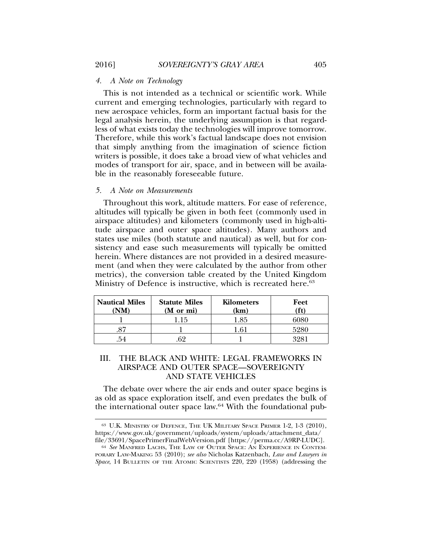#### *4. A Note on Technology*

This is not intended as a technical or scientific work. While current and emerging technologies, particularly with regard to new aerospace vehicles, form an important factual basis for the legal analysis herein, the underlying assumption is that regardless of what exists today the technologies will improve tomorrow. Therefore, while this work's factual landscape does not envision that simply anything from the imagination of science fiction writers is possible, it does take a broad view of what vehicles and modes of transport for air, space, and in between will be available in the reasonably foreseeable future.

## *5. A Note on Measurements*

Throughout this work, altitude matters. For ease of reference, altitudes will typically be given in both feet (commonly used in airspace altitudes) and kilometers (commonly used in high-altitude airspace and outer space altitudes). Many authors and states use miles (both statute and nautical) as well, but for consistency and ease such measurements will typically be omitted herein. Where distances are not provided in a desired measurement (and when they were calculated by the author from other metrics), the conversion table created by the United Kingdom Ministry of Defence is instructive, which is recreated here.<sup>63</sup>

| <b>Nautical Miles</b><br>'NM | <b>Statute Miles</b><br>(M or mi) | <b>Kilometers</b><br>(km) | Feet<br>ft) |
|------------------------------|-----------------------------------|---------------------------|-------------|
|                              | Lb.                               | .85                       |             |
|                              |                                   |                           | 5980        |
| 54                           |                                   |                           |             |

## III. THE BLACK AND WHITE: LEGAL FRAMEWORKS IN AIRSPACE AND OUTER SPACE—SOVEREIGNTY AND STATE VEHICLES

The debate over where the air ends and outer space begins is as old as space exploration itself, and even predates the bulk of the international outer space law.64 With the foundational pub-

<sup>&</sup>lt;sup>63</sup> U.K. MINISTRY OF DEFENCE, THE UK MILITARY SPACE PRIMER 1-2, 1-3 (2010), https://www.gov.uk/government/uploads/system/uploads/attachment\_data/ file/33691/SpacePrimerFinalWebVersion.pdf [https://perma.cc/A9RP-LUDC].

<sup>64</sup> *See* MANFRED LACHS, THE LAW OF OUTER SPACE: AN EXPERIENCE IN CONTEM-PORARY LAW-MAKING 53 (2010); *see also* Nicholas Katzenbach, *Law and Lawyers in* Space, 14 BULLETIN OF THE ATOMIC SCIENTISTS 220, 220 (1958) (addressing the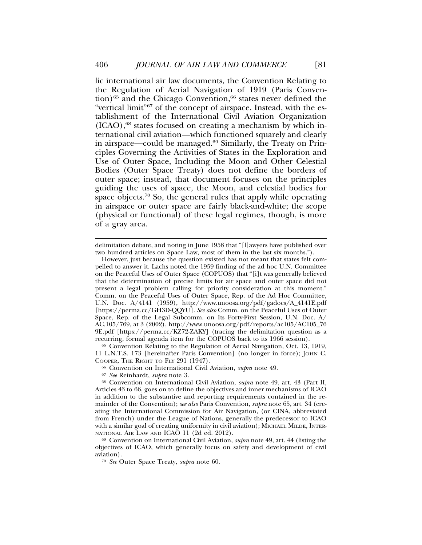lic international air law documents, the Convention Relating to the Regulation of Aerial Navigation of 1919 (Paris Convention)<sup>65</sup> and the Chicago Convention,<sup>66</sup> states never defined the "vertical limit"67 of the concept of airspace. Instead, with the establishment of the International Civil Aviation Organization  $(ICAO)$ ,<sup>68</sup> states focused on creating a mechanism by which international civil aviation—which functioned squarely and clearly in airspace—could be managed.<sup>69</sup> Similarly, the Treaty on Principles Governing the Activities of States in the Exploration and Use of Outer Space, Including the Moon and Other Celestial Bodies (Outer Space Treaty) does not define the borders of outer space; instead, that document focuses on the principles guiding the uses of space, the Moon, and celestial bodies for space objects.<sup>70</sup> So, the general rules that apply while operating in airspace or outer space are fairly black-and-white; the scope (physical or functional) of these legal regimes, though, is more of a gray area.

<sup>65</sup> Convention Relating to the Regulation of Aerial Navigation, Oct. 13, 1919, 11 L.N.T.S. 173 [hereinafter Paris Convention] (no longer in force); JOHN C. COOPER, THE RIGHT TO FLY 291 (1947).

<sup>67</sup> *See* Reinhardt, *supra* note 3.

<sup>69</sup> Convention on International Civil Aviation, *supra* note 49, art. 44 (listing the objectives of ICAO, which generally focus on safety and development of civil aviation).

<sup>70</sup> *See* Outer Space Treaty, *supra* note 60.

delimitation debate, and noting in June 1958 that "[l]awyers have published over two hundred articles on Space Law, most of them in the last six months.").

However, just because the question existed has not meant that states felt compelled to answer it. Lachs noted the 1959 finding of the ad hoc U.N. Committee on the Peaceful Uses of Outer Space (COPUOS) that "[i]t was generally believed that the determination of precise limits for air space and outer space did not present a legal problem calling for priority consideration at this moment." Comm. on the Peaceful Uses of Outer Space, Rep. of the Ad Hoc Committee, U.N. Doc. A/4141 (1959), http://www.unoosa.org/pdf/gadocs/A\_4141E.pdf [https://perma.cc/GH3D-QQYU]. *See also* Comm. on the Peaceful Uses of Outer Space, Rep. of the Legal Subcomm. on Its Forty-First Session, U.N. Doc. A/ AC.105/769, at 3 (2002), http://www.unoosa.org/pdf/reports/ac105/AC105\_76 9E.pdf [https://perma.cc/KZ72-ZAKY] (tracing the delimitation question as a recurring, formal agenda item for the COPUOS back to its 1966 session).

<sup>66</sup> Convention on International Civil Aviation, *supra* note 49.

<sup>68</sup> Convention on International Civil Aviation, *supra* note 49, art. 43 (Part II, Articles 43 to 66, goes on to define the objectives and inner mechanisms of ICAO in addition to the substantive and reporting requirements contained in the remainder of the Convention); *see also* Paris Convention, *supra* note 65, art. 34 (creating the International Commission for Air Navigation, (or CINA, abbreviated from French) under the League of Nations, generally the predecessor to ICAO with a similar goal of creating uniformity in civil aviation); MICHAEL MILDE, INTER-NATIONAL AIR LAW AND ICAO 11 (2d ed. 2012).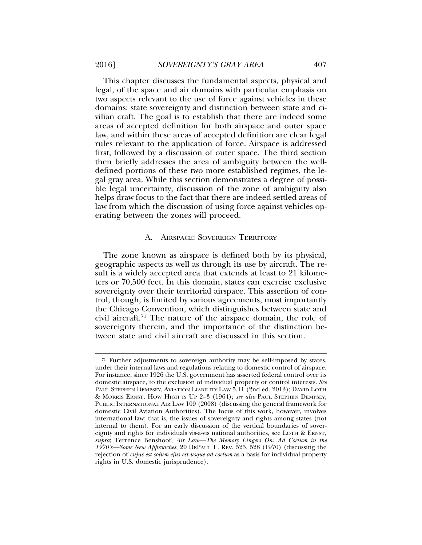This chapter discusses the fundamental aspects, physical and legal, of the space and air domains with particular emphasis on two aspects relevant to the use of force against vehicles in these domains: state sovereignty and distinction between state and civilian craft. The goal is to establish that there are indeed some areas of accepted definition for both airspace and outer space law, and within these areas of accepted definition are clear legal rules relevant to the application of force. Airspace is addressed first, followed by a discussion of outer space. The third section then briefly addresses the area of ambiguity between the welldefined portions of these two more established regimes, the legal gray area. While this section demonstrates a degree of possible legal uncertainty, discussion of the zone of ambiguity also helps draw focus to the fact that there are indeed settled areas of law from which the discussion of using force against vehicles operating between the zones will proceed.

#### A. AIRSPACE: SOVEREIGN TERRITORY

The zone known as airspace is defined both by its physical, geographic aspects as well as through its use by aircraft. The result is a widely accepted area that extends at least to 21 kilometers or 70,500 feet. In this domain, states can exercise exclusive sovereignty over their territorial airspace. This assertion of control, though, is limited by various agreements, most importantly the Chicago Convention, which distinguishes between state and civil aircraft.71 The nature of the airspace domain, the role of sovereignty therein, and the importance of the distinction between state and civil aircraft are discussed in this section.

<sup>71</sup> Further adjustments to sovereign authority may be self-imposed by states, under their internal laws and regulations relating to domestic control of airspace. For instance, since 1926 the U.S. government has asserted federal control over its domestic airspace, to the exclusion of individual property or control interests. *See* PAUL STEPHEN DEMPSEY, AVIATION LIABILITY LAW 5.11 (2nd ed. 2013); DAVID LOTH & MORRIS ERNST, HOW HIGH IS UP 2–3 (1964); *see also* PAUL STEPHEN DEMPSEY, PUBLIC INTERNATIONAL AIR LAW 109 (2008) (discussing the general framework for domestic Civil Aviation Authorities). The focus of this work, however, involves international law; that is, the issues of sovereignty and rights among states (not internal to them). For an early discussion of the vertical boundaries of sovereignty and rights for individuals vis-à-vis national authorities, see LOTH & ERNST, *supra*; Terrence Benshoof, *Air Law—The Memory Lingers On: Ad Coelum in the 1970's—Some New Approaches*, 20 DEPAUL L. REV. 525, 528 (1970) (discussing the rejection of *cujus est solum ejus est usque ad coelum* as a basis for individual property rights in U.S. domestic jurisprudence).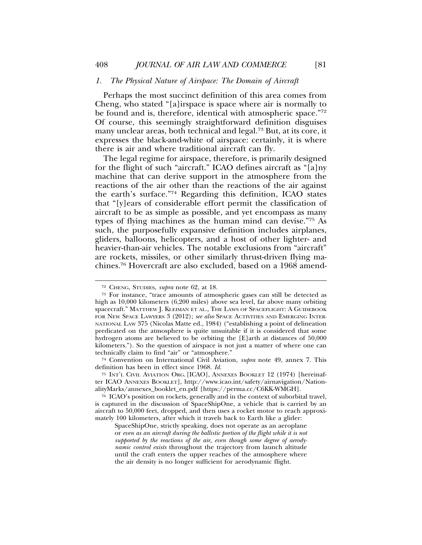#### *1. The Physical Nature of Airspace: The Domain of Aircraft*

Perhaps the most succinct definition of this area comes from Cheng, who stated "[a]irspace is space where air is normally to be found and is, therefore, identical with atmospheric space."72 Of course, this seemingly straightforward definition disguises many unclear areas, both technical and legal.73 But, at its core, it expresses the black-and-white of airspace: certainly, it is where there is air and where traditional aircraft can fly.

The legal regime for airspace, therefore, is primarily designed for the flight of such "aircraft." ICAO defines aircraft as "[a]ny machine that can derive support in the atmosphere from the reactions of the air other than the reactions of the air against the earth's surface."74 Regarding this definition, ICAO states that "[y]ears of considerable effort permit the classification of aircraft to be as simple as possible, and yet encompass as many types of flying machines as the human mind can devise."75 As such, the purposefully expansive definition includes airplanes, gliders, balloons, helicopters, and a host of other lighter- and heavier-than-air vehicles. The notable exclusions from "aircraft" are rockets, missiles, or other similarly thrust-driven flying machines.76 Hovercraft are also excluded, based on a 1968 amend-

<sup>74</sup> Convention on International Civil Aviation, *supra* note 49, annex 7. This definition has been in effect since 1968. *Id.*

<sup>72</sup> CHENG, STUDIES, *supra* note 62, at 18.

<sup>73</sup> For instance, "trace amounts of atmospheric gases can still be detected as high as 10,000 kilometers (6,200 miles) above sea level, far above many orbiting spacecraft." MATTHEW J. KLEIMAN ET AL., THE LAWS OF SPACEFLIGHT: A GUIDEBOOK FOR NEW SPACE LAWYERS 3 (2012); *see also* SPACE ACTIVITIES AND EMERGING INTER-NATIONAL LAW 375 (Nicolas Matte ed., 1984) ("establishing a point of delineation predicated on the atmosphere is quite unsuitable if it is considered that some hydrogen atoms are believed to be orbiting the [E]arth at distances of 50,000 kilometers."). So the question of airspace is not just a matter of where one can technically claim to find "air" or "atmosphere."

<sup>75</sup> INT'L CIVIL AVIATION ORG. [ICAO], ANNEXES BOOKLET 12 (1974) [hereinafter ICAO ANNEXES BOOKLET], http://www.icao.int/safety/airnavigation/NationalityMarks/annexes\_booklet\_en.pdf [https://perma.cc/C6KK-WMGH].

<sup>76</sup> ICAO's position on rockets, generally and in the context of suborbital travel, is captured in the discussion of SpaceShipOne, a vehicle that is carried by an aircraft to 50,000 feet, dropped, and then uses a rocket motor to reach approximately 100 kilometers, after which it travels back to Earth like a glider:

SpaceShipOne, strictly speaking, does not operate as an aeroplane or *even as an aircraft during the ballistic portion of the flight while it is not supported by the reactions of the air, even though some degree of aerodynamic control exists* throughout the trajectory from launch altitude until the craft enters the upper reaches of the atmosphere where the air density is no longer sufficient for aerodynamic flight.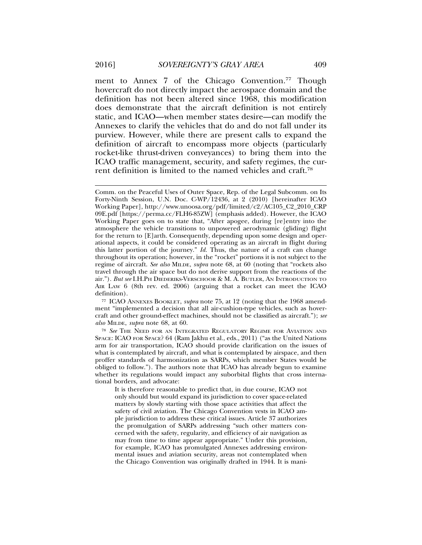ment to Annex 7 of the Chicago Convention.<sup>77</sup> Though hovercraft do not directly impact the aerospace domain and the definition has not been altered since 1968, this modification does demonstrate that the aircraft definition is not entirely static, and ICAO—when member states desire—can modify the Annexes to clarify the vehicles that do and do not fall under its purview. However, while there are present calls to expand the definition of aircraft to encompass more objects (particularly rocket-like thrust-driven conveyances) to bring them into the ICAO traffic management, security, and safety regimes, the current definition is limited to the named vehicles and craft.78

<sup>77</sup> ICAO ANNEXES BOOKLET, *supra* note 75, at 12 (noting that the 1968 amendment "implemented a decision that all air-cushion-type vehicles, such as hovercraft and other ground-effect machines, should not be classified as aircraft."); *see also* MILDE, *supra* note 68, at 60.

<sup>78</sup> *See* THE NEED FOR AN INTEGRATED REGULATORY REGIME FOR AVIATION AND SPACE: ICAO FOR SPACE? 64 (Ram Jakhu et al., eds., 2011) ("as the United Nations arm for air transportation, ICAO should provide clarification on the issues of what is contemplated by aircraft, and what is contemplated by airspace, and then proffer standards of harmonization as SARPs, which member States would be obliged to follow."). The authors note that ICAO has already begun to examine whether its regulations would impact any suborbital flights that cross international borders, and advocate:

It is therefore reasonable to predict that, in due course, ICAO not only should but would expand its jurisdiction to cover space-related matters by slowly starting with those space activities that affect the safety of civil aviation. The Chicago Convention vests in ICAO ample jurisdiction to address these critical issues. Article 37 authorizes the promulgation of SARPs addressing "such other matters concerned with the safety, regularity, and efficiency of air navigation as may from time to time appear appropriate." Under this provision, for example, ICAO has promulgated Annexes addressing environmental issues and aviation security, areas not contemplated when the Chicago Convention was originally drafted in 1944. It is mani-

Comm. on the Peaceful Uses of Outer Space, Rep. of the Legal Subcomm. on Its Forty-Ninth Session, U.N. Doc. C-WP/12436, at 2 (2010) [hereinafter ICAO Working Paper], http://www.unoosa.org/pdf/limited/c2/AC105\_C2\_2010\_CRP 09E.pdf [https://perma.cc/FLH6-85ZW] (emphasis added). However, the ICAO Working Paper goes on to state that, "After apogee, during [re]entry into the atmosphere the vehicle transitions to unpowered aerodynamic (gliding) flight for the return to [E]arth. Consequently, depending upon some design and operational aspects, it could be considered operating as an aircraft in flight during this latter portion of the journey." *Id.* Thus, the nature of a craft can change throughout its operation; however, in the "rocket" portions it is not subject to the regime of aircraft. *See also* MILDE, *supra* note 68, at 60 (noting that "rockets also travel through the air space but do not derive support from the reactions of the air."). *But see* I.H.PH DIEDERIKS-VERSCHOOR & M. A. BUTLER, AN INTRODUCTION TO AIR LAW 6 (8th rev. ed. 2006) (arguing that a rocket can meet the ICAO definition).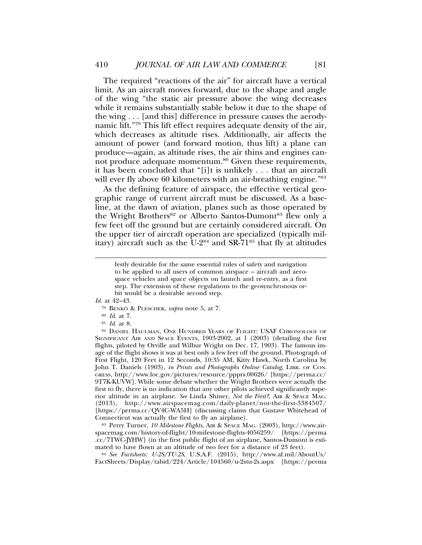The required "reactions of the air" for aircraft have a vertical limit. As an aircraft moves forward, due to the shape and angle of the wing "the static air pressure above the wing decreases while it remains substantially stable below it due to the shape of the wing . . . [and this] difference in pressure causes the aerodynamic lift."79 This lift effect requires adequate density of the air, which decreases as altitude rises. Additionally, air affects the amount of power (and forward motion, thus lift) a plane can produce—again, as altitude rises, the air thins and engines cannot produce adequate momentum.<sup>80</sup> Given these requirements, it has been concluded that "[i]t is unlikely . . . that an aircraft will ever fly above 60 kilometers with an air-breathing engine."<sup>81</sup>

As the defining feature of airspace, the effective vertical geographic range of current aircraft must be discussed. As a baseline, at the dawn of aviation, planes such as those operated by the Wright Brothers<sup>82</sup> or Alberto Santos-Dumont<sup>83</sup> flew only a few feet off the ground but are certainly considered aircraft. On the upper tier of aircraft operation are specialized (typically military) aircraft such as the  $U-2^{84}$  and SR-71<sup>85</sup> that fly at altitudes

*Id.* at 42–43.

- <sup>79</sup> BENKO¨ & PLESCHER, *supra* note 5, at 7.
- <sup>80</sup> *Id.* at 7.
- <sup>81</sup> *Id.* at 8.

<sup>82</sup> DANIEL HAULMAN, ONE HUNDRED YEARS OF FLIGHT: USAF CHRONOLOGY OF SIGNIFICANT AIR AND SPACE EVENTS, 1903-2002, at 1 (2003) (detailing the first flights, piloted by Orville and Wilbur Wright on Dec. 17, 1903). The famous image of the flight shows it was at best only a few feet off the ground. Photograph of First Flight, 120 Feet in 12 Seconds, 10:35 AM, Kitty Hawk, North Carolina by John T. Daniels (1903), *in Prints and Photographs Online Catalog*, LIBR. OF CON-GRESS, http://www.loc.gov/pictures/resource/ppprs.00626/ [https://perma.cc/ 9T7K-KUVW]. While some debate whether the Wright Brothers were actually the first to fly, there is no indication that any other pilots achieved significantly superior altitude in an airplane. *See* Linda Shiner, *Not the First?*, AIR & SPACE MAG. (2013), http://www.airspacemag.com/daily-planet/not-the-first-3384507/ [https://perma.cc/QV4C-WA5H] (discussing claims that Gustave Whitehead of Connecticut was actually the first to fly an airplane).

<sup>83</sup> Perry Turner, *10 Milestone Flights*, AIR & SPACE MAG. (2003), http://www.airspacemag.com/history-of-flight/10-milestone-flights-4056259/ [https://perma .cc/7TWC-JYHW] (in the first public flight of an airplane, Santos-Dumont is estimated to have flown at an altitude of two feet for a distance of 23 feet).

<sup>84</sup> *See Factsheets: U-2S/TU-2S*, U.S.A.F. (2015), http://www.af.mil/AboutUs/ FactSheets/Display/tabid/224/Article/104560/u-2stu-2s.aspx [https://perma

festly desirable for the same essential rules of safety and navigation to be applied to all users of common airspace – aircraft and aerospace vehicles and space objects on launch and re-entry, as a first step. The extension of these regulations to the geosynchronous orbit would be a desirable second step.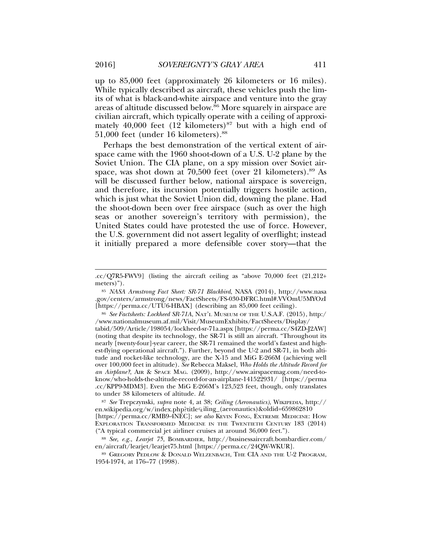up to 85,000 feet (approximately 26 kilometers or 16 miles). While typically described as aircraft, these vehicles push the limits of what is black-and-white airspace and venture into the gray areas of altitude discussed below.<sup>86</sup> More squarely in airspace are civilian aircraft, which typically operate with a ceiling of approximately 40,000 feet  $(12 \text{ kilometers})^{87}$  but with a high end of 51,000 feet (under 16 kilometers).88

Perhaps the best demonstration of the vertical extent of airspace came with the 1960 shoot-down of a U.S. U-2 plane by the Soviet Union. The CIA plane, on a spy mission over Soviet airspace, was shot down at 70,500 feet (over 21 kilometers).<sup>89</sup> As will be discussed further below, national airspace is sovereign, and therefore, its incursion potentially triggers hostile action, which is just what the Soviet Union did, downing the plane. Had the shoot-down been over free airspace (such as over the high seas or another sovereign's territory with permission), the United States could have protested the use of force. However, the U.S. government did not assert legality of overflight; instead it initially prepared a more defensible cover story—that the

tabid/509/Article/198054/lockheed-sr-71a.aspx [https://perma.cc/S4ZD-J2AW] (noting that despite its technology, the SR-71 is still an aircraft. "Throughout its nearly [twenty-four]-year career, the SR-71 remained the world's fastest and highest-flying operational aircraft."). Further, beyond the U-2 and SR-71, in both altitude and rocket-like technology, are the X-15 and MiG E-266M (achieving well over 100,000 feet in altitude). *See* Rebecca Maksel, *Who Holds the Altitude Record for an Airplane?*, AIR & SPACE MAG. (2009), http://www.airspacemag.com/need-toknow/who-holds-the-altitude-record-for-an-airplane-141522931/ [https://perma .cc/KPP9-MDM3]. Even the MiG E-266M's 123,523 feet, though, only translates to under 38 kilometers of altitude. *Id.*

<sup>87</sup> *See* Trepczynski, *supra* note 4, at 38; *Ceiling (Aeronautics)*, WIKIPEDIA, http:// en.wikipedia.org/w/index.php?titleCEiling\_(aeronautics)&oldid=659862810 [https://perma.cc/RMB9-4NEC]; *see also* KEVIN FONG, EXTREME MEDICINE: HOW EXPLORATION TRANSFORMED MEDICINE IN THE TWENTIETH CENTURY 183 (2014) ("A typical commercial jet airliner cruises at around 36,000 feet.").

<sup>88</sup> *See, e.g.*, *Learjet 75*, BOMBARDIER, http://businessaircraft.bombardier.com/ en/aircraft/learjet/learjet75.html [https://perma.cc/24QW-WKUR].

<sup>89</sup> GREGORY PEDLOW & DONALD WELZENBACH, THE CIA AND THE U-2 PROGRAM, 1954-1974, at 176–77 (1998).

<sup>.</sup>cc/Q7R5-FWV9] (listing the aircraft ceiling as "above 70,000 feet (21,212+ meters)").

<sup>85</sup> *NASA Armstrong Fact Sheet: SR-71 Blackbird*, NASA (2014), http://www.nasa .gov/centers/armstrong/news/FactSheets/FS-030-DFRC.html#.VVOmU5MYOzI [https://perma.cc/UTU6-HBAX] (describing an 85,000 feet ceiling).

<sup>86</sup> *See Factsheets: Lockheed SR-71A*, NAT'L MUSEUM OF THE U.S.A.F. (2015), http:/ /www.nationalmuseum.af.mil/Visit/MuseumExhibits/FactSheets/Display/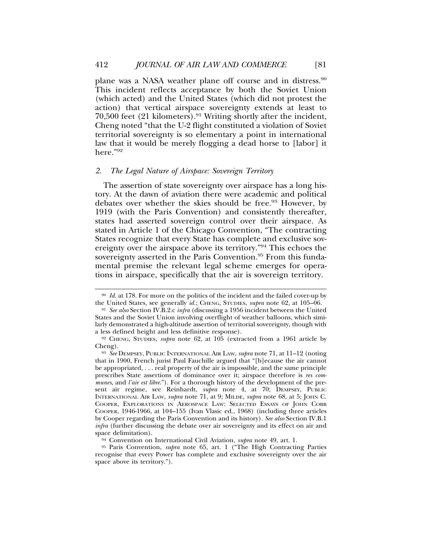plane was a NASA weather plane off course and in distress.<sup>90</sup> This incident reflects acceptance by both the Soviet Union (which acted) and the United States (which did not protest the action) that vertical airspace sovereignty extends at least to 70,500 feet  $(21 \text{ kilometers})$ .<sup>91</sup> Writing shortly after the incident, Cheng noted "that the U-2 flight constituted a violation of Soviet territorial sovereignty is so elementary a point in international law that it would be merely flogging a dead horse to [labor] it here."92

## *2. The Legal Nature of Airspace: Sovereign Territory*

The assertion of state sovereignty over airspace has a long history. At the dawn of aviation there were academic and political debates over whether the skies should be free.<sup>93</sup> However, by 1919 (with the Paris Convention) and consistently thereafter, states had asserted sovereign control over their airspace. As stated in Article 1 of the Chicago Convention, "The contracting States recognize that every State has complete and exclusive sovereignty over the airspace above its territory."94 This echoes the sovereignty asserted in the Paris Convention.<sup>95</sup> From this fundamental premise the relevant legal scheme emerges for operations in airspace, specifically that the air is sovereign territory.

<sup>90</sup> *Id.* at 178. For more on the politics of the incident and the failed cover-up by the United States, see generally *id.*; CHENG, STUDIES, *supra* note 62, at 105–06.

<sup>91</sup> *See also* Section IV.B.2.c *infra* (discussing a 1956 incident between the United States and the Soviet Union involving overflight of weather balloons, which similarly demonstrated a high-altitude assertion of territorial sovereignty, though with a less defined height and less definitive response).

<sup>92</sup> CHENG, STUDIES, *supra* note 62, at 105 (extracted from a 1961 article by Cheng).

<sup>93</sup> *See* DEMPSEY, PUBLIC INTERNATIONAL AIR LAW, *supra* note 71, at 11–12 (noting that in 1900, French jurist Paul Fauchille argued that "[b]ecause the air cannot be appropriated, . . . real property of the air is impossible, and the same principle prescribes State assertions of dominance over it; airspace therefore is *res communes*, and *l'air est libre*."). For a thorough history of the development of the present air regime, see Reinhardt, *supra* note 4, at 70; DEMPSEY, PUBLIC INTERNATIONAL AIR LAW, *supra* note 71, at 9; MILDE, *supra* note 68, at 5; JOHN C. COOPER, EXPLORATIONS IN AEROSPACE LAW: SELECTED ESSAYS OF JOHN COBB COOPER, 1946-1966, at 104–155 (Ivan Vlasic ed., 1968) (including three articles by Cooper regarding the Paris Convention and its history). *See also* Section IV.B.1 *infra* (further discussing the debate over air sovereignty and its effect on air and space delimitation).

<sup>94</sup> Convention on International Civil Aviation, *supra* note 49, art. 1.

<sup>95</sup> Paris Convention, *supra* note 65, art. 1 ("The High Contracting Parties recognise that every Power has complete and exclusive sovereignty over the air space above its territory.").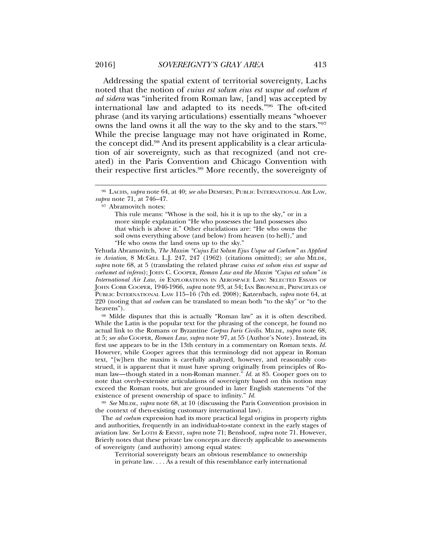Addressing the spatial extent of territorial sovereignty, Lachs noted that the notion of *cuius est solum eius est usque ad coelum et ad sidera* was "inherited from Roman law, [and] was accepted by international law and adapted to its needs."96 The oft-cited phrase (and its varying articulations) essentially means "whoever owns the land owns it all the way to the sky and to the stars."97 While the precise language may not have originated in Rome, the concept did.98 And its present applicability is a clear articulation of air sovereignty, such as that recognized (and not created) in the Paris Convention and Chicago Convention with their respective first articles.<sup>99</sup> More recently, the sovereignty of

Yehuda Abramovitch, *The Maxim "Cujus Est Solum Ejus Usque ad Coelum" as Applied in Aviation*, 8 MCGILL L.J. 247, 247 (1962) (citations omitted); *see also* MILDE, *supra* note 68, at 5 (translating the related phrase *cuius est solum eius est usque ad coelumet ad inferos*); JOHN C. COOPER, *Roman Law and the Maxim "Cujus est solum" in International Air Law*, *in* EXPLORATIONS IN AEROSPACE LAW: SELECTED ESSAYS OF JOHN COBB COOPER, 1946-1966, *supra* note 93, at 54; IAN BROWNLIE, PRINCIPLES OF PUBLIC INTERNATIONAL LAW 115–16 (7th ed. 2008); Katzenbach, *supra* note 64, at 220 (noting that *ad coelum* can be translated to mean both "to the sky" or "to the heavens").

<sup>98</sup> Milde disputes that this is actually "Roman law" as it is often described. While the Latin is the popular text for the phrasing of the concept, he found no actual link to the Romans or Byzantine *Corpus Iuris Civilis*. MILDE, *supra* note 68, at 5; *see also* COOPER, *Roman Law*, *supra* note 97, at 55 (Author's Note). Instead, its first use appears to be in the 13th century in a commentary on Roman texts. *Id.* However, while Cooper agrees that this terminology did not appear in Roman text, "[w]hen the maxim is carefully analyzed, however, and reasonably construed, it is apparent that it must have sprung originally from principles of Roman law—though stated in a non-Roman manner." *Id.* at 85. Cooper goes on to note that overly-extensive articulations of sovereignty based on this notion may exceed the Roman roots, but are grounded in later English statements "of the existence of present ownership of space to infinity." *Id.*

<sup>99</sup> *See* MILDE, *supra* note 68, at 10 (discussing the Paris Convention provision in the context of then-existing customary international law).

The *ad coelum* expression had its more practical legal origins in property rights and authorities, frequently in an individual-to-state context in the early stages of aviation law. *See* LOTH & ERNST, *supra* note 71; Benshoof, *supra* note 71. However, Brierly notes that these private law concepts are directly applicable to assessments of sovereignty (and authority) among equal states:

Territorial sovereignty bears an obvious resemblance to ownership in private law. . . . As a result of this resemblance early international

<sup>96</sup> LACHS, *supra* note 64, at 40; *see also* DEMPSEY, PUBLIC INTERNATIONAL AIR LAW, *supra* note 71, at 746–47.

<sup>97</sup> Abramovitch notes:

This rule means: "Whose is the soil, his it is up to the sky," or in a more simple explanation "He who possesses the land possesses also that which is above it." Other elucidations are: "He who owns the soil owns everything above (and below) from heaven (to hell)," and "He who owns the land owns up to the sky."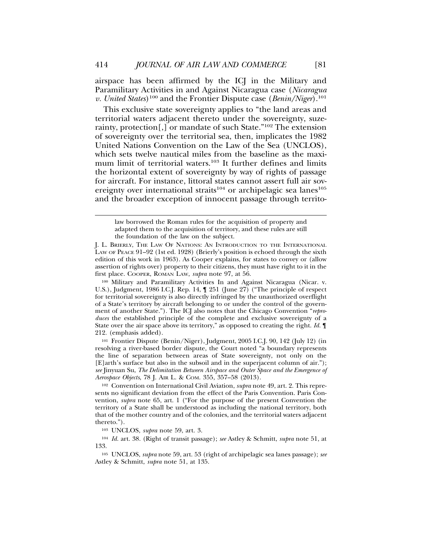airspace has been affirmed by the ICJ in the Military and Paramilitary Activities in and Against Nicaragua case (*Nicaragua v. United States*)100 and the Frontier Dispute case (*Benin/Niger*).101

This exclusive state sovereignty applies to "the land areas and territorial waters adjacent thereto under the sovereignty, suzerainty, protection[,] or mandate of such State."102 The extension of sovereignty over the territorial sea, then, implicates the 1982 United Nations Convention on the Law of the Sea (UNCLOS), which sets twelve nautical miles from the baseline as the maximum limit of territorial waters.103 It further defines and limits the horizontal extent of sovereignty by way of rights of passage for aircraft. For instance, littoral states cannot assert full air sovereignty over international straits<sup>104</sup> or archipelagic sea lanes<sup>105</sup> and the broader exception of innocent passage through territo-

J. L. BRIERLY, THE LAW OF NATIONS: AN INTRODUCTION TO THE INTERNATIONAL LAW OF PEACE 91–92 (1st ed. 1928) (Brierly's position is echoed through the sixth edition of this work in 1963). As Cooper explains, for states to convey or (allow assertion of rights over) property to their citizens, they must have right to it in the first place. COOPER, ROMAN LAW, *supra* note 97, at 56.

<sup>100</sup> Military and Paramilitary Activities In and Against Nicaragua (Nicar. v. U.S.), Judgment, 1986 I.C.J. Rep. 14, ¶ 251 (June 27) ("The principle of respect for territorial sovereignty is also directly infringed by the unauthorized overflight of a State's territory by aircraft belonging to or under the control of the government of another State."). The ICJ also notes that the Chicago Convention "*reproduces* the established principle of the complete and exclusive sovereignty of a State over the air space above its territory," as opposed to creating the right. *Id.* ¶ 212. (emphasis added).

<sup>101</sup> Frontier Dispute (Benin/Niger), Judgment, 2005 I.C.J. 90, 142 (July 12) (in resolving a river-based border dispute, the Court noted "a boundary represents the line of separation between areas of State sovereignty, not only on the [E]arth's surface but also in the subsoil and in the superjacent column of air."); *see* Jinyuan Su, *The Delimitation Between Airspace and Outer Space and the Emergence of Aerospace Objects*, 78 J. AIR L. & COM. 355, 357–58 (2013).

<sup>102</sup> Convention on International Civil Aviation, *supra* note 49, art. 2. This represents no significant deviation from the effect of the Paris Convention. Paris Convention, *supra* note 65, art. 1 ("For the purpose of the present Convention the territory of a State shall be understood as including the national territory, both that of the mother country and of the colonies, and the territorial waters adjacent thereto.").

<sup>103</sup> UNCLOS, *supra* note 59, art. 3.

<sup>104</sup> *Id.* art. 38. (Right of transit passage); *see* Astley & Schmitt, *supra* note 51, at 133.

<sup>105</sup> UNCLOS, *supra* note 59, art. 53 (right of archipelagic sea lanes passage); *see* Astley & Schmitt, *supra* note 51, at 135.

law borrowed the Roman rules for the acquisition of property and adapted them to the acquisition of territory, and these rules are still the foundation of the law on the subject.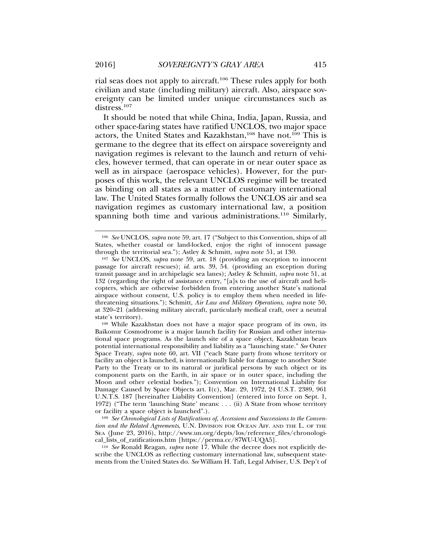rial seas does not apply to aircraft.106 These rules apply for both civilian and state (including military) aircraft. Also, airspace sovereignty can be limited under unique circumstances such as distress.<sup>107</sup>

It should be noted that while China, India, Japan, Russia, and other space-faring states have ratified UNCLOS, two major space actors, the United States and Kazakhstan,<sup>108</sup> have not.<sup>109</sup> This is germane to the degree that its effect on airspace sovereignty and navigation regimes is relevant to the launch and return of vehicles, however termed, that can operate in or near outer space as well as in airspace (aerospace vehicles). However, for the purposes of this work, the relevant UNCLOS regime will be treated as binding on all states as a matter of customary international law. The United States formally follows the UNCLOS air and sea navigation regimes as customary international law, a position spanning both time and various administrations.<sup>110</sup> Similarly,

<sup>106</sup> *See* UNCLOS, *supra* note 59, art. 17 ("Subject to this Convention, ships of all States, whether coastal or land-locked, enjoy the right of innocent passage through the territorial sea."); Astley & Schmitt, *supra* note 51, at 130.

<sup>107</sup> *See* UNCLOS, *supra* note 59, art. 18 (providing an exception to innocent passage for aircraft rescues); *id.* arts. 39, 54. (providing an exception during transit passage and in archipelagic sea lanes); Astley & Schmitt, *supra* note 51, at 132 (regarding the right of assistance entry, "[a]s to the use of aircraft and helicopters, which are otherwise forbidden from entering another State's national airspace without consent, U.S. policy is to employ them when needed in lifethreatening situations."); Schmitt, *Air Law and Military Operations*, *supra* note 50, at 320–21 (addressing military aircraft, particularly medical craft, over a neutral state's territory).

<sup>108</sup> While Kazakhstan does not have a major space program of its own, its Baikonur Cosmodrome is a major launch facility for Russian and other international space programs. As the launch site of a space object, Kazakhstan bears potential international responsibility and liability as a "launching state." *See* Outer Space Treaty, *supra* note 60, art. VII ("each State party from whose territory or facility an object is launched, is internationally liable for damage to another State Party to the Treaty or to its natural or juridical persons by such object or its component parts on the Earth, in air space or in outer space, including the Moon and other celestial bodies."); Convention on International Liability for Damage Caused by Space Objects art. I(c), Mar. 29, 1972, 24 U.S.T. 2389, 961 U.N.T.S. 187 [hereinafter Liability Convention] (entered into force on Sept. 1, 1972) ("The term 'launching State' means: . . . (ii) A State from whose territory or facility a space object is launched".).

<sup>109</sup> *See Chronological Lists of Ratifications of, Accessions and Successions to the Convention and the Related Agreements*, U.N. DIVISION FOR OCEAN AFF. AND THE L. OF THE SEA (June 23, 2016), http://www.un.org/depts/los/reference\_files/chronological\_lists\_of\_ratifications.htm [https://perma.cc/87WU-UQA5].

<sup>110</sup> *See* Ronald Reagan, *supra* note 17. While the decree does not explicitly describe the UNCLOS as reflecting customary international law, subsequent statements from the United States do. *See* William H. Taft, Legal Adviser, U.S. Dep't of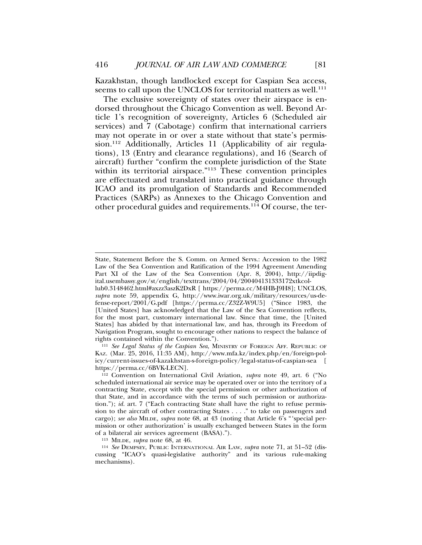Kazakhstan, though landlocked except for Caspian Sea access, seems to call upon the UNCLOS for territorial matters as well.<sup>111</sup>

The exclusive sovereignty of states over their airspace is endorsed throughout the Chicago Convention as well. Beyond Article 1's recognition of sovereignty, Articles 6 (Scheduled air services) and 7 (Cabotage) confirm that international carriers may not operate in or over a state without that state's permission.<sup>112</sup> Additionally, Articles 11 (Applicability of air regulations), 13 (Entry and clearance regulations), and 16 (Search of aircraft) further "confirm the complete jurisdiction of the State within its territorial airspace."<sup>113</sup> These convention principles are effectuated and translated into practical guidance through ICAO and its promulgation of Standards and Recommended Practices (SARPs) as Annexes to the Chicago Convention and other procedural guides and requirements.<sup>114</sup> Of course, the ter-

<sup>113</sup> MILDE, *supra* note 68, at 46.

State, Statement Before the S. Comm. on Armed Servs.: Accession to the 1982 Law of the Sea Convention and Ratification of the 1994 Agreement Amending Part XI of the Law of the Sea Convention (Apr. 8, 2004), http://iipdigital.usembassy.gov/st/english/texttrans/2004/04/200404131333172xtkcol-

lub0.3148462.html#axzz3aszK2DxR [ https://perma.cc/M4HB-J9H8]; UNCLOS, *supra* note 59, appendix G, http://www.iwar.org.uk/military/resources/us-defense-report/2001/G.pdf [https://perma.cc/Z32Z-W9U5] ("Since 1983, the [United States] has acknowledged that the Law of the Sea Convention reflects, for the most part, customary international law. Since that time, the [United States] has abided by that international law, and has, through its Freedom of Navigation Program, sought to encourage other nations to respect the balance of rights contained within the Convention.").

<sup>111</sup> *See Legal Status of the Caspian Sea*, MINISTRY OF FOREIGN AFF. REPUBLIC OF KAZ. (Mar. 25, 2016, 11:35 AM), http://www.mfa.kz/index.php/en/foreign-policy/current-issues-of-kazakhstan-s-foreign-policy/legal-status-of-caspian-sea [ https://perma.cc/6BVK-LECN].

<sup>112</sup> Convention on International Civil Aviation, *supra* note 49, art. 6 ("No scheduled international air service may be operated over or into the territory of a contracting State, except with the special permission or other authorization of that State, and in accordance with the terms of such permission or authorization."); *id.* art. 7 ("Each contracting State shall have the right to refuse permission to the aircraft of other contracting States . . . ." to take on passengers and cargo); *see also* MILDE, *supra* note 68, at 43 (noting that Article 6's "'special permission or other authorization' is usually exchanged between States in the form of a bilateral air services agreement (BASA).").

<sup>114</sup> *See* DEMPSEY, PUBLIC INTERNATIONAL AIR LAW, *supra* note 71, at 51–52 (discussing "ICAO's quasi-legislative authority" and its various rule-making mechanisms).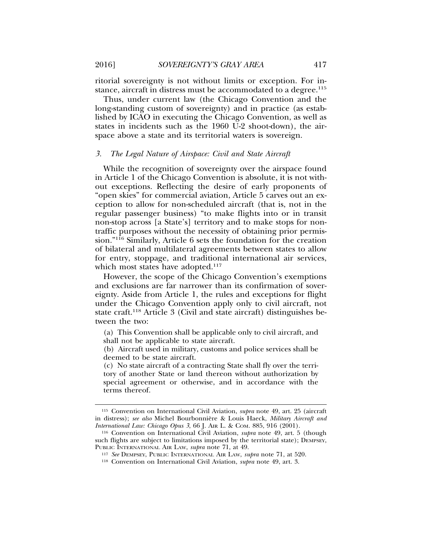ritorial sovereignty is not without limits or exception. For instance, aircraft in distress must be accommodated to a degree.<sup>115</sup>

Thus, under current law (the Chicago Convention and the long-standing custom of sovereignty) and in practice (as established by ICAO in executing the Chicago Convention, as well as states in incidents such as the 1960 U-2 shoot-down), the airspace above a state and its territorial waters is sovereign.

### *3. The Legal Nature of Airspace: Civil and State Aircraft*

While the recognition of sovereignty over the airspace found in Article 1 of the Chicago Convention is absolute, it is not without exceptions. Reflecting the desire of early proponents of "open skies" for commercial aviation, Article 5 carves out an exception to allow for non-scheduled aircraft (that is, not in the regular passenger business) "to make flights into or in transit non-stop across [a State's] territory and to make stops for nontraffic purposes without the necessity of obtaining prior permission."116 Similarly, Article 6 sets the foundation for the creation of bilateral and multilateral agreements between states to allow for entry, stoppage, and traditional international air services, which most states have adopted.<sup>117</sup>

However, the scope of the Chicago Convention's exemptions and exclusions are far narrower than its confirmation of sovereignty. Aside from Article 1, the rules and exceptions for flight under the Chicago Convention apply only to civil aircraft, not state craft.118 Article 3 (Civil and state aircraft) distinguishes between the two:

(a) This Convention shall be applicable only to civil aircraft, and shall not be applicable to state aircraft.

(b) Aircraft used in military, customs and police services shall be deemed to be state aircraft.

(c) No state aircraft of a contracting State shall fly over the territory of another State or land thereon without authorization by special agreement or otherwise, and in accordance with the terms thereof.

<sup>115</sup> Convention on International Civil Aviation, *supra* note 49, art. 25 (aircraft in distress); *see also* Michel Bourbonniere & Louis Haeck, ` *Military Aircraft and International Law: Chicago Opus 3*, 66 J. AIR L. & COM. 885, 916 (2001).

<sup>116</sup> Convention on International Civil Aviation, *supra* note 49, art. 5 (though such flights are subject to limitations imposed by the territorial state); DEMPSEY, PUBLIC INTERNATIONAL AIR LAW, *supra* note 71, at 49.

<sup>117</sup> *See* DEMPSEY, PUBLIC INTERNATIONAL AIR LAW, *supra* note 71, at 520.

<sup>118</sup> Convention on International Civil Aviation, *supra* note 49, art. 3.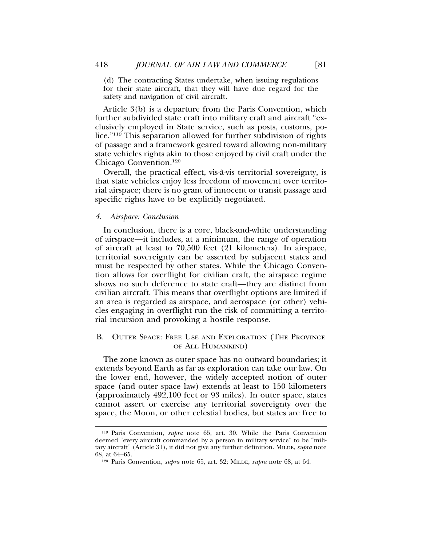(d) The contracting States undertake, when issuing regulations for their state aircraft, that they will have due regard for the safety and navigation of civil aircraft.

Article 3(b) is a departure from the Paris Convention, which further subdivided state craft into military craft and aircraft "exclusively employed in State service, such as posts, customs, police."119 This separation allowed for further subdivision of rights of passage and a framework geared toward allowing non-military state vehicles rights akin to those enjoyed by civil craft under the Chicago Convention.120

Overall, the practical effect, vis-a-vis territorial sovereignty, is ` that state vehicles enjoy less freedom of movement over territorial airspace; there is no grant of innocent or transit passage and specific rights have to be explicitly negotiated.

#### *4. Airspace: Conclusion*

In conclusion, there is a core, black-and-white understanding of airspace—it includes, at a minimum, the range of operation of aircraft at least to 70,500 feet (21 kilometers). In airspace, territorial sovereignty can be asserted by subjacent states and must be respected by other states. While the Chicago Convention allows for overflight for civilian craft, the airspace regime shows no such deference to state craft—they are distinct from civilian aircraft. This means that overflight options are limited if an area is regarded as airspace, and aerospace (or other) vehicles engaging in overflight run the risk of committing a territorial incursion and provoking a hostile response.

## B. OUTER SPACE: FREE USE AND EXPLORATION (THE PROVINCE OF ALL HUMANKIND)

The zone known as outer space has no outward boundaries; it extends beyond Earth as far as exploration can take our law. On the lower end, however, the widely accepted notion of outer space (and outer space law) extends at least to 150 kilometers (approximately 492,100 feet or 93 miles). In outer space, states cannot assert or exercise any territorial sovereignty over the space, the Moon, or other celestial bodies, but states are free to

<sup>119</sup> Paris Convention, *supra* note 65, art. 30. While the Paris Convention deemed "every aircraft commanded by a person in military service" to be "military aircraft" (Article 31), it did not give any further definition. MILDE, *supra* note 68, at 64–65.

<sup>120</sup> Paris Convention, *supra* note 65, art. 32; MILDE, *supra* note 68, at 64.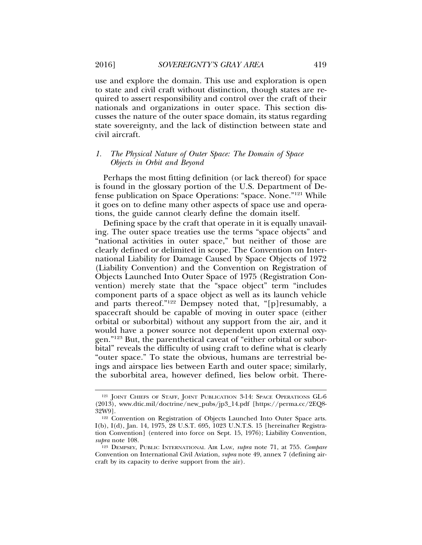use and explore the domain. This use and exploration is open to state and civil craft without distinction, though states are required to assert responsibility and control over the craft of their nationals and organizations in outer space. This section discusses the nature of the outer space domain, its status regarding state sovereignty, and the lack of distinction between state and civil aircraft.

## *1. The Physical Nature of Outer Space: The Domain of Space Objects in Orbit and Beyond*

Perhaps the most fitting definition (or lack thereof) for space is found in the glossary portion of the U.S. Department of Defense publication on Space Operations: "space. None."121 While it goes on to define many other aspects of space use and operations, the guide cannot clearly define the domain itself.

Defining space by the craft that operate in it is equally unavailing. The outer space treaties use the terms "space objects" and "national activities in outer space," but neither of those are clearly defined or delimited in scope. The Convention on International Liability for Damage Caused by Space Objects of 1972 (Liability Convention) and the Convention on Registration of Objects Launched Into Outer Space of 1975 (Registration Convention) merely state that the "space object" term "includes component parts of a space object as well as its launch vehicle and parts thereof."122 Dempsey noted that, "[p]resumably, a spacecraft should be capable of moving in outer space (either orbital or suborbital) without any support from the air, and it would have a power source not dependent upon external oxygen."123 But, the parenthetical caveat of "either orbital or suborbital" reveals the difficulty of using craft to define what is clearly "outer space." To state the obvious, humans are terrestrial beings and airspace lies between Earth and outer space; similarly, the suborbital area, however defined, lies below orbit. There-

<sup>&</sup>lt;sup>121</sup> JOINT CHIEFS OF STAFF, JOINT PUBLICATION 3-14: SPACE OPERATIONS GL-6 (2013), www.dtic.mil/doctrine/new\_pubs/jp3\_14.pdf [https://perma.cc/2EQ8- 32W9].

<sup>&</sup>lt;sup>122</sup> Convention on Registration of Objects Launched Into Outer Space arts. I(b), I(d), Jan. 14, 1975, 28 U.S.T. 695, 1023 U.N.T.S. 15 [hereinafter Registration Convention] (entered into force on Sept. 15, 1976); Liability Convention, *supra* note 108.

<sup>123</sup> DEMPSEY, PUBLIC INTERNATIONAL AIR LAW, *supra* note 71, at 755. *Compare* Convention on International Civil Aviation, *supra* note 49, annex 7 (defining aircraft by its capacity to derive support from the air).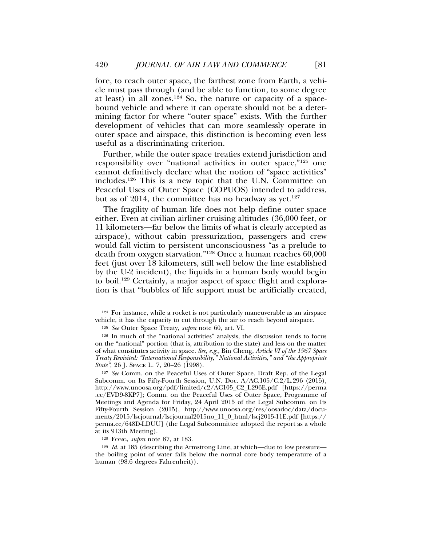fore, to reach outer space, the farthest zone from Earth, a vehicle must pass through (and be able to function, to some degree at least) in all zones.<sup>124</sup> So, the nature or capacity of a spacebound vehicle and where it can operate should not be a determining factor for where "outer space" exists. With the further development of vehicles that can more seamlessly operate in outer space and airspace, this distinction is becoming even less useful as a discriminating criterion.

Further, while the outer space treaties extend jurisdiction and responsibility over "national activities in outer space,"125 one cannot definitively declare what the notion of "space activities" includes.126 This is a new topic that the U.N. Committee on Peaceful Uses of Outer Space (COPUOS) intended to address, but as of 2014, the committee has no headway as yet.<sup>127</sup>

The fragility of human life does not help define outer space either. Even at civilian airliner cruising altitudes (36,000 feet, or 11 kilometers—far below the limits of what is clearly accepted as airspace), without cabin pressurization, passengers and crew would fall victim to persistent unconsciousness "as a prelude to death from oxygen starvation."128 Once a human reaches 60,000 feet (just over 18 kilometers, still well below the line established by the U-2 incident), the liquids in a human body would begin to boil.129 Certainly, a major aspect of space flight and exploration is that "bubbles of life support must be artificially created,

<sup>124</sup> For instance, while a rocket is not particularly maneuverable as an airspace vehicle, it has the capacity to cut through the air to reach beyond airspace.

<sup>125</sup> *See* Outer Space Treaty, *supra* note 60, art. VI.

<sup>126</sup> In much of the "national activities" analysis, the discussion tends to focus on the "national" portion (that is, attribution to the state) and less on the matter of what constitutes activity in space. *See, e.g.*, Bin Cheng, *Article VI of the 1967 Space Treaty Revisited: "International Responsibility," National Activities," and "the Appropriate State"*, 26 J. SPACE L. 7, 20–26 (1998).

<sup>127</sup> *See* Comm. on the Peaceful Uses of Outer Space, Draft Rep. of the Legal Subcomm. on Its Fifty-Fourth Session, U.N. Doc. A/AC.105/C.2/L.296 (2015), http://www.unoosa.org/pdf/limited/c2/AC105\_C2\_L296E.pdf [https://perma .cc/EVD9-8KP7]; Comm. on the Peaceful Uses of Outer Space, Programme of Meetings and Agenda for Friday, 24 April 2015 of the Legal Subcomm. on Its Fifty-Fourth Session (2015), http://www.unoosa.org/res/oosadoc/data/documents/2015/lscjournal/lscjournal2015no\_11\_0\_html/lscj2015-11E.pdf [https:// perma.cc/648D-LDUU] (the Legal Subcommittee adopted the report as a whole at its 913th Meeting).

<sup>128</sup> FONG, *supra* note 87, at 183.

<sup>129</sup> *Id.* at 185 (describing the Armstrong Line, at which—due to low pressure the boiling point of water falls below the normal core body temperature of a human (98.6 degrees Fahrenheit)).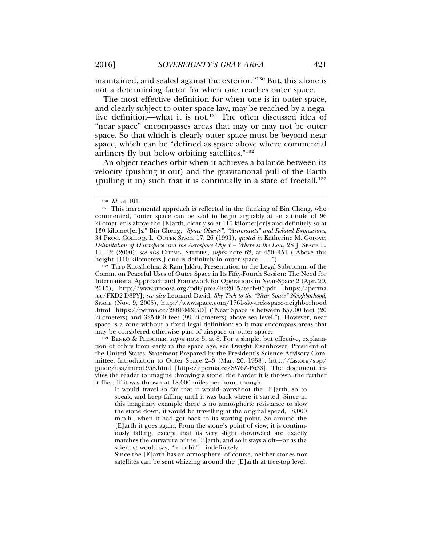maintained, and sealed against the exterior."130 But, this alone is not a determining factor for when one reaches outer space.

The most effective definition for when one is in outer space, and clearly subject to outer space law, may be reached by a negative definition—what it is not.131 The often discussed idea of "near space" encompasses areas that may or may not be outer space. So that which is clearly outer space must be beyond near space, which can be "defined as space above where commercial airliners fly but below orbiting satellites."132

An object reaches orbit when it achieves a balance between its velocity (pushing it out) and the gravitational pull of the Earth (pulling it in) such that it is continually in a state of freefall.<sup>133</sup>

<sup>132</sup> Taro Kuusiholma & Ram Jakhu, Presentation to the Legal Subcomm. of the Comm. on Peaceful Uses of Outer Space in Its Fifty-Fourth Session: The Need for International Approach and Framework for Operations in Near-Space 2 (Apr. 20, 2015), http://www.unoosa.org/pdf/pres/lsc2015/tech-06.pdf [https://perma .cc/FKD2-D8PY]; *see also* Leonard David, *Sky Trek to the "Near Space" Neighborhood*, SPACE (Nov. 9, 2005), http://www.space.com/1761-sky-trek-space-neighborhood .html [https://perma.cc/288F-MXBD] ("Near Space is between 65,000 feet (20 kilometers) and 325,000 feet (99 kilometers) above sea level."). However, near space is a zone without a fixed legal definition; so it may encompass areas that may be considered otherwise part of airspace or outer space.

<sup>133</sup> BENKO & PLESCHER, *supra* note 5, at 8. For a simple, but effective, explanation of orbits from early in the space age, see Dwight Eisenhower, President of the United States, Statement Prepared by the President's Science Advisory Committee: Introduction to Outer Space 2–3 (Mar. 26, 1958), http://fas.org/spp/ guide/usa/intro1958.html [https://perma.cc/SW6Z-P633]. The document invites the reader to imagine throwing a stone; the harder it is thrown, the further it flies. If it was thrown at 18,000 miles per hour, though:

It would travel so far that it would overshoot the [E]arth, so to speak, and keep falling until it was back where it started. Since in this imaginary example there is no atmospheric resistance to slow the stone down, it would be travelling at the original speed, 18,000 m.p.h., when it had got back to its starting point. So around the [E]arth it goes again. From the stone's point of view, it is continuously falling, except that its very slight downward arc exactly matches the curvature of the [E]arth, and so it stays aloft—or as the scientist would say, "in orbit"—indefinitely.

Since the [E]arth has an atmosphere, of course, neither stones nor satellites can be sent whizzing around the [E]arth at tree-top level.

<sup>130</sup> *Id.* at 191.

<sup>131</sup> This incremental approach is reflected in the thinking of Bin Cheng, who commented, "outer space can be said to begin arguably at an altitude of 96 kilomet[er]s above the [E]arth, clearly so at 110 kilomet[er]s and definitely so at 130 kilomet[er]s." Bin Cheng, *"Space Objects", "Astronauts" and Related Expressions*, 34 PROC. COLLOQ. L. OUTER SPACE 17, 26 (1991), *quoted in* Katherine M. Gorove, *Delimitation of Outerspace and the Aerospace Object – Where is the Law*, 28 J. SPACE L. 11, 12 (2000); *see also* CHENG, STUDIES, *supra* note 62, at 450–451 ("Above this height [110 kilometers,] one is definitely in outer space. . . .").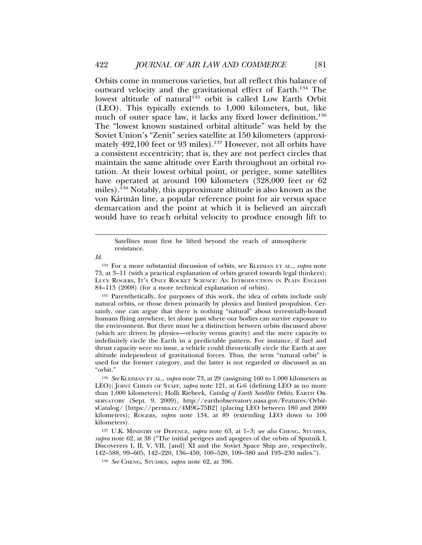Orbits come in numerous varieties, but all reflect this balance of outward velocity and the gravitational effect of Earth.134 The lowest altitude of natural<sup>135</sup> orbit is called Low Earth Orbit (LEO). This typically extends to 1,000 kilometers, but, like much of outer space law, it lacks any fixed lower definition.<sup>136</sup> The "lowest known sustained orbital altitude" was held by the Soviet Union's "Zenit" series satellite at 150 kilometers (approximately 492,100 feet or 93 miles).<sup>137</sup> However, not all orbits have a consistent eccentricity; that is, they are not perfect circles that maintain the same altitude over Earth throughout an orbital rotation. At their lowest orbital point, or perigee, some satellites have operated at around 100 kilometers (328,000 feet or 62 miles).138 Notably, this approximate altitude is also known as the von Kármán line, a popular reference point for air versus space demarcation and the point at which it is believed an aircraft would have to reach orbital velocity to produce enough lift to

<sup>135</sup> Parenthetically, for purposes of this work, the idea of orbits include only natural orbits, or those driven primarily by physics and limited propulsion. Certainly, one can argue that there is nothing "natural" about terrestrially-bound humans flying anywhere, let alone past where our bodies can survive exposure to the environment. But there must be a distinction between orbits discussed above (which are driven by physics—velocity versus gravity) and the mere capacity to indefinitely circle the Earth in a predictable pattern. For instance, if fuel and thrust capacity were no issue, a vehicle could theoretically circle the Earth at any altitude independent of gravitational forces. Thus, the term "natural orbit" is used for the former category, and the latter is not regarded or discussed as an "orbit."

<sup>137</sup> U.K. MINISTRY OF DEFENCE, *supra* note 63, at 1–3; *see also* CHENG, STUDIES, *supra* note 62, at 38 ("The initial perigees and apogees of the orbits of Sputnik I, Discoverers I, II, V, VII, [and] XI and the Soviet Space Ship are, respectively, 142–588, 99–605, 142–220, 136–450, 100–520, 109–380 and 193–230 miles.").

Satellites must first be lifted beyond the reach of atmospheric resistance.

*Id.*

<sup>134</sup> For a more substantial discussion of orbits, see KLEIMAN ET AL., *supra* note 73, at 3–11 (with a practical explanation of orbits geared towards legal thinkers); LUCY ROGERS, IT'S ONLY ROCKET SCIENCE: AN INTRODUCTION IN PLAIN ENGLISH 84–113 (2008) (for a more technical explanation of orbits).

<sup>136</sup> *See* KLEIMAN ET AL., *supra* note 73, at 29 (assigning 160 to 1,000 kilometers as LEO); JOINT CHIEFS OF STAFF, *supra* note 121, at G-6 (defining LEO as no more than 1,000 kilometers); Holli Riebeek, *Catalog of Earth Satellite Orbits*, EARTH OB-SERVATORY (Sept. 9, 2009), http://earthobservatory.nasa.gov/Features/OrbitsCatalog/ [https://perma.cc/4M9G-75B2] (placing LEO between 180 and 2000 kilometers); ROGERS, *supra* note 134, at 89 (extending LEO down to 100 kilometers).

<sup>138</sup> *See* CHENG, STUDIES, *supra* note 62, at 396.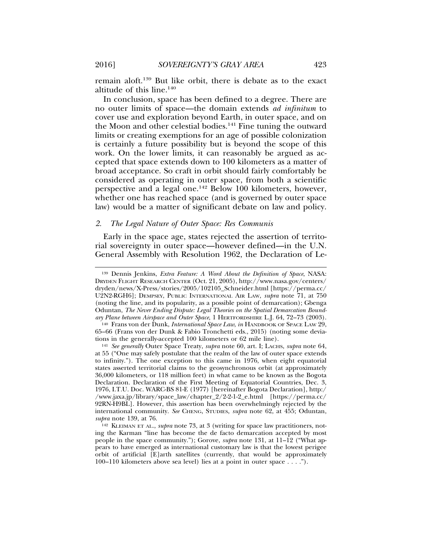remain aloft.139 But like orbit, there is debate as to the exact altitude of this line.140

In conclusion, space has been defined to a degree. There are no outer limits of space—the domain extends *ad infinitum* to cover use and exploration beyond Earth, in outer space, and on the Moon and other celestial bodies.<sup>141</sup> Fine tuning the outward limits or creating exemptions for an age of possible colonization is certainly a future possibility but is beyond the scope of this work. On the lower limits, it can reasonably be argued as accepted that space extends down to 100 kilometers as a matter of broad acceptance. So craft in orbit should fairly comfortably be considered as operating in outer space, from both a scientific perspective and a legal one.142 Below 100 kilometers, however, whether one has reached space (and is governed by outer space law) would be a matter of significant debate on law and policy.

## *2. The Legal Nature of Outer Space: Res Communis*

Early in the space age, states rejected the assertion of territorial sovereignty in outer space—however defined—in the U.N. General Assembly with Resolution 1962, the Declaration of Le-

<sup>139</sup> Dennis Jenkins, *Extra Feature: A Word About the Definition of Space*, NASA: DRYDEN FLIGHT RESEARCH CENTER (Oct. 21, 2005), http://www.nasa.gov/centers/ dryden/news/X-Press/stories/2005/102105\_Schneider.html [https://perma.cc/ U2N2-RGH6]; DEMPSEY, PUBLIC INTERNATIONAL AIR LAW, *supra* note 71, at 750 (noting the line, and its popularity, as a possible point of demarcation); Gbenga Oduntan, *The Never Ending Dispute: Legal Theories on the Spatial Demarcation Boundary Plane between Airspace and Outer Space*, 1 HERTFORDSHIRE L.J. 64, 72–73 (2003).

<sup>140</sup> Frans von der Dunk, *International Space Law*, *in* HANDBOOK OF SPACE LAW 29, 65–66 (Frans von der Dunk & Fabio Tronchetti eds., 2015) (noting some deviations in the generally-accepted 100 kilometers or 62 mile line).

<sup>141</sup> *See generally* Outer Space Treaty, *supra* note 60, art. I; LACHS, *supra* note 64, at 55 ("One may safely postulate that the realm of the law of outer space extends to infinity."). The one exception to this came in 1976, when eight equatorial states asserted territorial claims to the geosynchronous orbit (at approximately 36,000 kilometers, or 118 million feet) in what came to be known as the Bogota Declaration. Declaration of the First Meeting of Equatorial Countries, Dec. 3, 1976, I.T.U. Doc. WARC-BS 81-E (1977) [hereinafter Bogota Declaration], http:/ /www.jaxa.jp/library/space\_law/chapter\_2/2-2-1-2\_e.html [https://perma.cc/ 92RN-H9BL]. However, this assertion has been overwhelmingly rejected by the international community. *See* CHENG, STUDIES, *supra* note 62, at 455; Oduntan, *supra* note 139, at 76.

<sup>142</sup> KLEIMAN ET AL., *supra* note 73, at 3 (writing for space law practitioners, noting the Karman "line has become the de facto demarcation accepted by most people in the space community."); Gorove, *supra* note 131, at 11–12 ("What appears to have emerged as international customary law is that the lowest perigee orbit of artificial [E]arth satellites (currently, that would be approximately 100–110 kilometers above sea level) lies at a point in outer space . . . .").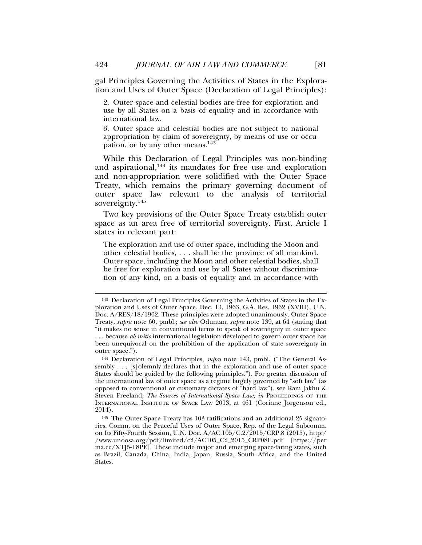gal Principles Governing the Activities of States in the Exploration and Uses of Outer Space (Declaration of Legal Principles):

2. Outer space and celestial bodies are free for exploration and use by all States on a basis of equality and in accordance with international law.

3. Outer space and celestial bodies are not subject to national appropriation by claim of sovereignty, by means of use or occupation, or by any other means.<sup>143</sup>

While this Declaration of Legal Principles was non-binding and aspirational,<sup>144</sup> its mandates for free use and exploration and non-appropriation were solidified with the Outer Space Treaty, which remains the primary governing document of outer space law relevant to the analysis of territorial sovereignty.145

Two key provisions of the Outer Space Treaty establish outer space as an area free of territorial sovereignty. First, Article I states in relevant part:

The exploration and use of outer space, including the Moon and other celestial bodies, . . . shall be the province of all mankind. Outer space, including the Moon and other celestial bodies, shall be free for exploration and use by all States without discrimination of any kind, on a basis of equality and in accordance with

<sup>143</sup> Declaration of Legal Principles Governing the Activities of States in the Exploration and Uses of Outer Space, Dec. 13, 1963, G.A. Res. 1962 (XVIII), U.N. Doc. A/RES/18/1962. These principles were adopted unanimously. Outer Space Treaty, *supra* note 60, pmbl.; *see also* Oduntan, *supra* note 139, at 64 (stating that "it makes no sense in conventional terms to speak of sovereignty in outer space . . . because *ab initio* international legislation developed to govern outer space has been unequivocal on the prohibition of the application of state sovereignty in outer space.").

<sup>144</sup> Declaration of Legal Principles, *supra* note 143, pmbl. ("The General Assembly . . . [s]olemnly declares that in the exploration and use of outer space States should be guided by the following principles."). For greater discussion of the international law of outer space as a regime largely governed by "soft law" (as opposed to conventional or customary dictates of "hard law"), see Ram Jakhu & Steven Freeland, *The Sources of International Space Law*, *in* PROCEEDINGS OF THE INTERNATIONAL INSTITUTE OF SPACE LAW 2013, at 461 (Corinne Jorgenson ed., 2014).

<sup>145</sup> The Outer Space Treaty has 103 ratifications and an additional 25 signatories. Comm. on the Peaceful Uses of Outer Space, Rep. of the Legal Subcomm. on Its Fifty-Fourth Session, U.N. Doc. A/AC.105/C.2/2015/CRP.8 (2015), http:/ /www.unoosa.org/pdf/limited/c2/AC105\_C2\_2015\_CRP08E.pdf [https://per ma.cc/XTJ5-T8PE]. These include major and emerging space-faring states, such as Brazil, Canada, China, India, Japan, Russia, South Africa, and the United States.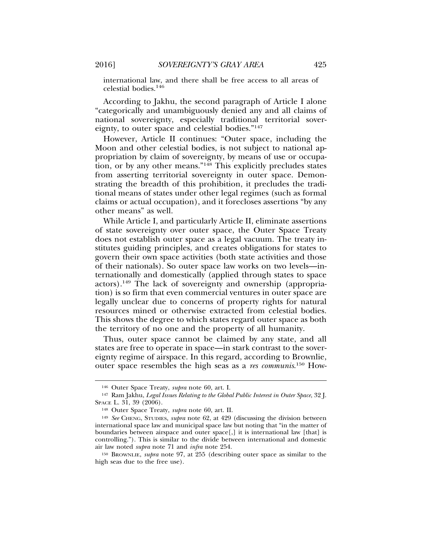international law, and there shall be free access to all areas of celestial bodies.146

According to Jakhu, the second paragraph of Article I alone "categorically and unambiguously denied any and all claims of national sovereignty, especially traditional territorial sovereignty, to outer space and celestial bodies."147

However, Article II continues: "Outer space, including the Moon and other celestial bodies, is not subject to national appropriation by claim of sovereignty, by means of use or occupation, or by any other means."148 This explicitly precludes states from asserting territorial sovereignty in outer space. Demonstrating the breadth of this prohibition, it precludes the traditional means of states under other legal regimes (such as formal claims or actual occupation), and it forecloses assertions "by any other means" as well.

While Article I, and particularly Article II, eliminate assertions of state sovereignty over outer space, the Outer Space Treaty does not establish outer space as a legal vacuum. The treaty institutes guiding principles, and creates obligations for states to govern their own space activities (both state activities and those of their nationals). So outer space law works on two levels—internationally and domestically (applied through states to space actors).149 The lack of sovereignty and ownership (appropriation) is so firm that even commercial ventures in outer space are legally unclear due to concerns of property rights for natural resources mined or otherwise extracted from celestial bodies. This shows the degree to which states regard outer space as both the territory of no one and the property of all humanity.

Thus, outer space cannot be claimed by any state, and all states are free to operate in space—in stark contrast to the sovereignty regime of airspace. In this regard, according to Brownlie, outer space resembles the high seas as a *res communis*. 150 How-

<sup>146</sup> Outer Space Treaty, *supra* note 60, art. I.

<sup>147</sup> Ram Jakhu, *Legal Issues Relating to the Global Public Interest in Outer Space*, 32 J. SPACE L. 31, 39 (2006).

<sup>148</sup> Outer Space Treaty, *supra* note 60, art. II.

<sup>149</sup> *See* CHENG, STUDIES, *supra* note 62, at 429 (discussing the division between international space law and municipal space law but noting that "in the matter of boundaries between airspace and outer space[,] it is international law [that] is controlling."). This is similar to the divide between international and domestic air law noted *supra* note 71 and *infra* note 254.

<sup>150</sup> BROWNLIE, *supra* note 97, at 255 (describing outer space as similar to the high seas due to the free use).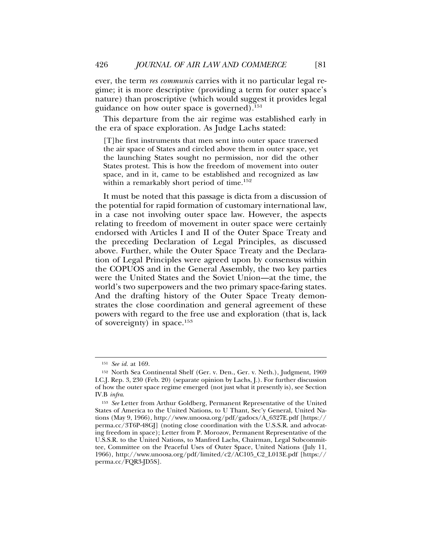ever, the term *res communis* carries with it no particular legal regime; it is more descriptive (providing a term for outer space's nature) than proscriptive (which would suggest it provides legal guidance on how outer space is governed).151

This departure from the air regime was established early in the era of space exploration. As Judge Lachs stated:

[T]he first instruments that men sent into outer space traversed the air space of States and circled above them in outer space, yet the launching States sought no permission, nor did the other States protest. This is how the freedom of movement into outer space, and in it, came to be established and recognized as law within a remarkably short period of time.<sup>152</sup>

It must be noted that this passage is dicta from a discussion of the potential for rapid formation of customary international law, in a case not involving outer space law. However, the aspects relating to freedom of movement in outer space were certainly endorsed with Articles I and II of the Outer Space Treaty and the preceding Declaration of Legal Principles, as discussed above. Further, while the Outer Space Treaty and the Declaration of Legal Principles were agreed upon by consensus within the COPUOS and in the General Assembly, the two key parties were the United States and the Soviet Union—at the time, the world's two superpowers and the two primary space-faring states. And the drafting history of the Outer Space Treaty demonstrates the close coordination and general agreement of these powers with regard to the free use and exploration (that is, lack of sovereignty) in space.153

<sup>151</sup> *See id.* at 169.

<sup>152</sup> North Sea Continental Shelf (Ger. v. Den., Ger. v. Neth.), Judgment, 1969 I.C.J. Rep. 3, 230 (Feb. 20) (separate opinion by Lachs, J.). For further discussion of how the outer space regime emerged (not just what it presently is), see Section IV.B *infra*.

<sup>153</sup> *See* Letter from Arthur Goldberg, Permanent Representative of the United States of America to the United Nations, to U Thant, Sec'y General, United Nations (May 9, 1966), http://www.unoosa.org/pdf/gadocs/A\_6327E.pdf [https:// perma.cc/3T6P-48GJ] (noting close coordination with the U.S.S.R. and advocating freedom in space); Letter from P. Morozov, Permanent Representative of the U.S.S.R. to the United Nations, to Manfred Lachs, Chairman, Legal Subcommittee, Committee on the Peaceful Uses of Outer Space, United Nations (July 11, 1966), http://www.unoosa.org/pdf/limited/c2/AC105\_C2\_L013E.pdf [https:// perma.cc/FQR3-JD5S].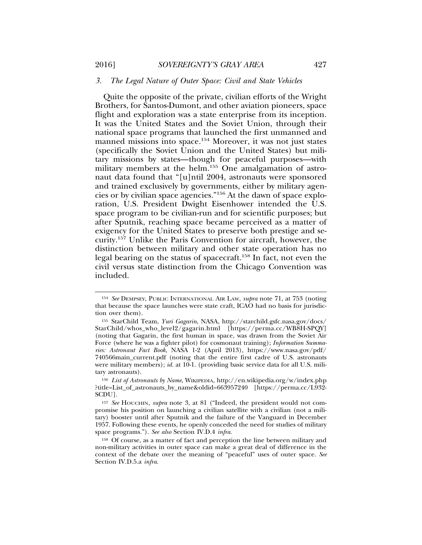## *3. The Legal Nature of Outer Space: Civil and State Vehicles*

Quite the opposite of the private, civilian efforts of the Wright Brothers, for Santos-Dumont, and other aviation pioneers, space flight and exploration was a state enterprise from its inception. It was the United States and the Soviet Union, through their national space programs that launched the first unmanned and manned missions into space.<sup>154</sup> Moreover, it was not just states (specifically the Soviet Union and the United States) but military missions by states—though for peaceful purposes—with military members at the helm.155 One amalgamation of astronaut data found that "[u]ntil 2004, astronauts were sponsored and trained exclusively by governments, either by military agencies or by civilian space agencies."156 At the dawn of space exploration, U.S. President Dwight Eisenhower intended the U.S. space program to be civilian-run and for scientific purposes; but after Sputnik, reaching space became perceived as a matter of exigency for the United States to preserve both prestige and security.157 Unlike the Paris Convention for aircraft, however, the distinction between military and other state operation has no legal bearing on the status of spacecraft.158 In fact, not even the civil versus state distinction from the Chicago Convention was included.

<sup>154</sup> *See* DEMPSEY, PUBLIC INTERNATIONAL AIR LAW, *supra* note 71, at 753 (noting that because the space launches were state craft, ICAO had no basis for jurisdiction over them).

<sup>155</sup> StarChild Team, *Yuri Gagarin*, NASA, http://starchild.gsfc.nasa.gov/docs/ StarChild/whos\_who\_level2/gagarin.html [https://perma.cc/WB8H-SPQY] (noting that Gagarin, the first human in space, was drawn from the Soviet Air Force (where he was a fighter pilot) for cosmonaut training); *Information Summaries: Astronaut Fact Book*, NASA 1-2 (April 2013), https://www.nasa.gov/pdf/ 740566main\_current.pdf (noting that the entire first cadre of U.S. astronauts were military members); *id.* at 10-1. (providing basic service data for all U.S. military astronauts).

<sup>156</sup> *List of Astronauts by Name*, WIKIPEDIA, http://en.wikipedia.org/w/index.php ?title=List\_of\_astronauts\_by\_name&oldid=663957240 [https://perma.cc/L932- SCDU].

<sup>157</sup> *See* HOUCHIN, *supra* note 3, at 81 ("Indeed, the president would not compromise his position on launching a civilian satellite with a civilian (not a military) booster until after Sputnik and the failure of the Vanguard in December 1957. Following these events, he openly conceded the need for studies of military space programs."). *See also* Section IV.D.4 *infra*.

<sup>158</sup> Of course, as a matter of fact and perception the line between military and non-military activities in outer space can make a great deal of difference in the context of the debate over the meaning of "peaceful" uses of outer space. *See* Section IV.D.5.a *infra*.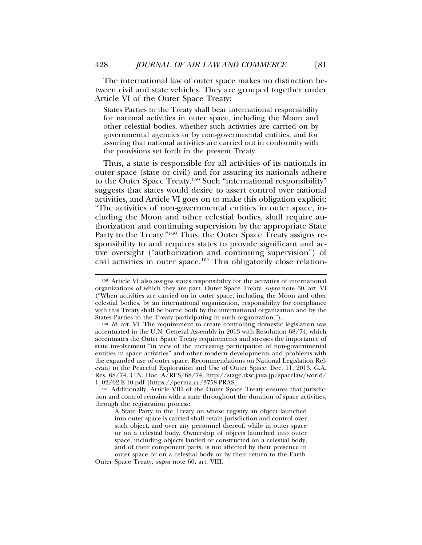The international law of outer space makes no distinction between civil and state vehicles. They are grouped together under Article VI of the Outer Space Treaty:

States Parties to the Treaty shall bear international responsibility for national activities in outer space, including the Moon and other celestial bodies, whether such activities are carried on by governmental agencies or by non-governmental entities, and for assuring that national activities are carried out in conformity with the provisions set forth in the present Treaty.

Thus, a state is responsible for all activities of its nationals in outer space (state or civil) and for assuring its nationals adhere to the Outer Space Treaty.159 Such "international responsibility" suggests that states would desire to assert control over national activities, and Article VI goes on to make this obligation explicit: "The activities of non-governmental entities in outer space, including the Moon and other celestial bodies, shall require authorization and continuing supervision by the appropriate State Party to the Treaty."160 Thus, the Outer Space Treaty assigns responsibility to and requires states to provide significant and active oversight ("authorization and continuing supervision") of civil activities in outer space.161 This obligatorily close relation-

<sup>159</sup> Article VI also assigns states responsibility for the activities of international organizations of which they are part. Outer Space Treaty, *supra* note 60, art. VI ("When activities are carried on in outer space, including the Moon and other celestial bodies, by an international organization, responsibility for compliance with this Treaty shall be borne both by the international organization and by the States Parties to the Treaty participating in such organization.").

<sup>&</sup>lt;sup>160</sup> *Id.* art. VI. The requirement to create controlling domestic legislation was accentuated in the U.N. General Assembly in 2013 with Resolution 68/74, which accentuates the Outer Space Treaty requirements and stresses the importance of state involvement "in view of the increasing participation of non-governmental entities in space activities" and other modern developments and problems with the expanded use of outer space. Recommendations on National Legislation Relevant to the Peaceful Exploration and Use of Outer Space, Dec. 11, 2013, G.A. Res. 68/74, U.N. Doc. A/RES/68/74, http://stage.tksc.jaxa.jp/spacelaw/world/ 1\_02/02.E-10.pdf [https://perma.cc/3758-PRAS].

<sup>161</sup> Additionally, Article VIII of the Outer Space Treaty ensures that jurisdiction and control remains with a state throughout the duration of space activities, through the registration process:

A State Party to the Treaty on whose registry an object launched into outer space is carried shall retain jurisdiction and control over such object, and over any personnel thereof, while in outer space or on a celestial body. Ownership of objects launched into outer space, including objects landed or constructed on a celestial body, and of their component parts, is not affected by their presence in outer space or on a celestial body or by their return to the Earth.

Outer Space Treaty, *supra* note 60, art. VIII.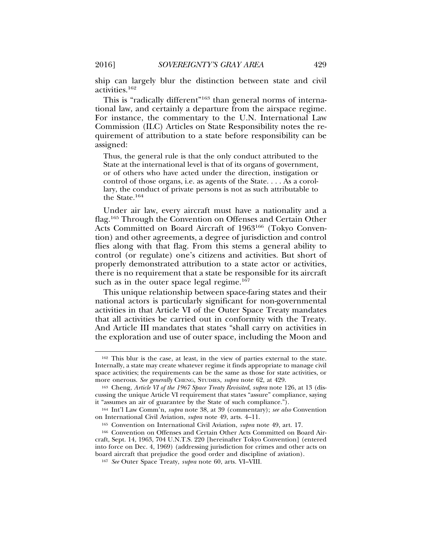ship can largely blur the distinction between state and civil activities.162

This is "radically different"<sup>163</sup> than general norms of international law, and certainly a departure from the airspace regime. For instance, the commentary to the U.N. International Law Commission (ILC) Articles on State Responsibility notes the requirement of attribution to a state before responsibility can be assigned:

Thus, the general rule is that the only conduct attributed to the State at the international level is that of its organs of government, or of others who have acted under the direction, instigation or control of those organs, i.e. as agents of the State. . . . As a corollary, the conduct of private persons is not as such attributable to the State.<sup>164</sup>

Under air law, every aircraft must have a nationality and a flag.165 Through the Convention on Offenses and Certain Other Acts Committed on Board Aircraft of 1963<sup>166</sup> (Tokyo Convention) and other agreements, a degree of jurisdiction and control flies along with that flag. From this stems a general ability to control (or regulate) one's citizens and activities. But short of properly demonstrated attribution to a state actor or activities, there is no requirement that a state be responsible for its aircraft such as in the outer space legal regime. $167$ 

This unique relationship between space-faring states and their national actors is particularly significant for non-governmental activities in that Article VI of the Outer Space Treaty mandates that all activities be carried out in conformity with the Treaty. And Article III mandates that states "shall carry on activities in the exploration and use of outer space, including the Moon and

<sup>162</sup> This blur is the case, at least, in the view of parties external to the state. Internally, a state may create whatever regime it finds appropriate to manage civil space activities; the requirements can be the same as those for state activities, or more onerous. *See generally* CHENG, STUDIES, *supra* note 62, at 429.

<sup>163</sup> Cheng, *Article VI of the 1967 Space Treaty Revisited*, *supra* note 126, at 13 (discussing the unique Article VI requirement that states "assure" compliance, saying it "assumes an air of guarantee by the State of such compliance.").

<sup>164</sup> Int'l Law Comm'n, *supra* note 38, at 39 (commentary); *see also* Convention on International Civil Aviation, *supra* note 49, arts. 4–11.

<sup>165</sup> Convention on International Civil Aviation, *supra* note 49, art. 17.

<sup>166</sup> Convention on Offenses and Certain Other Acts Committed on Board Aircraft, Sept. 14, 1963, 704 U.N.T.S. 220 [hereinafter Tokyo Convention] (entered into force on Dec. 4, 1969) (addressing jurisdiction for crimes and other acts on board aircraft that prejudice the good order and discipline of aviation).

<sup>167</sup> *See* Outer Space Treaty, *supra* note 60, arts. VI–VIII.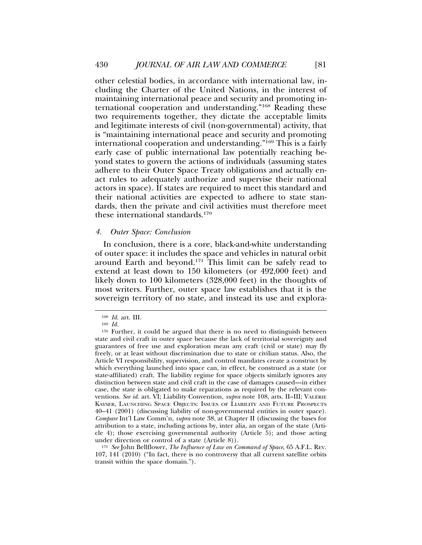other celestial bodies, in accordance with international law, including the Charter of the United Nations, in the interest of maintaining international peace and security and promoting international cooperation and understanding."168 Reading these two requirements together, they dictate the acceptable limits and legitimate interests of civil (non-governmental) activity, that is "maintaining international peace and security and promoting international cooperation and understanding."169 This is a fairly early case of public international law potentially reaching beyond states to govern the actions of individuals (assuming states adhere to their Outer Space Treaty obligations and actually enact rules to adequately authorize and supervise their national actors in space). If states are required to meet this standard and their national activities are expected to adhere to state standards, then the private and civil activities must therefore meet these international standards.170

### *4. Outer Space: Conclusion*

In conclusion, there is a core, black-and-white understanding of outer space: it includes the space and vehicles in natural orbit around Earth and beyond.171 This limit can be safely read to extend at least down to 150 kilometers (or 492,000 feet) and likely down to 100 kilometers (328,000 feet) in the thoughts of most writers. Further, outer space law establishes that it is the sovereign territory of no state, and instead its use and explora-

<sup>171</sup> *See* John Bellflower, *The Influence of Law on Command of Space*, 65 A.F.L. REV. 107, 141 (2010) ("In fact, there is no controversy that all current satellite orbits transit within the space domain.").

<sup>168</sup> *Id.* art. III.

<sup>169</sup> *Id.*

<sup>&</sup>lt;sup>170</sup> Further, it could be argued that there is no need to distinguish between state and civil craft in outer space because the lack of territorial sovereignty and guarantees of free use and exploration mean any craft (civil or state) may fly freely, or at least without discrimination due to state or civilian status. Also, the Article VI responsibility, supervision, and control mandates create a construct by which everything launched into space can, in effect, be construed as a state (or state-affiliated) craft. The liability regime for space objects similarly ignores any distinction between state and civil craft in the case of damages caused—in either case, the state is obligated to make reparations as required by the relevant conventions. See id. art. VI; Liability Convention, *supra* note 108, arts. II-III; VALERIE KAYSER, LAUNCHING SPACE OBJECTS: ISSUES OF LIABILITY AND FUTURE PROSPECTS 40–41 (2001) (discussing liability of non-governmental entities in outer space). *Compare* Int'l Law Comm'n, *supra* note 38, at Chapter II (discussing the bases for attribution to a state, including actions by, inter alia, an organ of the state (Article 4); those exercising governmental authority (Article 5); and those acting under direction or control of a state (Article 8)).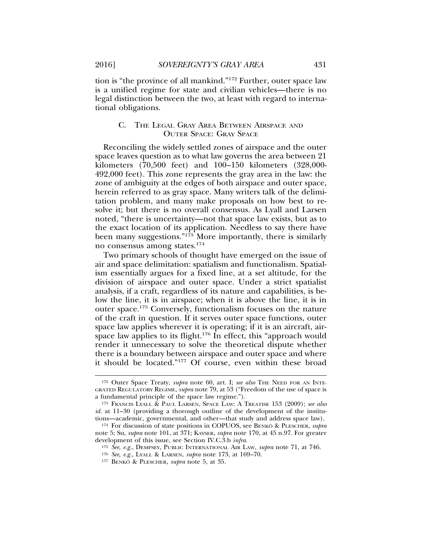tion is "the province of all mankind."172 Further, outer space law is a unified regime for state and civilian vehicles—there is no legal distinction between the two, at least with regard to international obligations.

# C. THE LEGAL GRAY AREA BETWEEN AIRSPACE AND OUTER SPACE: GRAY SPACE

Reconciling the widely settled zones of airspace and the outer space leaves question as to what law governs the area between 21 kilometers (70,500 feet) and 100–150 kilometers (328,000- 492,000 feet). This zone represents the gray area in the law: the zone of ambiguity at the edges of both airspace and outer space, herein referred to as gray space. Many writers talk of the delimitation problem, and many make proposals on how best to resolve it; but there is no overall consensus. As Lyall and Larsen noted, "there is uncertainty—not that space law exists, but as to the exact location of its application. Needless to say there have been many suggestions." $173$  More importantly, there is similarly no consensus among states.174

Two primary schools of thought have emerged on the issue of air and space delimitation: spatialism and functionalism. Spatialism essentially argues for a fixed line, at a set altitude, for the division of airspace and outer space. Under a strict spatialist analysis, if a craft, regardless of its nature and capabilities, is below the line, it is in airspace; when it is above the line, it is in outer space.175 Conversely, functionalism focuses on the nature of the craft in question. If it serves outer space functions, outer space law applies wherever it is operating; if it is an aircraft, airspace law applies to its flight.<sup>176</sup> In effect, this "approach would render it unnecessary to solve the theoretical dispute whether there is a boundary between airspace and outer space and where it should be located."177 Of course, even within these broad

<sup>&</sup>lt;sup>172</sup> Outer Space Treaty, *supra* note 60, art. I; *see also* THE NEED FOR AN INTE-GRATED REGULATORY REGIME, *supra* note 79, at 53 ("Freedom of the use of space is a fundamental principle of the space law regime.").

<sup>173</sup> FRANCIS LYALL & PAUL LARSEN, SPACE LAW: A TREATISE 153 (2009); *see also id.* at 11–30 (providing a thorough outline of the development of the institutions—academic, governmental, and other—that study and address space law).

<sup>174</sup> For discussion of state positions in COPUOS, see BENKO & PLESCHER, *supra* note 5; Su, *supra* note 101, at 371; KAYSER, *supra* note 170, at 45 n.97. For greater development of this issue, see Section IV.C.3.b *infra*.

<sup>175</sup> *See, e.g.*, DEMPSEY, PUBLIC INTERNATIONAL AIR LAW, *supra* note 71, at 746.

<sup>176</sup> *See, e.g.*, LYALL & LARSEN, *supra* note 173, at 169–70.

<sup>&</sup>lt;sup>177</sup> BENKO<sup>®</sup> & PLESCHER, *supra* note 5, at 35.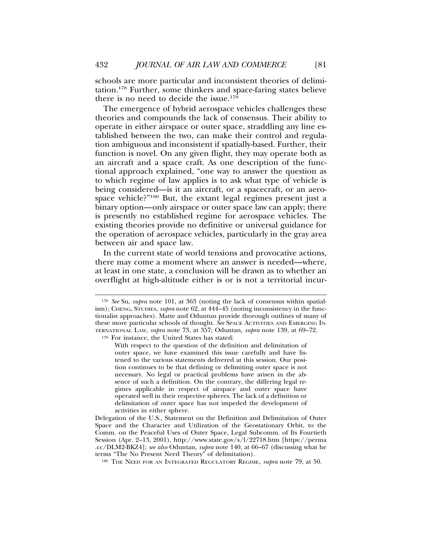schools are more particular and inconsistent theories of delimitation.178 Further, some thinkers and space-faring states believe there is no need to decide the issue.<sup>179</sup>

The emergence of hybrid aerospace vehicles challenges these theories and compounds the lack of consensus. Their ability to operate in either airspace or outer space, straddling any line established between the two, can make their control and regulation ambiguous and inconsistent if spatially-based. Further, their function is novel. On any given flight, they may operate both as an aircraft and a space craft. As one description of the functional approach explained, "one way to answer the question as to which regime of law applies is to ask what type of vehicle is being considered—is it an aircraft, or a spacecraft, or an aerospace vehicle?"180 But, the extant legal regimes present just a binary option—only airspace or outer space law can apply; there is presently no established regime for aerospace vehicles. The existing theories provide no definitive or universal guidance for the operation of aerospace vehicles, particularly in the gray area between air and space law.

In the current state of world tensions and provocative actions, there may come a moment where an answer is needed—where, at least in one state, a conclusion will be drawn as to whether an overflight at high-altitude either is or is not a territorial incur-

<sup>180</sup> THE NEED FOR AN INTEGRATED REGULATORY REGIME, *supra* note 79, at 50.

<sup>178</sup> *See* Su, *supra* note 101, at 363 (noting the lack of consensus within spatialism); CHENG, STUDIES, *supra* note 62, at 444–45 (noting inconsistency in the functionalist approaches). Matte and Oduntun provide thorough outlines of many of these more particular schools of thought. *See* SPACE ACTIVITIES AND EMERGING IN-TERNATIONAL LAW, *supra* note 73, at 357; Oduntan, *supra* note 139, at 69–72.

<sup>179</sup> For instance, the United States has stated:

With respect to the question of the definition and delimitation of outer space, we have examined this issue carefully and have listened to the various statements delivered at this session. Our position continues to be that defining or delimiting outer space is not necessary. No legal or practical problems have arisen in the absence of such a definition. On the contrary, the differing legal regimes applicable in respect of airspace and outer space have operated well in their respective spheres. The lack of a definition or delimitation of outer space has not impeded the development of activities in either sphere.

Delegation of the U.S., Statement on the Definition and Delimitation of Outer Space and the Character and Utilization of the Geostationary Orbit, to the Comm. on the Peaceful Uses of Outer Space, Legal Subcomm. of Its Fourtieth Session (Apr. 2–13, 2001), http://www.state.gov/s/l/22718.htm [https://perma .cc/DLM2-BKZ4]; *see also* Oduntan, *supra* note 140, at 66–67 (discussing what he terms "The No Present Need Theory" of delimitation).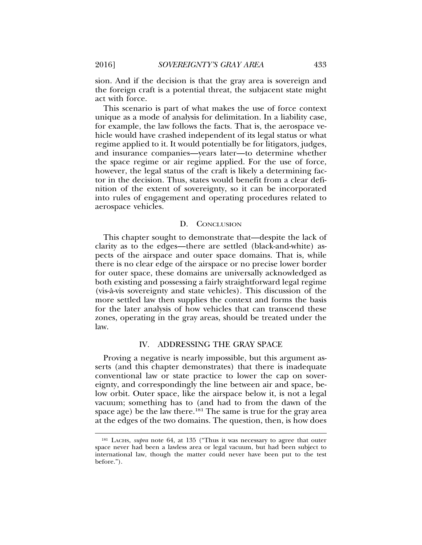sion. And if the decision is that the gray area is sovereign and the foreign craft is a potential threat, the subjacent state might act with force.

This scenario is part of what makes the use of force context unique as a mode of analysis for delimitation. In a liability case, for example, the law follows the facts. That is, the aerospace vehicle would have crashed independent of its legal status or what regime applied to it. It would potentially be for litigators, judges, and insurance companies—years later—to determine whether the space regime or air regime applied. For the use of force, however, the legal status of the craft is likely a determining factor in the decision. Thus, states would benefit from a clear definition of the extent of sovereignty, so it can be incorporated into rules of engagement and operating procedures related to aerospace vehicles.

#### D. CONCLUSION

This chapter sought to demonstrate that—despite the lack of clarity as to the edges—there are settled (black-and-white) aspects of the airspace and outer space domains. That is, while there is no clear edge of the airspace or no precise lower border for outer space, these domains are universally acknowledged as both existing and possessing a fairly straightforward legal regime (vis-a-vis sovereignty and state vehicles). This discussion of the ` more settled law then supplies the context and forms the basis for the later analysis of how vehicles that can transcend these zones, operating in the gray areas, should be treated under the law.

## IV. ADDRESSING THE GRAY SPACE

Proving a negative is nearly impossible, but this argument asserts (and this chapter demonstrates) that there is inadequate conventional law or state practice to lower the cap on sovereignty, and correspondingly the line between air and space, below orbit. Outer space, like the airspace below it, is not a legal vacuum; something has to (and had to from the dawn of the space age) be the law there.<sup>181</sup> The same is true for the gray area at the edges of the two domains. The question, then, is how does

<sup>181</sup> LACHS, *supra* note 64, at 135 ("Thus it was necessary to agree that outer space never had been a lawless area or legal vacuum, but had been subject to international law, though the matter could never have been put to the test before.").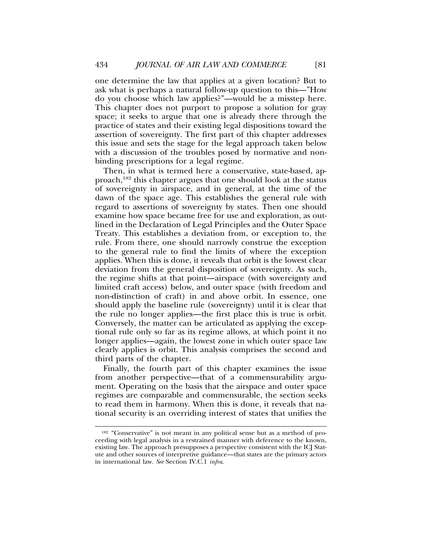one determine the law that applies at a given location? But to ask what is perhaps a natural follow-up question to this—"How do you choose which law applies?"—would be a misstep here. This chapter does not purport to propose a solution for gray space; it seeks to argue that one is already there through the practice of states and their existing legal dispositions toward the assertion of sovereignty. The first part of this chapter addresses this issue and sets the stage for the legal approach taken below with a discussion of the troubles posed by normative and nonbinding prescriptions for a legal regime.

Then, in what is termed here a conservative, state-based, approach,182 this chapter argues that one should look at the status of sovereignty in airspace, and in general, at the time of the dawn of the space age. This establishes the general rule with regard to assertions of sovereignty by states. Then one should examine how space became free for use and exploration, as outlined in the Declaration of Legal Principles and the Outer Space Treaty. This establishes a deviation from, or exception to, the rule. From there, one should narrowly construe the exception to the general rule to find the limits of where the exception applies. When this is done, it reveals that orbit is the lowest clear deviation from the general disposition of sovereignty. As such, the regime shifts at that point—airspace (with sovereignty and limited craft access) below, and outer space (with freedom and non-distinction of craft) in and above orbit. In essence, one should apply the baseline rule (sovereignty) until it is clear that the rule no longer applies—the first place this is true is orbit. Conversely, the matter can be articulated as applying the exceptional rule only so far as its regime allows, at which point it no longer applies—again, the lowest zone in which outer space law clearly applies is orbit. This analysis comprises the second and third parts of the chapter.

Finally, the fourth part of this chapter examines the issue from another perspective—that of a commensurability argument. Operating on the basis that the airspace and outer space regimes are comparable and commensurable, the section seeks to read them in harmony. When this is done, it reveals that national security is an overriding interest of states that unifies the

<sup>&</sup>lt;sup>182</sup> "Conservative" is not meant in any political sense but as a method of proceeding with legal analysis in a restrained manner with deference to the known, existing law. The approach presupposes a perspective consistent with the ICJ Statute and other sources of interpretive guidance—that states are the primary actors in international law. *See* Section IV.C.1 *infra*.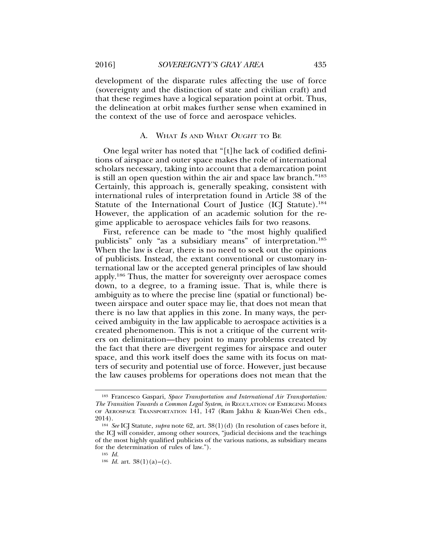development of the disparate rules affecting the use of force (sovereignty and the distinction of state and civilian craft) and that these regimes have a logical separation point at orbit. Thus, the delineation at orbit makes further sense when examined in the context of the use of force and aerospace vehicles.

## A. WHAT IS AND WHAT OUGHT TO BE

One legal writer has noted that "[t]he lack of codified definitions of airspace and outer space makes the role of international scholars necessary, taking into account that a demarcation point is still an open question within the air and space law branch."183 Certainly, this approach is, generally speaking, consistent with international rules of interpretation found in Article 38 of the Statute of the International Court of Justice (ICJ Statute).<sup>184</sup> However, the application of an academic solution for the regime applicable to aerospace vehicles fails for two reasons.

First, reference can be made to "the most highly qualified publicists" only "as a subsidiary means" of interpretation.185 When the law is clear, there is no need to seek out the opinions of publicists. Instead, the extant conventional or customary international law or the accepted general principles of law should apply.186 Thus, the matter for sovereignty over aerospace comes down, to a degree, to a framing issue. That is, while there is ambiguity as to where the precise line (spatial or functional) between airspace and outer space may lie, that does not mean that there is no law that applies in this zone. In many ways, the perceived ambiguity in the law applicable to aerospace activities is a created phenomenon. This is not a critique of the current writers on delimitation—they point to many problems created by the fact that there are divergent regimes for airspace and outer space, and this work itself does the same with its focus on matters of security and potential use of force. However, just because the law causes problems for operations does not mean that the

<sup>183</sup> Francesco Gaspari, *Space Transportation and International Air Transportation: The Transition Towards a Common Legal System*, *in* REGULATION OF EMERGING MODES OF AEROSPACE TRANSPORTATION 141, 147 (Ram Jakhu & Kuan-Wei Chen eds., 2014).

<sup>184</sup> *See* ICJ Statute, *supra* note 62, art. 38(1)(d) (In resolution of cases before it, the ICJ will consider, among other sources, "judicial decisions and the teachings of the most highly qualified publicists of the various nations, as subsidiary means for the determination of rules of law.").

<sup>185</sup> *Id.*

<sup>&</sup>lt;sup>186</sup> *Id.* art.  $38(1)(a)-(c)$ .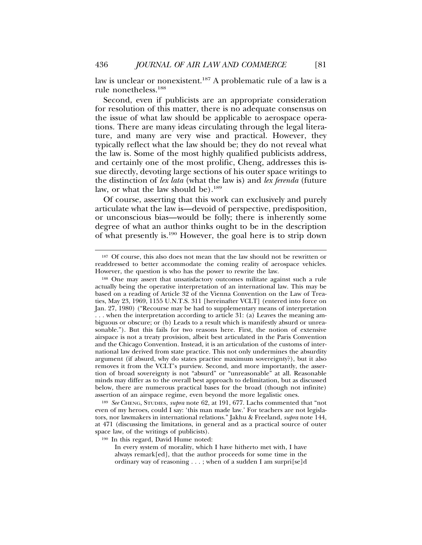law is unclear or nonexistent.<sup>187</sup> A problematic rule of a law is a rule nonetheless.188

Second, even if publicists are an appropriate consideration for resolution of this matter, there is no adequate consensus on the issue of what law should be applicable to aerospace operations. There are many ideas circulating through the legal literature, and many are very wise and practical. However, they typically reflect what the law should be; they do not reveal what the law is. Some of the most highly qualified publicists address, and certainly one of the most prolific, Cheng, addresses this issue directly, devoting large sections of his outer space writings to the distinction of *lex lata* (what the law is) and *lex ferenda* (future law, or what the law should be).<sup>189</sup>

Of course, asserting that this work can exclusively and purely articulate what the law is—devoid of perspective, predisposition, or unconscious bias—would be folly; there is inherently some degree of what an author thinks ought to be in the description of what presently is.190 However, the goal here is to strip down

<sup>189</sup> *See* CHENG, STUDIES, *supra* note 62, at 191, 677. Lachs commented that "not even of my heroes, could I say: 'this man made law.' For teachers are not legislators, nor lawmakers in international relations." Jakhu & Freeland, *supra* note 144, at 471 (discussing the limitations, in general and as a practical source of outer space law, of the writings of publicists).

<sup>190</sup> In this regard, David Hume noted:

<sup>&</sup>lt;sup>187</sup> Of course, this also does not mean that the law should not be rewritten or readdressed to better accommodate the coming reality of aerospace vehicles. However, the question is who has the power to rewrite the law.

<sup>188</sup> One may assert that unsatisfactory outcomes militate against such a rule actually being the operative interpretation of an international law. This may be based on a reading of Article 32 of the Vienna Convention on the Law of Treaties, May 23, 1969, 1155 U.N.T.S. 311 [hereinafter VCLT] (entered into force on Jan. 27, 1980) ("Recourse may be had to supplementary means of interpretation . . . when the interpretation according to article 31: (a) Leaves the meaning ambiguous or obscure; or (b) Leads to a result which is manifestly absurd or unreasonable."). But this fails for two reasons here. First, the notion of extensive airspace is not a treaty provision, albeit best articulated in the Paris Convention and the Chicago Convention. Instead, it is an articulation of the customs of international law derived from state practice. This not only undermines the absurdity argument (if absurd, why do states practice maximum sovereignty?), but it also removes it from the VCLT's purview. Second, and more importantly, the assertion of broad sovereignty is not "absurd" or "unreasonable" at all. Reasonable minds may differ as to the overall best approach to delimitation, but as discussed below, there are numerous practical bases for the broad (though not infinite) assertion of an airspace regime, even beyond the more legalistic ones.

In every system of morality, which I have hitherto met with, I have always remark[ed], that the author proceeds for some time in the ordinary way of reasoning . . . ; when of a sudden I am surpri[se]d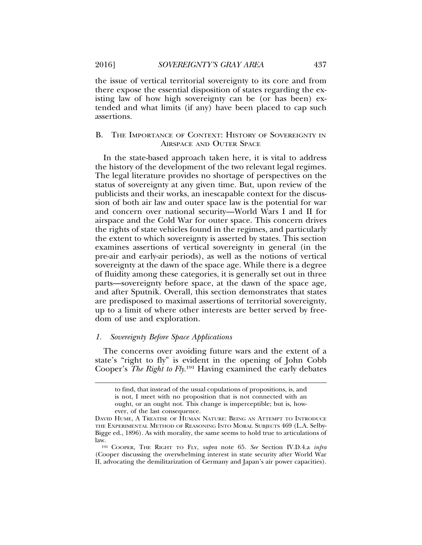the issue of vertical territorial sovereignty to its core and from there expose the essential disposition of states regarding the existing law of how high sovereignty can be (or has been) extended and what limits (if any) have been placed to cap such assertions.

## B. THE IMPORTANCE OF CONTEXT: HISTORY OF SOVEREIGNTY IN AIRSPACE AND OUTER SPACE

In the state-based approach taken here, it is vital to address the history of the development of the two relevant legal regimes. The legal literature provides no shortage of perspectives on the status of sovereignty at any given time. But, upon review of the publicists and their works, an inescapable context for the discussion of both air law and outer space law is the potential for war and concern over national security—World Wars I and II for airspace and the Cold War for outer space. This concern drives the rights of state vehicles found in the regimes, and particularly the extent to which sovereignty is asserted by states. This section examines assertions of vertical sovereignty in general (in the pre-air and early-air periods), as well as the notions of vertical sovereignty at the dawn of the space age. While there is a degree of fluidity among these categories, it is generally set out in three parts—sovereignty before space, at the dawn of the space age, and after Sputnik. Overall, this section demonstrates that states are predisposed to maximal assertions of territorial sovereignty, up to a limit of where other interests are better served by freedom of use and exploration.

### *1. Sovereignty Before Space Applications*

The concerns over avoiding future wars and the extent of a state's "right to fly" is evident in the opening of John Cobb Cooper's *The Right to Fly*. 191 Having examined the early debates

to find, that instead of the usual copulations of propositions, is, and is not, I meet with no proposition that is not connected with an ought, or an ought not. This change is imperceptible; but is, however, of the last consequence.

DAVID HUME, A TREATISE OF HUMAN NATURE: BEING AN ATTEMPT TO INTRODUCE THE EXPERIMENTAL METHOD OF REASONING INTO MORAL SUBJECTS 469 (L.A. Selby-Bigge ed., 1896). As with morality, the same seems to hold true to articulations of law.

<sup>191</sup> COOPER, THE RIGHT TO FLY, *supra* note 65. *See* Section IV.D.4.a *infra* (Cooper discussing the overwhelming interest in state security after World War II, advocating the demilitarization of Germany and Japan's air power capacities).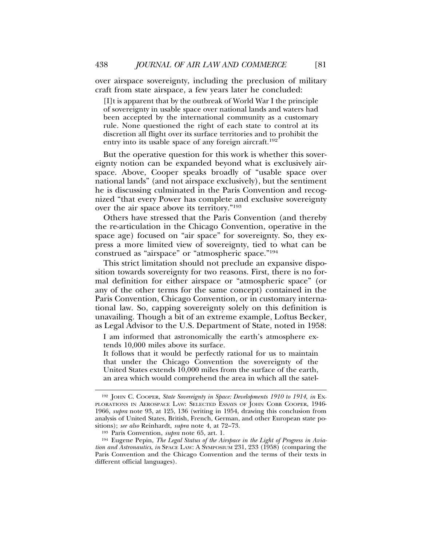over airspace sovereignty, including the preclusion of military craft from state airspace, a few years later he concluded:

[I]t is apparent that by the outbreak of World War I the principle of sovereignty in usable space over national lands and waters had been accepted by the international community as a customary rule. None questioned the right of each state to control at its discretion all flight over its surface territories and to prohibit the entry into its usable space of any foreign aircraft.<sup>192</sup>

But the operative question for this work is whether this sovereignty notion can be expanded beyond what is exclusively airspace. Above, Cooper speaks broadly of "usable space over national lands" (and not airspace exclusively), but the sentiment he is discussing culminated in the Paris Convention and recognized "that every Power has complete and exclusive sovereignty over the air space above its territory."193

Others have stressed that the Paris Convention (and thereby the re-articulation in the Chicago Convention, operative in the space age) focused on "air space" for sovereignty. So, they express a more limited view of sovereignty, tied to what can be construed as "airspace" or "atmospheric space."194

This strict limitation should not preclude an expansive disposition towards sovereignty for two reasons. First, there is no formal definition for either airspace or "atmospheric space" (or any of the other terms for the same concept) contained in the Paris Convention, Chicago Convention, or in customary international law. So, capping sovereignty solely on this definition is unavailing. Though a bit of an extreme example, Loftus Becker, as Legal Advisor to the U.S. Department of State, noted in 1958:

I am informed that astronomically the earth's atmosphere extends 10,000 miles above its surface.

It follows that it would be perfectly rational for us to maintain that under the Chicago Convention the sovereignty of the United States extends 10,000 miles from the surface of the earth, an area which would comprehend the area in which all the satel-

<sup>192</sup> JOHN C. COOPER, *State Sovereignty in Space: Developments 1910 to 1914*, *in* EX-PLORATIONS IN AEROSPACE LAW: SELECTED ESSAYS OF JOHN COBB COOPER, 1946- 1966, *supra* note 93, at 125, 136 (writing in 1954, drawing this conclusion from analysis of United States, British, French, German, and other European state positions); *see also* Reinhardt, *supra* note 4, at 72–73.

<sup>193</sup> Paris Convention, *supra* note 65, art. 1.

<sup>194</sup> Eugene Pepin, *The Legal Status of the Airspace in the Light of Progress in Aviation and Astronautics*, *in* SPACE LAW: A SYMPOSIUM 231, 233 (1958) (comparing the Paris Convention and the Chicago Convention and the terms of their texts in different official languages).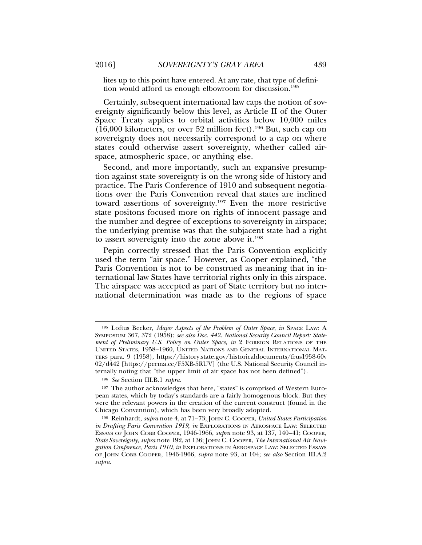lites up to this point have entered. At any rate, that type of definition would afford us enough elbowroom for discussion.<sup>195</sup>

Certainly, subsequent international law caps the notion of sovereignty significantly below this level, as Article II of the Outer Space Treaty applies to orbital activities below 10,000 miles (16,000 kilometers, or over 52 million feet).196 But, such cap on sovereignty does not necessarily correspond to a cap on where states could otherwise assert sovereignty, whether called airspace, atmospheric space, or anything else.

Second, and more importantly, such an expansive presumption against state sovereignty is on the wrong side of history and practice. The Paris Conference of 1910 and subsequent negotiations over the Paris Convention reveal that states are inclined toward assertions of sovereignty.197 Even the more restrictive state positons focused more on rights of innocent passage and the number and degree of exceptions to sovereignty in airspace; the underlying premise was that the subjacent state had a right to assert sovereignty into the zone above it.<sup>198</sup>

Pepin correctly stressed that the Paris Convention explicitly used the term "air space." However, as Cooper explained, "the Paris Convention is not to be construed as meaning that in international law States have territorial rights only in this airspace. The airspace was accepted as part of State territory but no international determination was made as to the regions of space

<sup>195</sup> Loftus Becker, *Major Aspects of the Problem of Outer Space*, *in* SPACE LAW: A SYMPOSIUM 367, 372 (1958); *see also Doc. 442. National Security Council Report: Statement of Preliminary U.S. Policy on Outer Space*, *in* 2 FOREIGN RELATIONS OF THE UNITED STATES, 1958–1960, UNITED NATIONS AND GENERAL INTERNATIONAL MAT-TERS para. 9 (1958), https://history.state.gov/historicaldocuments/frus1958-60v 02/d442 [https://perma.cc/F5XB-5RUV] (the U.S. National Security Council internally noting that "the upper limit of air space has not been defined").

<sup>196</sup> *See* Section III.B.1 *supra*.

<sup>197</sup> The author acknowledges that here, "states" is comprised of Western European states, which by today's standards are a fairly homogenous block. But they were the relevant powers in the creation of the current construct (found in the Chicago Convention), which has been very broadly adopted.

<sup>198</sup> Reinhardt, *supra* note 4, at 71–73; JOHN C. COOPER, *United States Participation in Drafting Paris Convention 1919*, *in* EXPLORATIONS IN AEROSPACE LAW: SELECTED ESSAYS OF JOHN COBB COOPER, 1946-1966, *supra* note 93, at 137, 140–41; COOPER, *State Sovereignty*, *supra* note 192, at 136; JOHN C. COOPER, *The International Air Navigation Conference, Paris 1910*, *in* EXPLORATIONS IN AEROSPACE LAW: SELECTED ESSAYS OF JOHN COBB COOPER, 1946-1966, *supra* note 93, at 104; *see also* Section III.A.2 *supra*.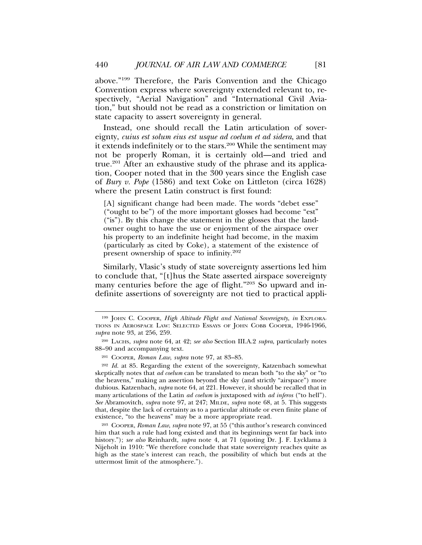above."199 Therefore, the Paris Convention and the Chicago Convention express where sovereignty extended relevant to, respectively, "Aerial Navigation" and "International Civil Aviation," but should not be read as a constriction or limitation on state capacity to assert sovereignty in general.

Instead, one should recall the Latin articulation of sovereignty, *cuius est solum eius est usque ad coelum et ad sidera*, and that it extends indefinitely or to the stars.<sup>200</sup> While the sentiment may not be properly Roman, it is certainly old—and tried and true.201 After an exhaustive study of the phrase and its application, Cooper noted that in the 300 years since the English case of *Bury v. Pope* (1586) and text Coke on Littleton (circa 1628) where the present Latin construct is first found:

[A] significant change had been made. The words "debet esse" ("ought to be") of the more important glosses had become "est" ("is"). By this change the statement in the glosses that the landowner ought to have the use or enjoyment of the airspace over his property to an indefinite height had become, in the maxim (particularly as cited by Coke), a statement of the existence of present ownership of space to infinity.202

Similarly, Vlasic's study of state sovereignty assertions led him to conclude that, "[t]hus the State asserted airspace sovereignty many centuries before the age of flight."<sup>203</sup> So upward and indefinite assertions of sovereignty are not tied to practical appli-

<sup>203</sup> COOPER, *Roman Law*, *supra* note 97, at 55 ("this author's research convinced him that such a rule had long existed and that its beginnings went far back into history."); *see also* Reinhardt, *supra* note 4, at 71 (quoting Dr. J. F. Lycklama à Nijeholt in 1910: "We therefore conclude that state sovereignty reaches quite as high as the state's interest can reach, the possibility of which but ends at the uttermost limit of the atmosphere.").

<sup>199</sup> JOHN C. COOPER, *High Altitude Flight and National Sovereignty*, *in* EXPLORA-TIONS IN AEROSPACE LAW: SELECTED ESSAYS OF JOHN COBB COOPER, 1946-1966, *supra* note 93, at 256, 259.

<sup>200</sup> LACHS, *supra* note 64, at 42; *see also* Section III.A.2 *supra*, particularly notes 88–90 and accompanying text.

<sup>201</sup> COOPER, *Roman Law*, *supra* note 97, at 83–85.

<sup>202</sup> *Id.* at 85. Regarding the extent of the sovereignty, Katzenbach somewhat skeptically notes that *ad coelum* can be translated to mean both "to the sky" or "to the heavens," making an assertion beyond the sky (and strictly "airspace") more dubious. Katzenbach, *supra* note 64, at 221. However, it should be recalled that in many articulations of the Latin *ad coelum* is juxtaposed with *ad inferos* ("to hell"). *See* Abramovitch, *supra* note 97, at 247; MILDE, *supra* note 68, at 5. This suggests that, despite the lack of certainty as to a particular altitude or even finite plane of existence, "to the heavens" may be a more appropriate read.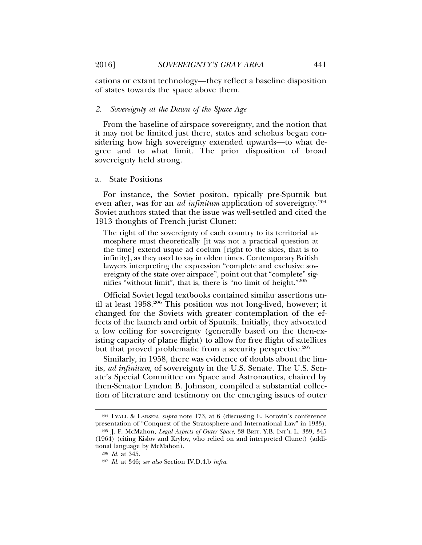cations or extant technology—they reflect a baseline disposition of states towards the space above them.

### *2. Sovereignty at the Dawn of the Space Age*

From the baseline of airspace sovereignty, and the notion that it may not be limited just there, states and scholars began considering how high sovereignty extended upwards—to what degree and to what limit. The prior disposition of broad sovereignty held strong.

### a. State Positions

For instance, the Soviet positon, typically pre-Sputnik but even after, was for an *ad infinitum* application of sovereignty.<sup>204</sup> Soviet authors stated that the issue was well-settled and cited the 1913 thoughts of French jurist Clunet:

The right of the sovereignty of each country to its territorial atmosphere must theoretically [it was not a practical question at the time] extend usque ad coelum [right to the skies, that is to infinity], as they used to say in olden times. Contemporary British lawyers interpreting the expression "complete and exclusive sovereignty of the state over airspace", point out that "complete" signifies "without limit", that is, there is "no limit of height."205

Official Soviet legal textbooks contained similar assertions until at least 1958.206 This position was not long-lived, however; it changed for the Soviets with greater contemplation of the effects of the launch and orbit of Sputnik. Initially, they advocated a low ceiling for sovereignty (generally based on the then-existing capacity of plane flight) to allow for free flight of satellites but that proved problematic from a security perspective.<sup>207</sup>

Similarly, in 1958, there was evidence of doubts about the limits, *ad infinitum*, of sovereignty in the U.S. Senate. The U.S. Senate's Special Committee on Space and Astronautics, chaired by then-Senator Lyndon B. Johnson, compiled a substantial collection of literature and testimony on the emerging issues of outer

<sup>204</sup> LYALL & LARSEN, *supra* note 173, at 6 (discussing E. Korovin's conference presentation of "Conquest of the Stratosphere and International Law" in 1933).

<sup>205</sup> J. F. McMahon, *Legal Aspects of Outer Space*, 38 BRIT. Y.B. INT'L L. 339, 345 (1964) (citing Kislov and Krylov, who relied on and interpreted Clunet) (additional language by McMahon).

<sup>206</sup> *Id.* at 345.

<sup>207</sup> *Id.* at 346; *see also* Section IV.D.4.b *infra*.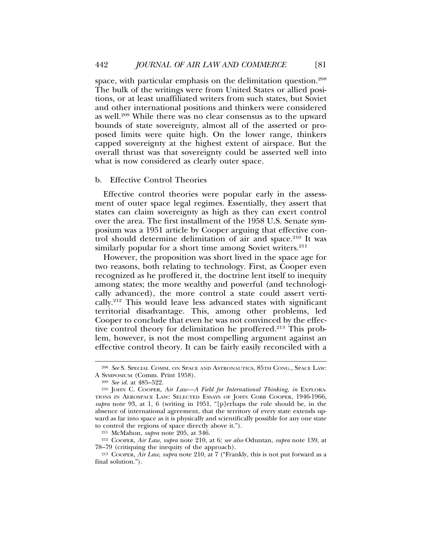space, with particular emphasis on the delimitation question.<sup>208</sup> The bulk of the writings were from United States or allied positions, or at least unaffiliated writers from such states, but Soviet and other international positions and thinkers were considered as well.209 While there was no clear consensus as to the upward bounds of state sovereignty, almost all of the asserted or proposed limits were quite high. On the lower range, thinkers capped sovereignty at the highest extent of airspace. But the overall thrust was that sovereignty could be asserted well into what is now considered as clearly outer space.

#### b. Effective Control Theories

Effective control theories were popular early in the assessment of outer space legal regimes. Essentially, they assert that states can claim sovereignty as high as they can exert control over the area. The first installment of the 1958 U.S. Senate symposium was a 1951 article by Cooper arguing that effective control should determine delimitation of air and space.<sup>210</sup> It was similarly popular for a short time among Soviet writers.<sup>211</sup>

However, the proposition was short lived in the space age for two reasons, both relating to technology. First, as Cooper even recognized as he proffered it, the doctrine lent itself to inequity among states; the more wealthy and powerful (and technologically advanced), the more control a state could assert vertically.212 This would leave less advanced states with significant territorial disadvantage. This, among other problems, led Cooper to conclude that even he was not convinced by the effective control theory for delimitation he proffered.213 This problem, however, is not the most compelling argument against an effective control theory. It can be fairly easily reconciled with a

<sup>208</sup> *See* S. SPECIAL COMM. ON SPACE AND ASTRONAUTICS, 85TH CONG., SPACE LAW: A SYMPOSIUM (Comm. Print 1958).

<sup>209</sup> *See id.* at 485–522.

<sup>210</sup> JOHN C. COOPER, *Air Law—A Field for International Thinking*, *in* EXPLORA-TIONS IN AEROSPACE LAW: SELECTED ESSAYS OF JOHN COBB COOPER, 1946-1966, *supra* note 93, at 1, 6 (writing in 1951, "[p]erhaps the rule should be, in the absence of international agreement, that the territory of every state extends upward as far into space as it is physically and scientifically possible for any one state to control the regions of space directly above it.").

<sup>211</sup> McMahon, *supra* note 205, at 346.

<sup>212</sup> COOPER, *Air Law*, *supra* note 210, at 6; *see also* Oduntan, *supra* note 139, at 78–79 (critiquing the inequity of the approach).

<sup>213</sup> COOPER, *Air Law*, *supra* note 210, at 7 ("Frankly, this is not put forward as a final solution.").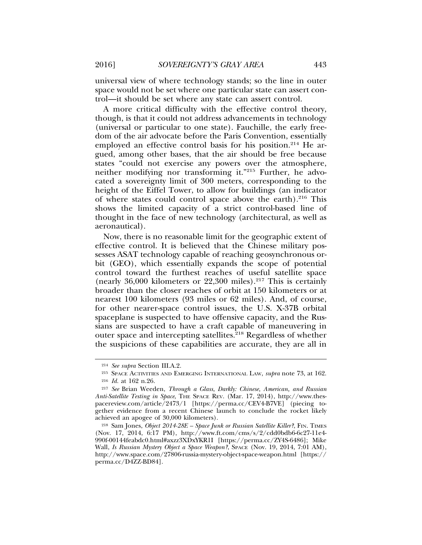universal view of where technology stands; so the line in outer space would not be set where one particular state can assert control—it should be set where any state can assert control.

A more critical difficulty with the effective control theory, though, is that it could not address advancements in technology (universal or particular to one state). Fauchille, the early freedom of the air advocate before the Paris Convention, essentially employed an effective control basis for his position.<sup>214</sup> He argued, among other bases, that the air should be free because states "could not exercise any powers over the atmosphere, neither modifying nor transforming it."215 Further, he advocated a sovereignty limit of 300 meters, corresponding to the height of the Eiffel Tower, to allow for buildings (an indicator of where states could control space above the earth).216 This shows the limited capacity of a strict control-based line of thought in the face of new technology (architectural, as well as aeronautical).

Now, there is no reasonable limit for the geographic extent of effective control. It is believed that the Chinese military possesses ASAT technology capable of reaching geosynchronous orbit (GEO), which essentially expands the scope of potential control toward the furthest reaches of useful satellite space (nearly 36,000 kilometers or  $22,300$  miles).<sup>217</sup> This is certainly broader than the closer reaches of orbit at 150 kilometers or at nearest 100 kilometers (93 miles or 62 miles). And, of course, for other nearer-space control issues, the U.S. X-37B orbital spaceplane is suspected to have offensive capacity, and the Russians are suspected to have a craft capable of maneuvering in outer space and intercepting satellites.<sup>218</sup> Regardless of whether the suspicions of these capabilities are accurate, they are all in

<sup>214</sup> *See supra* Section III.A.2.

<sup>215</sup> SPACE ACTIVITIES AND EMERGING INTERNATIONAL LAW, *supra* note 73, at 162. <sup>216</sup> *Id.* at 162 n.26.

<sup>217</sup> *See* Brian Weeden, *Through a Glass, Darkly: Chinese, American, and Russian Anti-Satellite Testing in Space*, THE SPACE REV. (Mar. 17, 2014), http://www.thespacereview.com/article/2473/1 [https://perma.cc/CEV4-B7VE] (piecing together evidence from a recent Chinese launch to conclude the rocket likely achieved an apogee of 30,000 kilometers).

<sup>&</sup>lt;sup>218</sup> Sam Jones, *Object 2014-28E - Space Junk or Russian Satellite Killer?*, FIN. TIMES (Nov. 17, 2014, 6:17 PM), http://www.ft.com/cms/s/2/cdd0bdb6-6c27-11e4- 990f-00144feabdc0.html#axzz3XDxYKR1I [https://perma.cc/ZY4S-6486]; Mike Wall, *Is Russian Mystery Object a Space Weapon?*, SPACE (Nov. 19, 2014, 7:01 AM), http://www.space.com/27806-russia-mystery-object-space-weapon.html [https:// perma.cc/D4ZZ-BD84].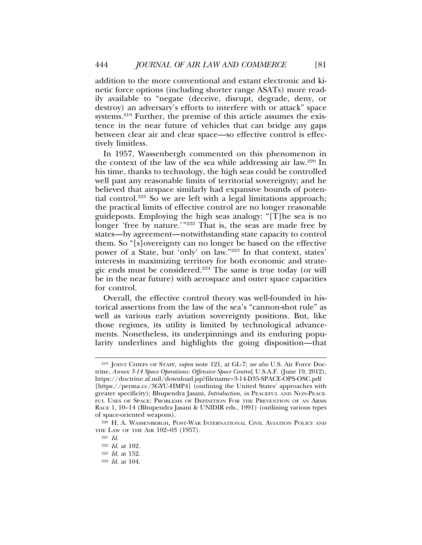addition to the more conventional and extant electronic and kinetic force options (including shorter range ASATs) more readily available to "negate (deceive, disrupt, degrade, deny, or destroy) an adversary's efforts to interfere with or attack" space systems.<sup>219</sup> Further, the premise of this article assumes the existence in the near future of vehicles that can bridge any gaps between clear air and clear space—so effective control is effectively limitless.

In 1957, Wassenbergh commented on this phenomenon in the context of the law of the sea while addressing air law.220 In his time, thanks to technology, the high seas could be controlled well past any reasonable limits of territorial sovereignty; and he believed that airspace similarly had expansive bounds of potential control.<sup>221</sup> So we are left with a legal limitations approach; the practical limits of effective control are no longer reasonable guideposts. Employing the high seas analogy: "[T]he sea is no longer 'free by nature.'"<sup>222</sup> That is, the seas are made free by states—by agreement—notwithstanding state capacity to control them. So "[s]overeignty can no longer be based on the effective power of a State, but 'only' on law."<sup>223</sup> In that context, states' interests in maximizing territory for both economic and strategic ends must be considered.<sup>224</sup> The same is true today (or will be in the near future) with aerospace and outer space capacities for control.

Overall, the effective control theory was well-founded in historical assertions from the law of the sea's "cannon-shot rule" as well as various early aviation sovereignty positions. But, like those regimes, its utility is limited by technological advancements. Nonetheless, its underpinnings and its enduring popularity underlines and highlights the going disposition—that

<sup>219</sup> JOINT CHIEFS OF STAFF, *supra* note 121, at GL-7; *see also* U.S. Air Force Doctrine, *Annex 3-14 Space Operations: Offensive Space Control*, U.S.A.F. (June 19, 2012), https://doctrine.af.mil/download.jsp?filename=3-14-D35-SPACE-OPS-OSC.pdf [https://perma.cc/3GYU-HMP4] (outlining the United States' approaches with greater specificity); Bhupendra Jasani, *Introduction*, *in* PEACEFUL AND NON-PEACE-FUL USES OF SPACE: PROBLEMS OF DEFINITION FOR THE PREVENTION OF AN ARMS RACE 1, 10–14 (Bhupendra Jasani & UNIDIR eds., 1991) (outlining various types of space-oriented weapons).

<sup>220</sup> H. A. WASSENBERGH, POST-WAR INTERNATIONAL CIVIL AVIATION POLICY AND THE LAW OF THE AIR 102–03 (1957).

<sup>221</sup> *Id.*

<sup>222</sup> *Id.* at 102.

<sup>223</sup> *Id.* at 152.

<sup>224</sup> *Id.* at 104.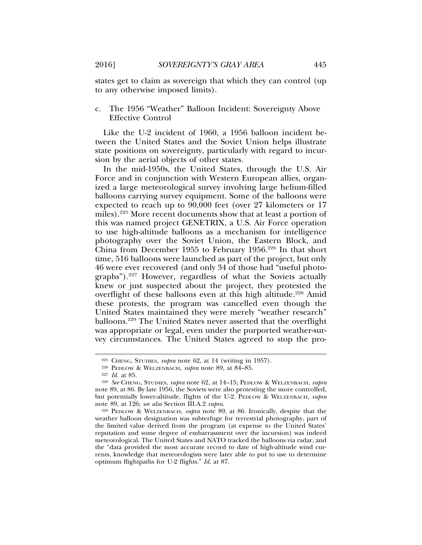states get to claim as sovereign that which they can control (up to any otherwise imposed limits).

# c. The 1956 "Weather" Balloon Incident: Sovereignty Above Effective Control

Like the U-2 incident of 1960, a 1956 balloon incident between the United States and the Soviet Union helps illustrate state positions on sovereignty, particularly with regard to incursion by the aerial objects of other states.

In the mid-1950s, the United States, through the U.S. Air Force and in conjunction with Western European allies, organized a large meteorological survey involving large helium-filled balloons carrying survey equipment. Some of the balloons were expected to reach up to 90,000 feet (over 27 kilometers or 17 miles).225 More recent documents show that at least a portion of this was named project GENETRIX, a U.S. Air Force operation to use high-altitude balloons as a mechanism for intelligence photography over the Soviet Union, the Eastern Block, and China from December 1955 to February 1956.226 In that short time, 516 balloons were launched as part of the project, but only 46 were ever recovered (and only 34 of those had "useful photographs").227 However, regardless of what the Soviets actually knew or just suspected about the project, they protested the overflight of these balloons even at this high altitude.<sup>228</sup> Amid these protests, the program was cancelled even though the United States maintained they were merely "weather research" balloons.229 The United States never asserted that the overflight was appropriate or legal, even under the purported weather-survey circumstances. The United States agreed to stop the pro-

<sup>225</sup> CHENG, STUDIES, *supra* note 62, at 14 (writing in 1957).

<sup>226</sup> PEDLOW & WELZENBACH, *supra* note 89, at 84–85.

<sup>227</sup> *Id.* at 85.

<sup>228</sup> *See* CHENG, STUDIES, *supra* note 62, at 14–15; PEDLOW & WELZENBACH, *supra* note 89, at 86. By late 1956, the Soviets were also protesting the more controlled, but potentially lower-altitude, flights of the U-2. PEDLOW & WELZENBACH, *supra* note 89, at 126; *see also* Section III.A.2 *supra*.

<sup>229</sup> PEDLOW & WELZENBACH, *supra* note 89, at 86. Ironically, despite that the weather balloon designation was subterfuge for terrestrial photography, part of the limited value derived from the program (at expense to the United States' reputation and some degree of embarrassment over the incursion) was indeed meteorological. The United States and NATO tracked the balloons via radar, and the "data provided the most accurate record to date of high-altitude wind currents, knowledge that meteorologists were later able to put to use to determine optimum flightpaths for U-2 flights." *Id.* at 87.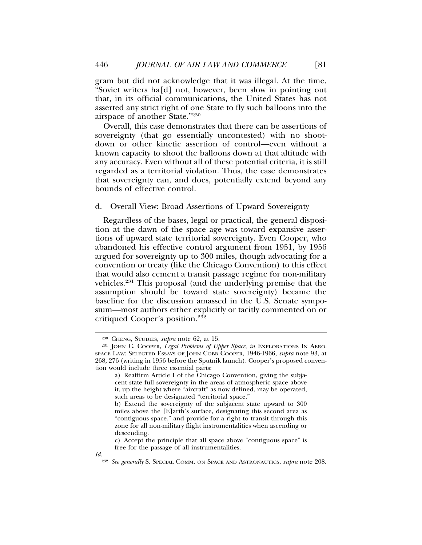gram but did not acknowledge that it was illegal. At the time, "Soviet writers ha[d] not, however, been slow in pointing out that, in its official communications, the United States has not asserted any strict right of one State to fly such balloons into the airspace of another State."230

Overall, this case demonstrates that there can be assertions of sovereignty (that go essentially uncontested) with no shootdown or other kinetic assertion of control—even without a known capacity to shoot the balloons down at that altitude with any accuracy. Even without all of these potential criteria, it is still regarded as a territorial violation. Thus, the case demonstrates that sovereignty can, and does, potentially extend beyond any bounds of effective control.

### d. Overall View: Broad Assertions of Upward Sovereignty

Regardless of the bases, legal or practical, the general disposition at the dawn of the space age was toward expansive assertions of upward state territorial sovereignty. Even Cooper, who abandoned his effective control argument from 1951, by 1956 argued for sovereignty up to 300 miles, though advocating for a convention or treaty (like the Chicago Convention) to this effect that would also cement a transit passage regime for non-military vehicles.231 This proposal (and the underlying premise that the assumption should be toward state sovereignty) became the baseline for the discussion amassed in the U.S. Senate symposium—most authors either explicitly or tacitly commented on or critiqued Cooper's position.232

<sup>230</sup> CHENG, STUDIES, *supra* note 62, at 15.

<sup>231</sup> JOHN C. COOPER, *Legal Problems of Upper Space*, *in* EXPLORATIONS IN AERO-SPACE LAW: SELECTED ESSAYS OF JOHN COBB COOPER, 1946-1966, *supra* note 93, at 268, 276 (writing in 1956 before the Sputnik launch). Cooper's proposed convention would include three essential parts:

a) Reaffirm Article I of the Chicago Convention, giving the subjacent state full sovereignty in the areas of atmospheric space above it, up the height where "aircraft" as now defined, may be operated, such areas to be designated "territorial space."

b) Extend the sovereignty of the subjacent state upward to 300 miles above the [E]arth's surface, designating this second area as "contiguous space," and provide for a right to transit through this zone for all non-military flight instrumentalities when ascending or descending.

c) Accept the principle that all space above "contiguous space" is free for the passage of all instrumentalities.

*Id.*

<sup>232</sup> *See generally* S. SPECIAL COMM. ON SPACE AND ASTRONAUTICS, *supra* note 208.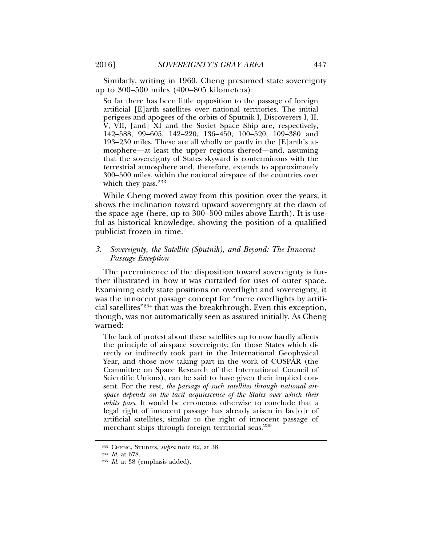Similarly, writing in 1960, Cheng presumed state sovereignty up to 300–500 miles (400–805 kilometers):

So far there has been little opposition to the passage of foreign artificial [E]arth satellites over national territories. The initial perigees and apogees of the orbits of Sputnik I, Discoverers I, II, V, VII, [and] XI and the Soviet Space Ship are, respectively, 142–588, 99–605, 142–220, 136–450, 100–520, 109–380 and 193–230 miles. These are all wholly or partly in the [E]arth's atmosphere—at least the upper regions thereof—and, assuming that the sovereignty of States skyward is conterminous with the terrestrial atmosphere and, therefore, extends to approximately 300–500 miles, within the national airspace of the countries over which they pass. $233$ 

While Cheng moved away from this position over the years, it shows the inclination toward upward sovereignty at the dawn of the space age (here, up to 300–500 miles above Earth). It is useful as historical knowledge, showing the position of a qualified publicist frozen in time.

## *3. Sovereignty, the Satellite (Sputnik), and Beyond: The Innocent Passage Exception*

The preeminence of the disposition toward sovereignty is further illustrated in how it was curtailed for uses of outer space. Examining early state positions on overflight and sovereignty, it was the innocent passage concept for "mere overflights by artificial satellites"234 that was the breakthrough. Even this exception, though, was not automatically seen as assured initially. As Cheng warned:

The lack of protest about these satellites up to now hardly affects the principle of airspace sovereignty; for those States which directly or indirectly took part in the International Geophysical Year, and those now taking part in the work of COSPAR (the Committee on Space Research of the International Council of Scientific Unions), can be said to have given their implied consent. For the rest, *the passage of such satellites through national airspace depends on the tacit acquiescence of the States over which their orbits pass*. It would be erroneous otherwise to conclude that a legal right of innocent passage has already arisen in fav[o]r of artificial satellites, similar to the right of innocent passage of merchant ships through foreign territorial seas.<sup>235</sup>

<sup>233</sup> CHENG, STUDIES, *supra* note 62, at 38.

<sup>234</sup> *Id.* at 678.

<sup>235</sup> *Id.* at 38 (emphasis added).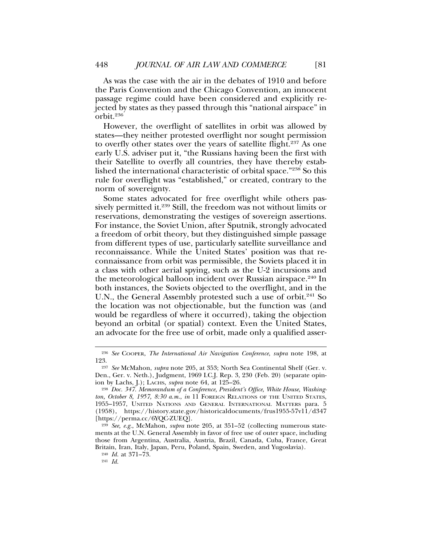As was the case with the air in the debates of 1910 and before the Paris Convention and the Chicago Convention, an innocent passage regime could have been considered and explicitly rejected by states as they passed through this "national airspace" in orbit.236

However, the overflight of satellites in orbit was allowed by states—they neither protested overflight nor sought permission to overfly other states over the years of satellite flight.<sup>237</sup> As one early U.S. adviser put it, "the Russians having been the first with their Satellite to overfly all countries, they have thereby established the international characteristic of orbital space."238 So this rule for overflight was "established," or created, contrary to the norm of sovereignty.

Some states advocated for free overflight while others passively permitted it.<sup>239</sup> Still, the freedom was not without limits or reservations, demonstrating the vestiges of sovereign assertions. For instance, the Soviet Union, after Sputnik, strongly advocated a freedom of orbit theory, but they distinguished simple passage from different types of use, particularly satellite surveillance and reconnaissance. While the United States' position was that reconnaissance from orbit was permissible, the Soviets placed it in a class with other aerial spying, such as the U-2 incursions and the meteorological balloon incident over Russian airspace.<sup>240</sup> In both instances, the Soviets objected to the overflight, and in the U.N., the General Assembly protested such a use of orbit.<sup>241</sup> So the location was not objectionable, but the function was (and would be regardless of where it occurred), taking the objection beyond an orbital (or spatial) context. Even the United States, an advocate for the free use of orbit, made only a qualified asser-

<sup>236</sup> *See* COOPER, *The International Air Navigation Conference*, *supra* note 198, at 123.

<sup>237</sup> *See* McMahon, *supra* note 205, at 353; North Sea Continental Shelf (Ger. v. Den., Ger. v. Neth.), Judgment, 1969 I.C.J. Rep. 3, 230 (Feb. 20) (separate opinion by Lachs, J.); LACHS, *supra* note 64, at 125–26.

<sup>238</sup> *Doc. 347. Memorandum of a Conference, President's Office, White House, Washing*ton, October 8, 1957, 8:30 a.m., *in* 11 FOREIGN RELATIONS OF THE UNITED STATES, 1955–1957, UNITED NATIONS AND GENERAL INTERNATIONAL MATTERS para. 5 (1958), https://history.state.gov/historicaldocuments/frus1955-57v11/d347 [https://perma.cc/6YQC-ZUEQ].

<sup>239</sup> *See, e.g.*, McMahon, *supra* note 205, at 351–52 (collecting numerous statements at the U.N. General Assembly in favor of free use of outer space, including those from Argentina, Australia, Austria, Brazil, Canada, Cuba, France, Great Britain, Iran, Italy, Japan, Peru, Poland, Spain, Sweden, and Yugoslavia).

<sup>240</sup> *Id.* at 371–73.

<sup>241</sup> *Id.*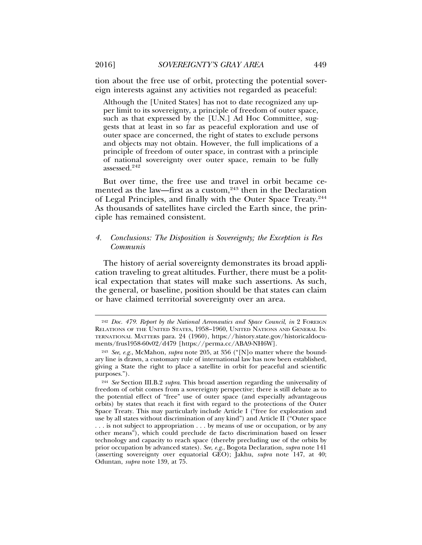tion about the free use of orbit, protecting the potential sovereign interests against any activities not regarded as peaceful:

Although the [United States] has not to date recognized any upper limit to its sovereignty, a principle of freedom of outer space, such as that expressed by the [U.N.] Ad Hoc Committee, suggests that at least in so far as peaceful exploration and use of outer space are concerned, the right of states to exclude persons and objects may not obtain. However, the full implications of a principle of freedom of outer space, in contrast with a principle of national sovereignty over outer space, remain to be fully assessed.242

But over time, the free use and travel in orbit became cemented as the law—first as a custom,<sup>243</sup> then in the Declaration of Legal Principles, and finally with the Outer Space Treaty.<sup>244</sup> As thousands of satellites have circled the Earth since, the principle has remained consistent.

# *4. Conclusions: The Disposition is Sovereignty; the Exception is Res Communis*

The history of aerial sovereignty demonstrates its broad application traveling to great altitudes. Further, there must be a political expectation that states will make such assertions. As such, the general, or baseline, position should be that states can claim or have claimed territorial sovereignty over an area.

<sup>242</sup> *Doc. 479. Report by the National Aeronautics and Space Council*, *in* 2 FOREIGN RELATIONS OF THE UNITED STATES, 1958–1960, UNITED NATIONS AND GENERAL IN-TERNATIONAL MATTERS para. 24 (1960), https://history.state.gov/historicaldocuments/frus1958-60v02/d479 [https://perma.cc/ABA9-NH6W].

<sup>243</sup> *See, e.g.*, McMahon, *supra* note 205, at 356 ("[N]o matter where the boundary line is drawn, a customary rule of international law has now been established, giving a State the right to place a satellite in orbit for peaceful and scientific purposes.").

<sup>244</sup> *See* Section III.B.2 *supra*. This broad assertion regarding the universality of freedom of orbit comes from a sovereignty perspective; there is still debate as to the potential effect of "free" use of outer space (and especially advantageous orbits) by states that reach it first with regard to the protections of the Outer Space Treaty. This may particularly include Article I ("free for exploration and use by all states without discrimination of any kind") and Article II ("Outer space . . . is not subject to appropriation . . . by means of use or occupation, or by any other means"), which could preclude de facto discrimination based on lesser technology and capacity to reach space (thereby precluding use of the orbits by prior occupation by advanced states). *See, e.g.*, Bogota Declaration, *supra* note 141 (asserting sovereignty over equatorial GEO); Jakhu, *supra* note 147, at 40; Oduntan, *supra* note 139, at 75.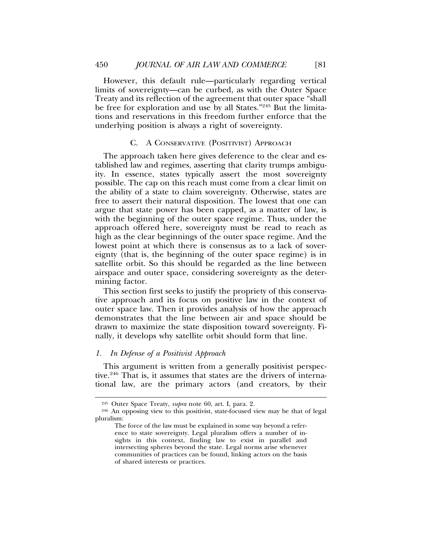However, this default rule—particularly regarding vertical limits of sovereignty—can be curbed, as with the Outer Space Treaty and its reflection of the agreement that outer space "shall be free for exploration and use by all States."<sup>245</sup> But the limitations and reservations in this freedom further enforce that the underlying position is always a right of sovereignty.

#### C. A CONSERVATIVE (POSITIVIST) APPROACH

The approach taken here gives deference to the clear and established law and regimes, asserting that clarity trumps ambiguity. In essence, states typically assert the most sovereignty possible. The cap on this reach must come from a clear limit on the ability of a state to claim sovereignty. Otherwise, states are free to assert their natural disposition. The lowest that one can argue that state power has been capped, as a matter of law, is with the beginning of the outer space regime. Thus, under the approach offered here, sovereignty must be read to reach as high as the clear beginnings of the outer space regime. And the lowest point at which there is consensus as to a lack of sovereignty (that is, the beginning of the outer space regime) is in satellite orbit. So this should be regarded as the line between airspace and outer space, considering sovereignty as the determining factor.

This section first seeks to justify the propriety of this conservative approach and its focus on positive law in the context of outer space law. Then it provides analysis of how the approach demonstrates that the line between air and space should be drawn to maximize the state disposition toward sovereignty. Finally, it develops why satellite orbit should form that line.

# *1. In Defense of a Positivist Approach*

This argument is written from a generally positivist perspective.<sup>246</sup> That is, it assumes that states are the drivers of international law, are the primary actors (and creators, by their

<sup>245</sup> Outer Space Treaty, *supra* note 60, art. I, para. 2.

<sup>246</sup> An opposing view to this positivist, state-focused view may be that of legal pluralism:

The force of the law must be explained in some way beyond a reference to state sovereignty. Legal pluralism offers a number of insights in this context, finding law to exist in parallel and intersecting spheres beyond the state. Legal norms arise whenever communities of practices can be found, linking actors on the basis of shared interests or practices.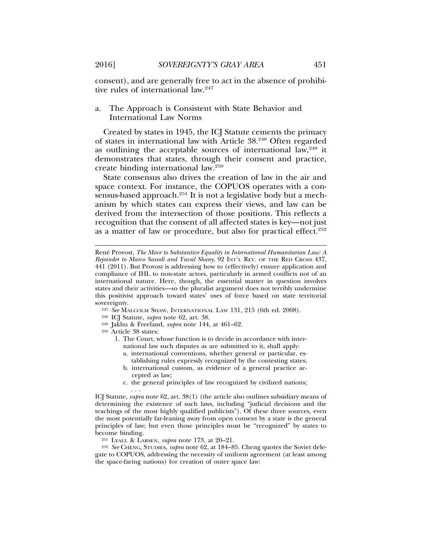consent), and are generally free to act in the absence of prohibitive rules of international law.<sup>247</sup>

# a. The Approach is Consistent with State Behavior and International Law Norms

Created by states in 1945, the ICJ Statute cements the primacy of states in international law with Article 38.248 Often regarded as outlining the acceptable sources of international law, $249$  it demonstrates that states, through their consent and practice, create binding international law.250

State consensus also drives the creation of law in the air and space context. For instance, the COPUOS operates with a consensus-based approach.<sup>251</sup> It is not a legislative body but a mechanism by which states can express their views, and law can be derived from the intersection of those positions. This reflects a recognition that the consent of all affected states is key—not just as a matter of law or procedure, but also for practical effect.252

- <sup>247</sup> *See* MALCOLM SHAW, INTERNATIONAL LAW 131, 215 (6th ed. 2008).
- <sup>248</sup> ICJ Statute, *supra* note 62, art. 38.
- <sup>249</sup> Jakhu & Freeland, *supra* note 144, at 461–62.
- <sup>250</sup> Article 38 states:

. . .

- 1. The Court, whose function is to decide in accordance with international law such disputes as are submitted to it, shall apply:
	- a. international conventions, whether general or particular, establishing rules expressly recognized by the contesting states;
	- b. international custom, as evidence of a general practice accepted as law;
	- c. the general principles of law recognized by civilized nations;

ICJ Statute, *supra* note 62, art. 38(1) (the article also outlines subsidiary means of determining the existence of such laws, including "judicial decisions and the teachings of the most highly qualified publicists"). Of these three sources, even the most potentially far-leaning away from open consent by a state is the general principles of law; but even those principles must be "recognized" by states to become binding.

<sup>251</sup> LYALL & LARSEN, *supra* note 173, at 20–21.

<sup>252</sup> *See* CHENG, STUDIES, *supra* note 62, at 184–85. Cheng quotes the Soviet delegate to COPUOS, addressing the necessity of uniform agreement (at least among the space-faring nations) for creation of outer space law:

René Provost, *The Move to Substantive Equality in International Humanitarian Law: A Rejoinder to Marco Sassoli and Yuval Shany*, 92 INT'L REV. OF THE RED CROSS 437, 441 (2011). But Provost is addressing how to (effectively) ensure application and compliance of IHL to non-state actors, particularly in armed conflicts not of an international nature. Here, though, the essential matter in question involves states and their activities—so the pluralist argument does not terribly undermine this positivist approach toward states' uses of force based on state territorial sovereignty.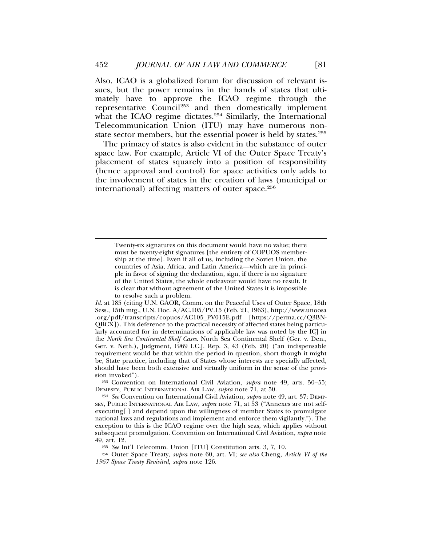Also, ICAO is a globalized forum for discussion of relevant issues, but the power remains in the hands of states that ultimately have to approve the ICAO regime through the representative Council253 and then domestically implement what the ICAO regime dictates.<sup>254</sup> Similarly, the International Telecommunication Union (ITU) may have numerous nonstate sector members, but the essential power is held by states.<sup>255</sup>

The primacy of states is also evident in the substance of outer space law. For example, Article VI of the Outer Space Treaty's placement of states squarely into a position of responsibility (hence approval and control) for space activities only adds to the involvement of states in the creation of laws (municipal or international) affecting matters of outer space.<sup>256</sup>

<sup>253</sup> Convention on International Civil Aviation, *supra* note 49, arts. 50–55; DEMPSEY, PUBLIC INTERNATIONAL AIR LAW, *supra* note 71, at 50.

<sup>254</sup> *See* Convention on International Civil Aviation, *supra* note 49, art. 37; DEMP-SEY, PUBLIC INTERNATIONAL AIR LAW, *supra* note 71, at 53 ("Annexes are not selfexecuting[ ] and depend upon the willingness of member States to promulgate national laws and regulations and implement and enforce them vigilantly."). The exception to this is the ICAO regime over the high seas, which applies without subsequent promulgation. Convention on International Civil Aviation, *supra* note 49, art. 12.

<sup>255</sup> *See* Int'l Telecomm. Union [ITU] Constitution arts. 3, 7, 10.

<sup>256</sup> Outer Space Treaty, *supra* note 60, art. VI; *see also* Cheng, *Article VI of the 1967 Space Treaty Revisited*, *supra* note 126.

Twenty-six signatures on this document would have no value; there must be twenty-eight signatures [the entirety of COPUOS membership at the time]. Even if all of us, including the Soviet Union, the countries of Asia, Africa, and Latin America—which are in principle in favor of signing the declaration, sign, if there is no signature of the United States, the whole endeavour would have no result. It is clear that without agreement of the United States it is impossible to resolve such a problem.

*Id.* at 185 (citing U.N. GAOR, Comm. on the Peaceful Uses of Outer Space, 18th Sess., 15th mtg., U.N. Doc. A/AC.105/PV.15 (Feb. 21, 1963), http://www.unoosa .org/pdf/transcripts/copuos/AC105\_PV015E.pdf [https://perma.cc/Q3BN-QBCX]). This deference to the practical necessity of affected states being particularly accounted for in determinations of applicable law was noted by the ICJ in the *North Sea Continental Shelf Cases*. North Sea Continental Shelf (Ger. v. Den., Ger. v. Neth.), Judgment, 1969 I.C.J. Rep. 3, 43 (Feb. 20) ("an indispensable requirement would be that within the period in question, short though it might be, State practice, including that of States whose interests are specially affected, should have been both extensive and virtually uniform in the sense of the provision invoked").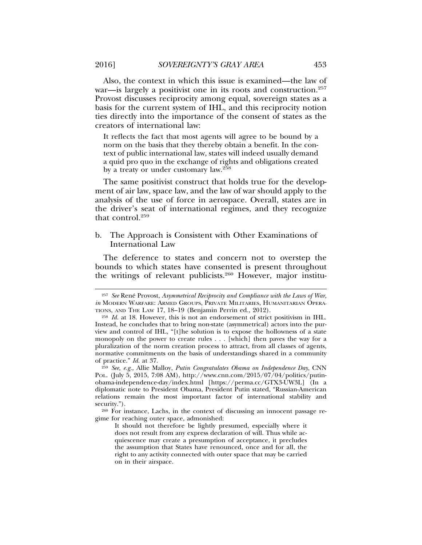Also, the context in which this issue is examined—the law of war—is largely a positivist one in its roots and construction.<sup>257</sup> Provost discusses reciprocity among equal, sovereign states as a basis for the current system of IHL, and this reciprocity notion ties directly into the importance of the consent of states as the creators of international law:

It reflects the fact that most agents will agree to be bound by a norm on the basis that they thereby obtain a benefit. In the context of public international law, states will indeed usually demand a quid pro quo in the exchange of rights and obligations created by a treaty or under customary law.258

The same positivist construct that holds true for the development of air law, space law, and the law of war should apply to the analysis of the use of force in aerospace. Overall, states are in the driver's seat of international regimes, and they recognize that control.259

# b. The Approach is Consistent with Other Examinations of International Law

The deference to states and concern not to overstep the bounds to which states have consented is present throughout the writings of relevant publicists.260 However, major institu-

<sup>&</sup>lt;sup>257</sup> See René Provost, Asymmetrical Reciprocity and Compliance with the Laws of War, *in* MODERN WARFARE: ARMED GROUPS, PRIVATE MILITARIES, HUMANITARIAN OPERA-TIONS, AND THE LAW 17, 18–19 (Benjamin Perrin ed., 2012).

<sup>258</sup> *Id.* at 18. However, this is not an endorsement of strict positivism in IHL. Instead, he concludes that to bring non-state (asymmetrical) actors into the purview and control of IHL, "[t]he solution is to expose the hollowness of a state monopoly on the power to create rules . . . [which] then paves the way for a pluralization of the norm creation process to attract, from all classes of agents, normative commitments on the basis of understandings shared in a community of practice." *Id.* at 37.

<sup>259</sup> *See, e.g.*, Allie Malloy, *Putin Congratulates Obama on Independence Day*, CNN POL. (July 5, 2015, 7:08 AM), http://www.cnn.com/2015/07/04/politics/putinobama-independence-day/index.html [https://perma.cc/GTX3-UW3L] (In a diplomatic note to President Obama, President Putin stated, "Russian-American relations remain the most important factor of international stability and security.").

<sup>260</sup> For instance, Lachs, in the context of discussing an innocent passage regime for reaching outer space, admonished:

It should not therefore be lightly presumed, especially where it does not result from any express declaration of will. Thus while acquiescence may create a presumption of acceptance, it precludes the assumption that States have renounced, once and for all, the right to any activity connected with outer space that may be carried on in their airspace.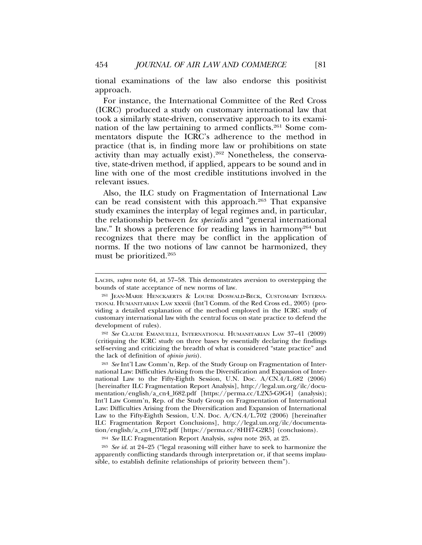tional examinations of the law also endorse this positivist approach.

For instance, the International Committee of the Red Cross (ICRC) produced a study on customary international law that took a similarly state-driven, conservative approach to its examination of the law pertaining to armed conflicts.<sup>261</sup> Some commentators dispute the ICRC's adherence to the method in practice (that is, in finding more law or prohibitions on state activity than may actually exist).262 Nonetheless, the conservative, state-driven method, if applied, appears to be sound and in line with one of the most credible institutions involved in the relevant issues.

Also, the ILC study on Fragmentation of International Law can be read consistent with this approach.263 That expansive study examines the interplay of legal regimes and, in particular, the relationship between *lex specialis* and "general international law." It shows a preference for reading laws in harmony<sup>264</sup> but recognizes that there may be conflict in the application of norms. If the two notions of law cannot be harmonized, they must be prioritized.265

<sup>262</sup> *See* CLAUDE EMANUELLI, INTERNATIONAL HUMANITARIAN LAW 37–41 (2009) (critiquing the ICRC study on three bases by essentially declaring the findings self-serving and criticizing the breadth of what is considered "state practice" and the lack of definition of *opinio juris*).

<sup>263</sup> *See* Int'l Law Comm'n, Rep. of the Study Group on Fragmentation of International Law: Difficulties Arising from the Diversification and Expansion of International Law to the Fifty-Eighth Session, U.N. Doc. A/CN.4/L.682 (2006) [hereinafter ILC Fragmentation Report Analysis], http://legal.un.org/ilc/documentation/english/a\_cn4\_l682.pdf [https://perma.cc/L2X5-G9G4] (analysis); Int'l Law Comm'n, Rep. of the Study Group on Fragmentation of International Law: Difficulties Arising from the Diversification and Expansion of International Law to the Fifty-Eighth Session, U.N. Doc. A/CN.4/L.702 (2006) [hereinafter ILC Fragmentation Report Conclusions], http://legal.un.org/ilc/documentation/english/a\_cn4\_l702.pdf [https://perma.cc/8HH7-G2R5] (conclusions).

<sup>264</sup> *See* ILC Fragmentation Report Analysis, *supra* note 263, at 25.

<sup>265</sup> *See id.* at 24–25 ("legal reasoning will either have to seek to harmonize the apparently conflicting standards through interpretation or, if that seems implausible, to establish definite relationships of priority between them").

LACHS, *supra* note 64, at 57–58. This demonstrates aversion to overstepping the bounds of state acceptance of new norms of law.

<sup>261</sup> JEAN-MARIE HENCKAERTS & LOUISE DOSWALD-BECK, CUSTOMARY INTERNA-TIONAL HUMANITARIAN LAW xxxvii (Int'l Comm. of the Red Cross ed., 2005) (providing a detailed explanation of the method employed in the ICRC study of customary international law with the central focus on state practice to defend the development of rules).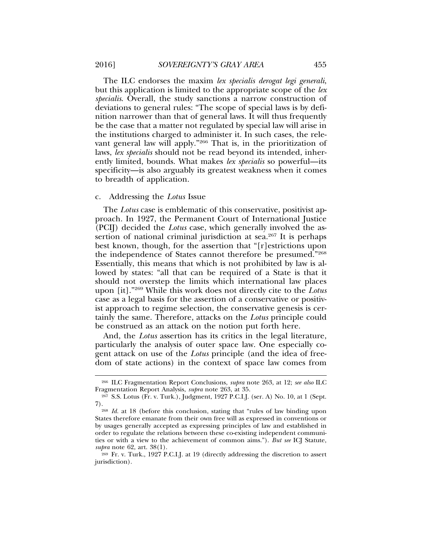The ILC endorses the maxim *lex specialis derogat legi generali*, but this application is limited to the appropriate scope of the *lex specialis*. Overall, the study sanctions a narrow construction of deviations to general rules: "The scope of special laws is by definition narrower than that of general laws. It will thus frequently be the case that a matter not regulated by special law will arise in the institutions charged to administer it. In such cases, the relevant general law will apply."266 That is, in the prioritization of laws, *lex specialis* should not be read beyond its intended, inherently limited, bounds. What makes *lex specialis* so powerful—its specificity—is also arguably its greatest weakness when it comes to breadth of application.

#### c. Addressing the *Lotus* Issue

The *Lotus* case is emblematic of this conservative, positivist approach. In 1927, the Permanent Court of International Justice (PCIJ) decided the *Lotus* case, which generally involved the assertion of national criminal jurisdiction at sea.<sup>267</sup> It is perhaps best known, though, for the assertion that "[r]estrictions upon the independence of States cannot therefore be presumed."268 Essentially, this means that which is not prohibited by law is allowed by states: "all that can be required of a State is that it should not overstep the limits which international law places upon [it]."269 While this work does not directly cite to the *Lotus* case as a legal basis for the assertion of a conservative or positivist approach to regime selection, the conservative genesis is certainly the same. Therefore, attacks on the *Lotus* principle could be construed as an attack on the notion put forth here.

And, the *Lotus* assertion has its critics in the legal literature, particularly the analysis of outer space law. One especially cogent attack on use of the *Lotus* principle (and the idea of freedom of state actions) in the context of space law comes from

<sup>266</sup> ILC Fragmentation Report Conclusions, *supra* note 263, at 12; *see also* ILC Fragmentation Report Analysis, *supra* note 263, at 35.

<sup>267</sup> S.S. Lotus (Fr. v. Turk.), Judgment, 1927 P.C.I.J. (ser. A) No. 10, at 1 (Sept. 7).268 *Id.* at 18 (before this conclusion, stating that "rules of law binding upon

States therefore emanate from their own free will as expressed in conventions or by usages generally accepted as expressing principles of law and established in order to regulate the relations between these co-existing independent communities or with a view to the achievement of common aims."). *But see* ICJ Statute, *supra* note 62, art. 38(1).

<sup>269</sup> Fr. v. Turk., 1927 P.C.I.J. at 19 (directly addressing the discretion to assert jurisdiction).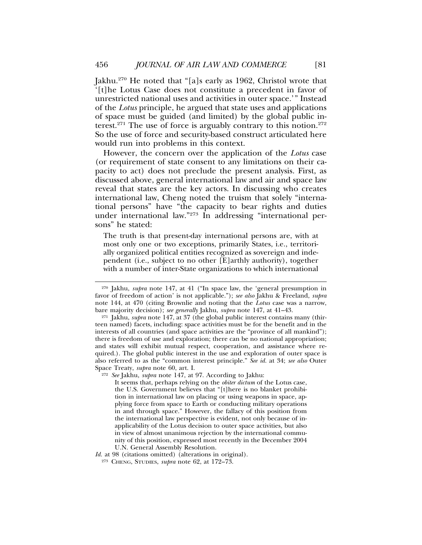Jakhu.270 He noted that "[a]s early as 1962, Christol wrote that '[t]he Lotus Case does not constitute a precedent in favor of unrestricted national uses and activities in outer space.'" Instead of the *Lotus* principle, he argued that state uses and applications of space must be guided (and limited) by the global public interest.<sup>271</sup> The use of force is arguably contrary to this notion.<sup>272</sup> So the use of force and security-based construct articulated here would run into problems in this context.

However, the concern over the application of the *Lotus* case (or requirement of state consent to any limitations on their capacity to act) does not preclude the present analysis. First, as discussed above, general international law and air and space law reveal that states are the key actors. In discussing who creates international law, Cheng noted the truism that solely "international persons" have "the capacity to bear rights and duties under international law."<sup>273</sup> In addressing "international persons" he stated:

The truth is that present-day international persons are, with at most only one or two exceptions, primarily States, i.e., territorially organized political entities recognized as sovereign and independent (i.e., subject to no other [E]arthly authority), together with a number of inter-State organizations to which international

<sup>272</sup> *See* Jakhu, *supra* note 147, at 97. According to Jakhu:

It seems that, perhaps relying on the *obiter dictum* of the Lotus case, the U.S. Government believes that "[t]here is no blanket prohibition in international law on placing or using weapons in space, applying force from space to Earth or conducting military operations in and through space." However, the fallacy of this position from the international law perspective is evident, not only because of inapplicability of the Lotus decision to outer space activities, but also in view of almost unanimous rejection by the international community of this position, expressed most recently in the December 2004 U.N. General Assembly Resolution.

*Id.* at 98 (citations omitted) (alterations in original).

<sup>270</sup> Jakhu, *supra* note 147, at 41 ("In space law, the 'general presumption in favor of freedom of action' is not applicable."); *see also* Jakhu & Freeland, *supra* note 144, at 470 (citing Brownlie and noting that the *Lotus* case was a narrow, bare majority decision); *see generally* Jakhu, *supra* note 147, at 41–43.

<sup>271</sup> Jakhu, *supra* note 147, at 37 (the global public interest contains many (thirteen named) facets, including: space activities must be for the benefit and in the interests of all countries (and space activities are the "province of all mankind"); there is freedom of use and exploration; there can be no national appropriation; and states will exhibit mutual respect, cooperation, and assistance where required.). The global public interest in the use and exploration of outer space is also referred to as the "common interest principle." *See id.* at 34; *see also* Outer Space Treaty, *supra* note 60, art. I.

<sup>273</sup> CHENG, STUDIES, *supra* note 62, at 172–73.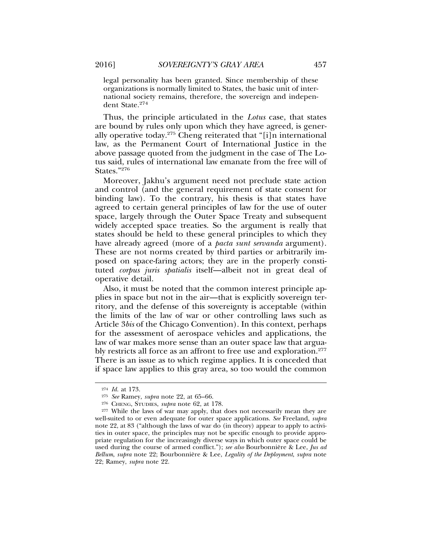legal personality has been granted. Since membership of these organizations is normally limited to States, the basic unit of international society remains, therefore, the sovereign and independent State.274

Thus, the principle articulated in the *Lotus* case, that states are bound by rules only upon which they have agreed, is generally operative today.275 Cheng reiterated that "[i]n international law, as the Permanent Court of International Justice in the above passage quoted from the judgment in the case of The Lotus said, rules of international law emanate from the free will of States."276

Moreover, Jakhu's argument need not preclude state action and control (and the general requirement of state consent for binding law). To the contrary, his thesis is that states have agreed to certain general principles of law for the use of outer space, largely through the Outer Space Treaty and subsequent widely accepted space treaties. So the argument is really that states should be held to these general principles to which they have already agreed (more of a *pacta sunt servanda* argument). These are not norms created by third parties or arbitrarily imposed on space-faring actors; they are in the properly constituted *corpus juris spatialis* itself—albeit not in great deal of operative detail.

Also, it must be noted that the common interest principle applies in space but not in the air—that is explicitly sovereign territory, and the defense of this sovereignty is acceptable (within the limits of the law of war or other controlling laws such as Article 3*bis* of the Chicago Convention). In this context, perhaps for the assessment of aerospace vehicles and applications, the law of war makes more sense than an outer space law that arguably restricts all force as an affront to free use and exploration.<sup>277</sup> There is an issue as to which regime applies. It is conceded that if space law applies to this gray area, so too would the common

<sup>274</sup> *Id.* at 173.

<sup>275</sup> *See* Ramey, *supra* note 22, at 65–66.

<sup>276</sup> CHENG, STUDIES, *supra* note 62, at 178.

<sup>&</sup>lt;sup>277</sup> While the laws of war may apply, that does not necessarily mean they are well-suited to or even adequate for outer space applications. *See* Freeland, *supra* note 22, at 83 ("although the laws of war do (in theory) appear to apply to activities in outer space, the principles may not be specific enough to provide appropriate regulation for the increasingly diverse ways in which outer space could be used during the course of armed conflict."); see also Bourbonnière & Lee, Jus ad *Bellum*, *supra* note 22; Bourbonniere & Lee, ` *Legality of the Deployment*, *supra* note 22; Ramey, *supra* note 22.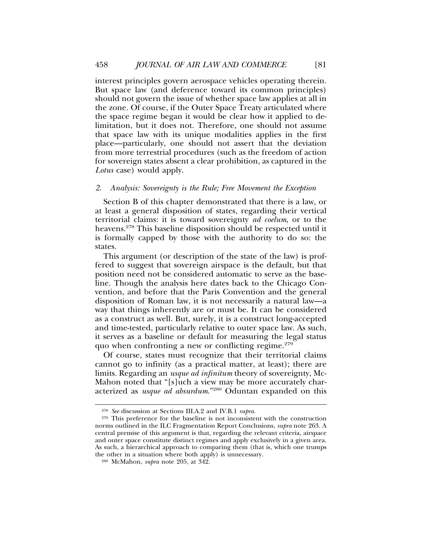interest principles govern aerospace vehicles operating therein. But space law (and deference toward its common principles) should not govern the issue of whether space law applies at all in the zone. Of course, if the Outer Space Treaty articulated where the space regime began it would be clear how it applied to delimitation, but it does not. Therefore, one should not assume that space law with its unique modalities applies in the first place—particularly, one should not assert that the deviation from more terrestrial procedures (such as the freedom of action for sovereign states absent a clear prohibition, as captured in the *Lotus* case) would apply.

#### *2. Analysis: Sovereignty is the Rule; Free Movement the Exception*

Section B of this chapter demonstrated that there is a law, or at least a general disposition of states, regarding their vertical territorial claims: it is toward sovereignty *ad coelum*, or to the heavens.278 This baseline disposition should be respected until it is formally capped by those with the authority to do so: the states.

This argument (or description of the state of the law) is proffered to suggest that sovereign airspace is the default, but that position need not be considered automatic to serve as the baseline. Though the analysis here dates back to the Chicago Convention, and before that the Paris Convention and the general disposition of Roman law, it is not necessarily a natural law—a way that things inherently are or must be. It can be considered as a construct as well. But, surely, it is a construct long-accepted and time-tested, particularly relative to outer space law. As such, it serves as a baseline or default for measuring the legal status quo when confronting a new or conflicting regime.<sup>279</sup>

Of course, states must recognize that their territorial claims cannot go to infinity (as a practical matter, at least); there are limits. Regarding an *usque ad infinitum* theory of sovereignty, Mc-Mahon noted that "[s]uch a view may be more accurately characterized as *usque ad absurdum*."280 Oduntan expanded on this

<sup>278</sup> *See* discussion at Sections III.A.2 and IV.B.1 *supra*.

<sup>279</sup> This preference for the baseline is not inconsistent with the construction norms outlined in the ILC Fragmentation Report Conclusions, *supra* note 263. A central premise of this argument is that, regarding the relevant criteria, airspace and outer space constitute distinct regimes and apply exclusively in a given area. As such, a hierarchical approach to comparing them (that is, which one trumps the other in a situation where both apply) is unnecessary.

<sup>280</sup> McMahon, *supra* note 205, at 342.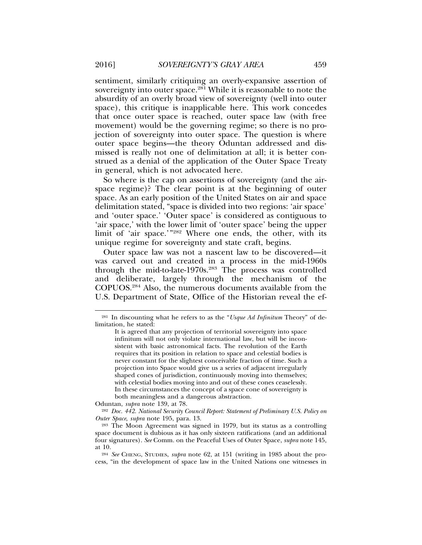sentiment, similarly critiquing an overly-expansive assertion of sovereignty into outer space.<sup>281</sup> While it is reasonable to note the absurdity of an overly broad view of sovereignty (well into outer space), this critique is inapplicable here. This work concedes that once outer space is reached, outer space law (with free movement) would be the governing regime; so there is no projection of sovereignty into outer space. The question is where outer space begins—the theory Oduntan addressed and dismissed is really not one of delimitation at all; it is better construed as a denial of the application of the Outer Space Treaty in general, which is not advocated here.

So where is the cap on assertions of sovereignty (and the airspace regime)? The clear point is at the beginning of outer space. As an early position of the United States on air and space delimitation stated, "space is divided into two regions: 'air space' and 'outer space.' 'Outer space' is considered as contiguous to 'air space,' with the lower limit of 'outer space' being the upper limit of 'air space.'"282 Where one ends, the other, with its unique regime for sovereignty and state craft, begins.

Outer space law was not a nascent law to be discovered—it was carved out and created in a process in the mid-1960s through the mid-to-late-1970s.283 The process was controlled and deliberate, largely through the mechanism of the COPUOS.284 Also, the numerous documents available from the U.S. Department of State, Office of the Historian reveal the ef-

Oduntan, *supra* note 139, at 78.

<sup>282</sup> *Doc. 442. National Security Council Report: Statement of Preliminary U.S. Policy on Outer Space*, *supra* note 195, para. 13.

<sup>281</sup> In discounting what he refers to as the "*Usque Ad Infinitum* Theory" of delimitation, he stated:

It is agreed that any projection of territorial sovereignty into space infinitum will not only violate international law, but will be inconsistent with basic astronomical facts. The revolution of the Earth requires that its position in relation to space and celestial bodies is never constant for the slightest conceivable fraction of time. Such a projection into Space would give us a series of adjacent irregularly shaped cones of jurisdiction, continuously moving into themselves; with celestial bodies moving into and out of these cones ceaselessly. In these circumstances the concept of a space cone of sovereignty is both meaningless and a dangerous abstraction.

<sup>283</sup> The Moon Agreement was signed in 1979, but its status as a controlling space document is dubious as it has only sixteen ratifications (and an additional four signatures). *See* Comm. on the Peaceful Uses of Outer Space, *supra* note 145, at 10.

<sup>284</sup> *See* CHENG, STUDIES, *supra* note 62, at 151 (writing in 1985 about the process, "in the development of space law in the United Nations one witnesses in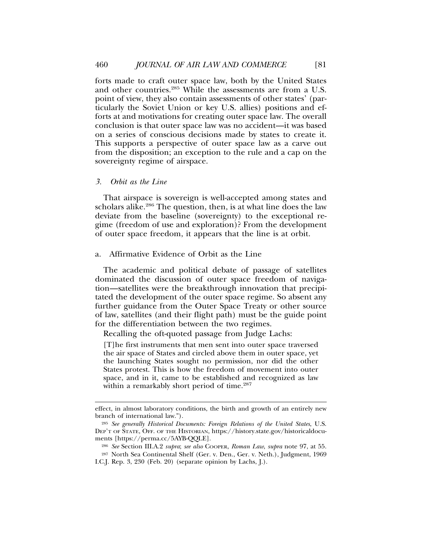forts made to craft outer space law, both by the United States and other countries.285 While the assessments are from a U.S. point of view, they also contain assessments of other states' (particularly the Soviet Union or key U.S. allies) positions and efforts at and motivations for creating outer space law. The overall conclusion is that outer space law was no accident—it was based on a series of conscious decisions made by states to create it. This supports a perspective of outer space law as a carve out from the disposition; an exception to the rule and a cap on the sovereignty regime of airspace.

#### *3. Orbit as the Line*

That airspace is sovereign is well-accepted among states and scholars alike.<sup>286</sup> The question, then, is at what line does the law deviate from the baseline (sovereignty) to the exceptional regime (freedom of use and exploration)? From the development of outer space freedom, it appears that the line is at orbit.

#### a. Affirmative Evidence of Orbit as the Line

The academic and political debate of passage of satellites dominated the discussion of outer space freedom of navigation—satellites were the breakthrough innovation that precipitated the development of the outer space regime. So absent any further guidance from the Outer Space Treaty or other source of law, satellites (and their flight path) must be the guide point for the differentiation between the two regimes.

Recalling the oft-quoted passage from Judge Lachs:

[T]he first instruments that men sent into outer space traversed the air space of States and circled above them in outer space, yet the launching States sought no permission, nor did the other States protest. This is how the freedom of movement into outer space, and in it, came to be established and recognized as law within a remarkably short period of time.<sup>287</sup>

effect, in almost laboratory conditions, the birth and growth of an entirely new branch of international law.").

<sup>285</sup> *See generally Historical Documents: Foreign Relations of the United States*, U.S. DEP'T OF STATE, OFF. OF THE HISTORIAN, https://history.state.gov/historicaldocuments [https://perma.cc/5AYB-QQLE].

<sup>286</sup> *See* Section III.A.2 *supra*; *see also* COOPER, *Roman Law*, *supra* note 97, at 55.

<sup>287</sup> North Sea Continental Shelf (Ger. v. Den., Ger. v. Neth.), Judgment, 1969 I.C.J. Rep. 3, 230 (Feb. 20) (separate opinion by Lachs, J.).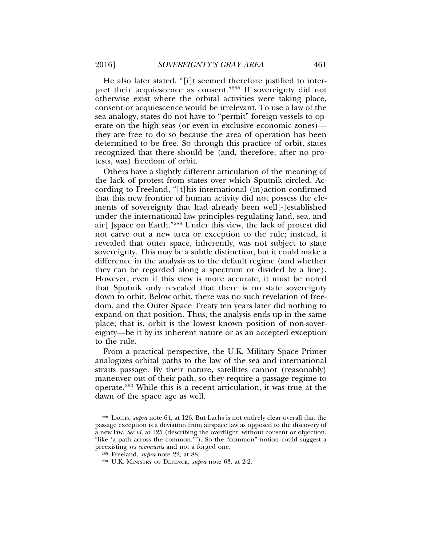He also later stated, "[i]t seemed therefore justified to interpret their acquiescence as consent."288 If sovereignty did not otherwise exist where the orbital activities were taking place, consent or acquiescence would be irrelevant. To use a law of the sea analogy, states do not have to "permit" foreign vessels to operate on the high seas (or even in exclusive economic zones) they are free to do so because the area of operation has been determined to be free. So through this practice of orbit, states recognized that there should be (and, therefore, after no protests, was) freedom of orbit.

Others have a slightly different articulation of the meaning of the lack of protest from states over which Sputnik circled. According to Freeland, "[t]his international (in)action confirmed that this new frontier of human activity did not possess the elements of sovereignty that had already been well[-]established under the international law principles regulating land, sea, and air[ ]space on Earth."289 Under this view, the lack of protest did not carve out a new area or exception to the rule; instead, it revealed that outer space, inherently, was not subject to state sovereignty. This may be a subtle distinction, but it could make a difference in the analysis as to the default regime (and whether they can be regarded along a spectrum or divided by a line). However, even if this view is more accurate, it must be noted that Sputnik only revealed that there is no state sovereignty down to orbit. Below orbit, there was no such revelation of freedom, and the Outer Space Treaty ten years later did nothing to expand on that position. Thus, the analysis ends up in the same place; that is, orbit is the lowest known position of non-sovereignty—be it by its inherent nature or as an accepted exception to the rule.

From a practical perspective, the U.K. Military Space Primer analogizes orbital paths to the law of the sea and international straits passage. By their nature, satellites cannot (reasonably) maneuver out of their path, so they require a passage regime to operate.290 While this is a recent articulation, it was true at the dawn of the space age as well.

<sup>288</sup> LACHS, *supra* note 64, at 126. But Lachs is not entirely clear overall that the passage exception is a deviation from airspace law as opposed to the discovery of a new law. *See id.* at 125 (describing the overflight, without consent or objection, "like 'a path across the common.'"). So the "common" notion could suggest a preexisting *res communis* and not a forged one.

<sup>289</sup> Freeland, *supra* note 22, at 88.

<sup>290</sup> U.K. MINISTRY OF DEFENCE, *supra* note 63, at 2-2.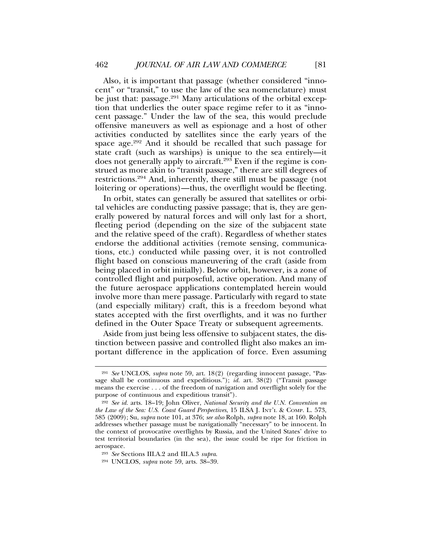Also, it is important that passage (whether considered "innocent" or "transit," to use the law of the sea nomenclature) must be just that: passage.<sup>291</sup> Many articulations of the orbital exception that underlies the outer space regime refer to it as "innocent passage." Under the law of the sea, this would preclude offensive maneuvers as well as espionage and a host of other activities conducted by satellites since the early years of the space age.<sup>292</sup> And it should be recalled that such passage for state craft (such as warships) is unique to the sea entirely—it does not generally apply to aircraft.<sup>293</sup> Even if the regime is construed as more akin to "transit passage," there are still degrees of restrictions.294 And, inherently, there still must be passage (not loitering or operations)—thus, the overflight would be fleeting.

In orbit, states can generally be assured that satellites or orbital vehicles are conducting passive passage; that is, they are generally powered by natural forces and will only last for a short, fleeting period (depending on the size of the subjacent state and the relative speed of the craft). Regardless of whether states endorse the additional activities (remote sensing, communications, etc.) conducted while passing over, it is not controlled flight based on conscious maneuvering of the craft (aside from being placed in orbit initially). Below orbit, however, is a zone of controlled flight and purposeful, active operation. And many of the future aerospace applications contemplated herein would involve more than mere passage. Particularly with regard to state (and especially military) craft, this is a freedom beyond what states accepted with the first overflights, and it was no further defined in the Outer Space Treaty or subsequent agreements.

Aside from just being less offensive to subjacent states, the distinction between passive and controlled flight also makes an important difference in the application of force. Even assuming

<sup>291</sup> *See* UNCLOS, *supra* note 59, art. 18(2) (regarding innocent passage, "Passage shall be continuous and expeditious."); *id.* art. 38(2) ("Transit passage means the exercise . . . of the freedom of navigation and overflight solely for the purpose of continuous and expeditious transit").

<sup>292</sup> *See id.* arts. 18–19; John Oliver, *National Security and the U.N. Convention on the Law of the Sea: U.S. Coast Guard Perspectives*, 15 ILSA J. INT'L & COMP. L. 573, 585 (2009); Su, *supra* note 101, at 376; *see also* Rolph, *supra* note 18, at 160. Rolph addresses whether passage must be navigationally "necessary" to be innocent. In the context of provocative overflights by Russia, and the United States' drive to test territorial boundaries (in the sea), the issue could be ripe for friction in aerospace.

<sup>293</sup> *See* Sections III.A.2 and III.A.3 *supra*.

<sup>294</sup> UNCLOS, *supra* note 59, arts. 38–39.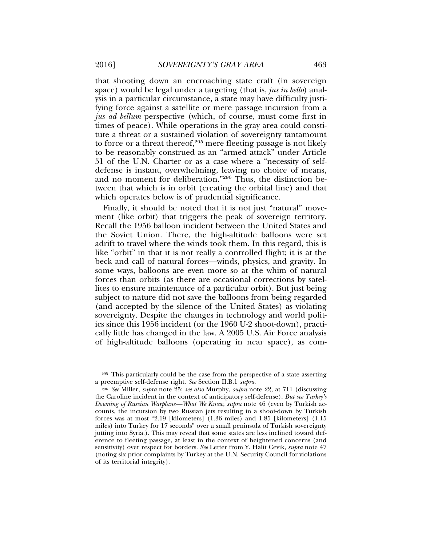that shooting down an encroaching state craft (in sovereign space) would be legal under a targeting (that is, *jus in bello*) analysis in a particular circumstance, a state may have difficulty justifying force against a satellite or mere passage incursion from a *jus ad bellum* perspective (which, of course, must come first in times of peace). While operations in the gray area could constitute a threat or a sustained violation of sovereignty tantamount to force or a threat thereof, $295$  mere fleeting passage is not likely to be reasonably construed as an "armed attack" under Article 51 of the U.N. Charter or as a case where a "necessity of selfdefense is instant, overwhelming, leaving no choice of means, and no moment for deliberation."296 Thus, the distinction between that which is in orbit (creating the orbital line) and that which operates below is of prudential significance.

Finally, it should be noted that it is not just "natural" movement (like orbit) that triggers the peak of sovereign territory. Recall the 1956 balloon incident between the United States and the Soviet Union. There, the high-altitude balloons were set adrift to travel where the winds took them. In this regard, this is like "orbit" in that it is not really a controlled flight; it is at the beck and call of natural forces—winds, physics, and gravity. In some ways, balloons are even more so at the whim of natural forces than orbits (as there are occasional corrections by satellites to ensure maintenance of a particular orbit). But just being subject to nature did not save the balloons from being regarded (and accepted by the silence of the United States) as violating sovereignty. Despite the changes in technology and world politics since this 1956 incident (or the 1960 U-2 shoot-down), practically little has changed in the law. A 2005 U.S. Air Force analysis of high-altitude balloons (operating in near space), as com-

<sup>295</sup> This particularly could be the case from the perspective of a state asserting a preemptive self-defense right. *See* Section II.B.1 *supra*.

<sup>296</sup> *See* Miller, *supra* note 25; *see also* Murphy, *supra* note 22, at 711 (discussing the Caroline incident in the context of anticipatory self-defense). *But see Turkey's Downing of Russian Warplane—What We Know*, *supra* note 46 (even by Turkish accounts, the incursion by two Russian jets resulting in a shoot-down by Turkish forces was at most "2.19 [kilometers] (1.36 miles) and 1.85 [kilometers] (1.15 miles) into Turkey for 17 seconds" over a small peninsula of Turkish sovereignty jutting into Syria.). This may reveal that some states are less inclined toward deference to fleeting passage, at least in the context of heightened concerns (and sensitivity) over respect for borders. *See* Letter from Y. Halit Cevik, *supra* note 47 (noting six prior complaints by Turkey at the U.N. Security Council for violations of its territorial integrity).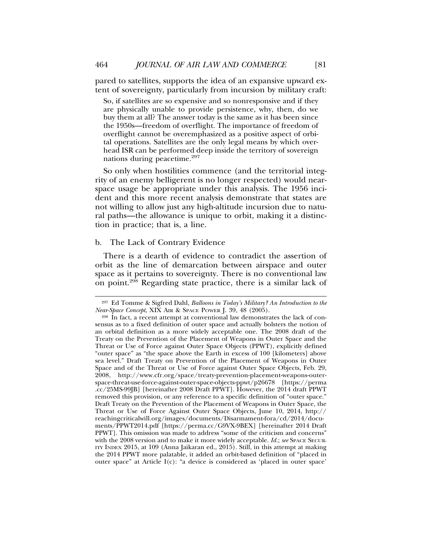pared to satellites, supports the idea of an expansive upward extent of sovereignty, particularly from incursion by military craft:

So, if satellites are so expensive and so nonresponsive and if they are physically unable to provide persistence, why, then, do we buy them at all? The answer today is the same as it has been since the 1950s—freedom of overflight. The importance of freedom of overflight cannot be overemphasized as a positive aspect of orbital operations. Satellites are the only legal means by which overhead ISR can be performed deep inside the territory of sovereign nations during peacetime.<sup>297</sup>

So only when hostilities commence (and the territorial integrity of an enemy belligerent is no longer respected) would nearspace usage be appropriate under this analysis. The 1956 incident and this more recent analysis demonstrate that states are not willing to allow just any high-altitude incursion due to natural paths—the allowance is unique to orbit, making it a distinction in practice; that is, a line.

#### b. The Lack of Contrary Evidence

There is a dearth of evidence to contradict the assertion of orbit as the line of demarcation between airspace and outer space as it pertains to sovereignty. There is no conventional law on point.298 Regarding state practice, there is a similar lack of

<sup>297</sup> Ed Tomme & Sigfred Dahl, *Balloons in Today's Military? An Introduction to the Near-Space Concept*, XIX AIR & SPACE POWER J. 39, 48 (2005).

<sup>298</sup> In fact, a recent attempt at conventional law demonstrates the lack of consensus as to a fixed definition of outer space and actually bolsters the notion of an orbital definition as a more widely acceptable one. The 2008 draft of the Treaty on the Prevention of the Placement of Weapons in Outer Space and the Threat or Use of Force against Outer Space Objects (PPWT), explicitly defined "outer space" as "the space above the Earth in excess of 100 [kilometers] above sea level." Draft Treaty on Prevention of the Placement of Weapons in Outer Space and of the Threat or Use of Force against Outer Space Objects, Feb. 29, 2008, http://www.cfr.org/space/treaty-prevention-placement-weapons-outerspace-threat-use-force-against-outer-space-objects-ppwt/p26678 [https://perma .cc/25MS-99JB] [hereinafter 2008 Draft PPWT]. However, the 2014 draft PPWT removed this provision, or any reference to a specific definition of "outer space." Draft Treaty on the Prevention of the Placement of Weapons in Outer Space, the Threat or Use of Force Against Outer Space Objects, June 10, 2014, http:// reachingcriticalwill.org/images/documents/Disarmament-fora/cd/2014/documents/PPWT2014.pdf [https://perma.cc/G9VX-9BEX] [hereinafter 2014 Draft PPWT]. This omission was made to address "some of the criticism and concerns" with the 2008 version and to make it more widely acceptable. *Id.*; *see* SPACE SECUR-ITY INDEX 2015, at 109 (Anna Jaikaran ed., 2015). Still, in this attempt at making the 2014 PPWT more palatable, it added an orbit-based definition of "placed in outer space" at Article I(c): "a device is considered as 'placed in outer space'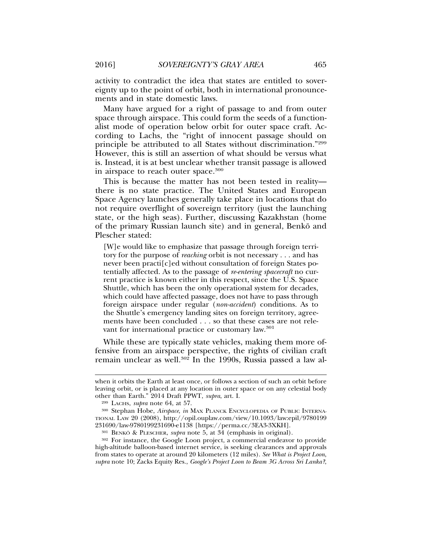activity to contradict the idea that states are entitled to sovereignty up to the point of orbit, both in international pronouncements and in state domestic laws.

Many have argued for a right of passage to and from outer space through airspace. This could form the seeds of a functionalist mode of operation below orbit for outer space craft. According to Lachs, the "right of innocent passage should on principle be attributed to all States without discrimination."299 However, this is still an assertion of what should be versus what is. Instead, it is at best unclear whether transit passage is allowed in airspace to reach outer space.<sup>300</sup>

This is because the matter has not been tested in reality there is no state practice. The United States and European Space Agency launches generally take place in locations that do not require overflight of sovereign territory (just the launching state, or the high seas). Further, discussing Kazakhstan (home of the primary Russian launch site) and in general, Benkö and Plescher stated:

[W]e would like to emphasize that passage through foreign territory for the purpose of *reaching* orbit is not necessary . . . and has never been practi[c]ed without consultation of foreign States potentially affected. As to the passage of *re-entering spacecraft* no current practice is known either in this respect, since the U.S. Space Shuttle, which has been the only operational system for decades, which could have affected passage, does not have to pass through foreign airspace under regular (*non-accident*) conditions. As to the Shuttle's emergency landing sites on foreign territory, agreements have been concluded . . . so that these cases are not relevant for international practice or customary law.<sup>301</sup>

While these are typically state vehicles, making them more offensive from an airspace perspective, the rights of civilian craft remain unclear as well.<sup>302</sup> In the 1990s, Russia passed a law al-

when it orbits the Earth at least once, or follows a section of such an orbit before leaving orbit, or is placed at any location in outer space or on any celestial body other than Earth." 2014 Draft PPWT, *supra*, art. I.

<sup>299</sup> LACHS, *supra* note 64, at 57.

<sup>300</sup> Stephan Hobe, *Airspace*, *in* MAX PLANCK ENCYCLOPEDIA OF PUBLIC INTERNA-TIONAL LAW 20 (2008), http://opil.ouplaw.com/view/10.1093/law:epil/9780199 231690/law-9780199231690-e1138 [https://perma.cc/3EA3-3XKH].

<sup>301</sup> BENKO¨ & PLESCHER, *supra* note 5, at 34 (emphasis in original).

<sup>302</sup> For instance, the Google Loon project, a commercial endeavor to provide high-altitude balloon-based internet service, is seeking clearances and approvals from states to operate at around 20 kilometers (12 miles). *See What is Project Loon*, *supra* note 10; Zacks Equity Res., *Google's Project Loon to Beam 3G Across Sri Lanka?*,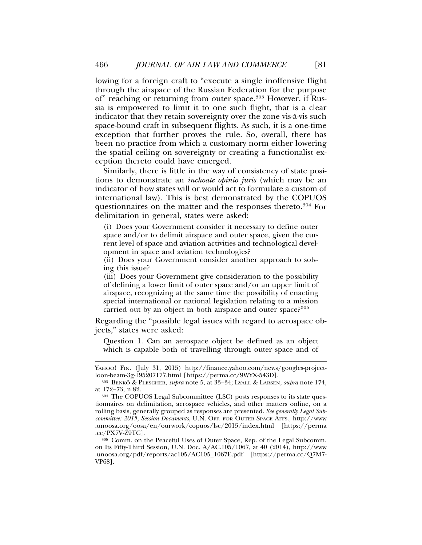lowing for a foreign craft to "execute a single inoffensive flight through the airspace of the Russian Federation for the purpose of" reaching or returning from outer space.303 However, if Russia is empowered to limit it to one such flight, that is a clear indicator that they retain sovereignty over the zone vis-a-vis such ` space-bound craft in subsequent flights. As such, it is a one-time exception that further proves the rule. So, overall, there has been no practice from which a customary norm either lowering the spatial ceiling on sovereignty or creating a functionalist exception thereto could have emerged.

Similarly, there is little in the way of consistency of state positions to demonstrate an *inchoate opinio juris* (which may be an indicator of how states will or would act to formulate a custom of international law). This is best demonstrated by the COPUOS questionnaires on the matter and the responses thereto.<sup>304</sup> For delimitation in general, states were asked:

(i) Does your Government consider it necessary to define outer space and/or to delimit airspace and outer space, given the current level of space and aviation activities and technological development in space and aviation technologies?

(ii) Does your Government consider another approach to solving this issue?

(iii) Does your Government give consideration to the possibility of defining a lower limit of outer space and/or an upper limit of airspace, recognizing at the same time the possibility of enacting special international or national legislation relating to a mission carried out by an object in both airspace and outer space?<sup>305</sup>

Regarding the "possible legal issues with regard to aerospace objects," states were asked:

Question 1. Can an aerospace object be defined as an object which is capable both of travelling through outer space and of

<sup>305</sup> Comm. on the Peaceful Uses of Outer Space, Rep. of the Legal Subcomm. on Its Fifty-Third Session, U.N. Doc. A/AC.105/1067, at 40 (2014), http://www .unoosa.org/pdf/reports/ac105/AC105\_1067E.pdf [https://perma.cc/Q7M7- VP68].

YAHOO! FIN. (July 31, 2015) http://finance.yahoo.com/news/googles-projectloon-beam-3g-195207177.html [https://perma.cc/9WYX-543D].

<sup>303</sup> BENKO¨ & PLESCHER, *supra* note 5, at 33–34; LYALL & LARSEN, *supra* note 174, at 172–73, n.82.

<sup>304</sup> The COPUOS Legal Subcommittee (LSC) posts responses to its state questionnaires on delimitation, aerospace vehicles, and other matters online, on a rolling basis, generally grouped as responses are presented. *See generally Legal Subcommittee: 2015, Session Documents*, U.N. OFF. FOR OUTER SPACE AFFS., http://www .unoosa.org/oosa/en/ourwork/copuos/lsc/2015/index.html [https://perma .cc/PX7V-Z9TC].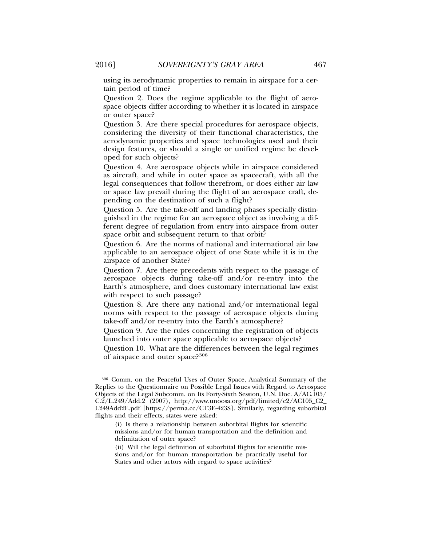using its aerodynamic properties to remain in airspace for a certain period of time?

Question 2. Does the regime applicable to the flight of aerospace objects differ according to whether it is located in airspace or outer space?

Question 3. Are there special procedures for aerospace objects, considering the diversity of their functional characteristics, the aerodynamic properties and space technologies used and their design features, or should a single or unified regime be developed for such objects?

Question 4. Are aerospace objects while in airspace considered as aircraft, and while in outer space as spacecraft, with all the legal consequences that follow therefrom, or does either air law or space law prevail during the flight of an aerospace craft, depending on the destination of such a flight?

Question 5. Are the take-off and landing phases specially distinguished in the regime for an aerospace object as involving a different degree of regulation from entry into airspace from outer space orbit and subsequent return to that orbit?

Question 6. Are the norms of national and international air law applicable to an aerospace object of one State while it is in the airspace of another State?

Question 7. Are there precedents with respect to the passage of aerospace objects during take-off and/or re-entry into the Earth's atmosphere, and does customary international law exist with respect to such passage?

Question 8. Are there any national and/or international legal norms with respect to the passage of aerospace objects during take-off and/or re-entry into the Earth's atmosphere?

Question 9. Are the rules concerning the registration of objects launched into outer space applicable to aerospace objects?

Question 10. What are the differences between the legal regimes of airspace and outer space?<sup>306</sup>

<sup>306</sup> Comm. on the Peaceful Uses of Outer Space, Analytical Summary of the Replies to the Questionnaire on Possible Legal Issues with Regard to Aerospace Objects of the Legal Subcomm. on Its Forty-Sixth Session, U.N. Doc. A/AC.105/  $C.2/L.249/Add.2$  (2007), http://www.unoosa.org/pdf/limited/c2/AC105\_C2\_ L249Add2E.pdf [https://perma.cc/CT3E-423S]. Similarly, regarding suborbital flights and their effects, states were asked:

<sup>(</sup>i) Is there a relationship between suborbital flights for scientific missions and/or for human transportation and the definition and delimitation of outer space?

<sup>(</sup>ii) Will the legal definition of suborbital flights for scientific missions and/or for human transportation be practically useful for States and other actors with regard to space activities?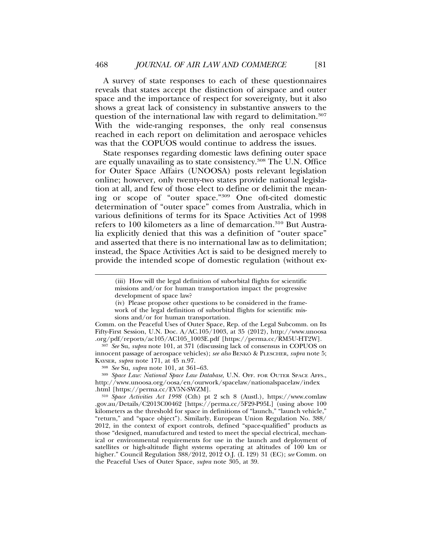A survey of state responses to each of these questionnaires reveals that states accept the distinction of airspace and outer space and the importance of respect for sovereignty, but it also shows a great lack of consistency in substantive answers to the question of the international law with regard to delimitation.<sup>307</sup> With the wide-ranging responses, the only real consensus reached in each report on delimitation and aerospace vehicles was that the COPUOS would continue to address the issues.

State responses regarding domestic laws defining outer space are equally unavailing as to state consistency.<sup>308</sup> The U.N. Office for Outer Space Affairs (UNOOSA) posts relevant legislation online; however, only twenty-two states provide national legislation at all, and few of those elect to define or delimit the meaning or scope of "outer space."309 One oft-cited domestic determination of "outer space" comes from Australia, which in various definitions of terms for its Space Activities Act of 1998 refers to 100 kilometers as a line of demarcation.<sup>310</sup> But Australia explicitly denied that this was a definition of "outer space" and asserted that there is no international law as to delimitation; instead, the Space Activities Act is said to be designed merely to provide the intended scope of domestic regulation (without ex-

Comm. on the Peaceful Uses of Outer Space, Rep. of the Legal Subcomm. on Its Fifty-First Session, U.N. Doc. A/AC.105/1003, at 35 (2012), http://www.unoosa .org/pdf/reports/ac105/AC105\_1003E.pdf [https://perma.cc/RM5U-HT2W].

<sup>307</sup> *See* Su, *supra* note 101, at 371 (discussing lack of consensus in COPUOS on innocent passage of aerospace vehicles); *see also* BENKO¨ & PLESCHER, *supra* note 5; KAYSER, *supra* note 171, at 45 n.97.

<sup>308</sup> *See* Su, *supra* note 101, at 361–63.

<sup>309</sup> *Space Law: National Space Law Database*, U.N. OFF. FOR OUTER SPACE AFFS., http://www.unoosa.org/oosa/en/ourwork/spacelaw/nationalspacelaw/index .html [https://perma.cc/EV5N-SWZM].

<sup>310</sup> *Space Activities Act 1998* (Cth) pt 2 sch 8 (Austl.), https://www.comlaw .gov.au/Details/C2013C00462 [https://perma.cc/5F29-P95L] (using above 100 kilometers as the threshold for space in definitions of "launch," "launch vehicle," "return," and "space object"). Similarly, European Union Regulation No. 388/ 2012, in the context of export controls, defined "space-qualified" products as those "designed, manufactured and tested to meet the special electrical, mechanical or environmental requirements for use in the launch and deployment of satellites or high-altitude flight systems operating at altitudes of 100 km or higher." Council Regulation 388/2012, 2012 O.J. (L 129) 31 (EC); *see* Comm. on the Peaceful Uses of Outer Space, *supra* note 305, at 39.

<sup>(</sup>iii) How will the legal definition of suborbital flights for scientific missions and/or for human transportation impact the progressive development of space law?

<sup>(</sup>iv) Please propose other questions to be considered in the framework of the legal definition of suborbital flights for scientific missions and/or for human transportation.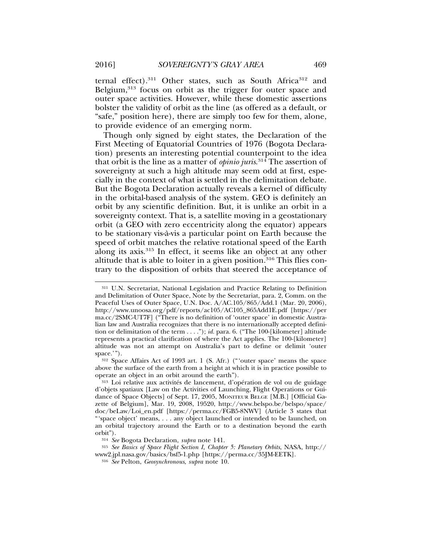ternal effect).<sup>311</sup> Other states, such as South Africa<sup>312</sup> and Belgium,<sup>313</sup> focus on orbit as the trigger for outer space and outer space activities. However, while these domestic assertions bolster the validity of orbit as the line (as offered as a default, or "safe," position here), there are simply too few for them, alone, to provide evidence of an emerging norm.

Though only signed by eight states, the Declaration of the First Meeting of Equatorial Countries of 1976 (Bogota Declaration) presents an interesting potential counterpoint to the idea that orbit is the line as a matter of *opinio juris*. 314 The assertion of sovereignty at such a high altitude may seem odd at first, especially in the context of what is settled in the delimitation debate. But the Bogota Declaration actually reveals a kernel of difficulty in the orbital-based analysis of the system. GEO is definitely an orbit by any scientific definition. But, it is unlike an orbit in a sovereignty context. That is, a satellite moving in a geostationary orbit (a GEO with zero eccentricity along the equator) appears to be stationary vis-a-vis a particular point on Earth because the ` speed of orbit matches the relative rotational speed of the Earth along its axis.315 In effect, it seems like an object at any other altitude that is able to loiter in a given position. $316$  This flies contrary to the disposition of orbits that steered the acceptance of

<sup>311</sup> U.N. Secretariat, National Legislation and Practice Relating to Definition and Delimitation of Outer Space, Note by the Secretariat, para. 2, Comm. on the Peaceful Uses of Outer Space, U.N. Doc. A/AC.105/865/Add.1 (Mar. 20, 2006), http://www.unoosa.org/pdf/reports/ac105/AC105\_865Add1E.pdf [https://per ma.cc/2SMC-UT7F] ("There is no definition of 'outer space' in domestic Australian law and Australia recognizes that there is no internationally accepted definition or delimitation of the term . . . ."); *id.* para. 6. ("The 100-[kilometer] altitude represents a practical clarification of where the Act applies. The 100-[kilometer] altitude was not an attempt on Australia's part to define or delimit 'outer space.'").

<sup>312</sup> Space Affairs Act of 1993 art. 1 (S. Afr.) ("'outer space' means the space above the surface of the earth from a height at which it is in practice possible to operate an object in an orbit around the earth").

<sup>313</sup> Loi relative aux activités de lancement, d'opération de vol ou de guidage d'objets spatiaux [Law on the Activities of Launching, Flight Operations or Guidance of Space Objects] of Sept. 17, 2005, MONITEUR BELGE [M.B.] [Official Gazette of Belgium], Mar. 19, 2008, 19520, http://www.belspo.be/belspo/space/ doc/beLaw/Loi\_en.pdf [https://perma.cc/FGB5-8NWV] (Article 3 states that "'space object' means, . . . any object launched or intended to be launched, on an orbital trajectory around the Earth or to a destination beyond the earth orbit").

<sup>314</sup> *See* Bogota Declaration, *supra* note 141.

<sup>315</sup> *See Basics of Space Flight Section I, Chapter 5: Planetary Orbits*, NASA, http://

www2.jpl.nasa.gov/basics/bsf5-1.php [https://perma.cc/35JM-EETK].

<sup>316</sup> *See* Pelton, *Geosynchronous*, *supra* note 10.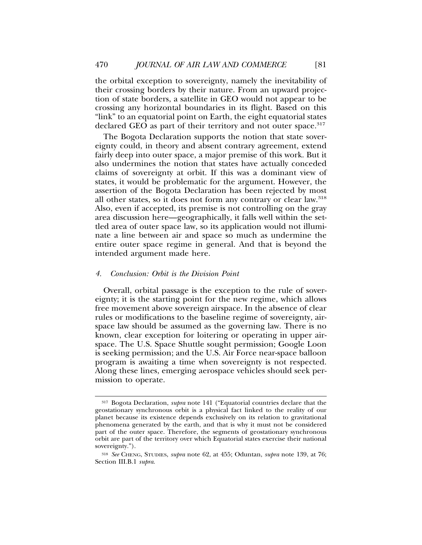the orbital exception to sovereignty, namely the inevitability of their crossing borders by their nature. From an upward projection of state borders, a satellite in GEO would not appear to be crossing any horizontal boundaries in its flight. Based on this "link" to an equatorial point on Earth, the eight equatorial states declared GEO as part of their territory and not outer space.<sup>317</sup>

The Bogota Declaration supports the notion that state sovereignty could, in theory and absent contrary agreement, extend fairly deep into outer space, a major premise of this work. But it also undermines the notion that states have actually conceded claims of sovereignty at orbit. If this was a dominant view of states, it would be problematic for the argument. However, the assertion of the Bogota Declaration has been rejected by most all other states, so it does not form any contrary or clear law.318 Also, even if accepted, its premise is not controlling on the gray area discussion here—geographically, it falls well within the settled area of outer space law, so its application would not illuminate a line between air and space so much as undermine the entire outer space regime in general. And that is beyond the intended argument made here.

#### *4. Conclusion: Orbit is the Division Point*

Overall, orbital passage is the exception to the rule of sovereignty; it is the starting point for the new regime, which allows free movement above sovereign airspace. In the absence of clear rules or modifications to the baseline regime of sovereignty, airspace law should be assumed as the governing law. There is no known, clear exception for loitering or operating in upper airspace. The U.S. Space Shuttle sought permission; Google Loon is seeking permission; and the U.S. Air Force near-space balloon program is awaiting a time when sovereignty is not respected. Along these lines, emerging aerospace vehicles should seek permission to operate.

<sup>317</sup> Bogota Declaration, *supra* note 141 ("Equatorial countries declare that the geostationary synchronous orbit is a physical fact linked to the reality of our planet because its existence depends exclusively on its relation to gravitational phenomena generated by the earth, and that is why it must not be considered part of the outer space. Therefore, the segments of geostationary synchronous orbit are part of the territory over which Equatorial states exercise their national sovereignty.").

<sup>318</sup> *See* CHENG, STUDIES, *supra* note 62, at 455; Oduntan, *supra* note 139, at 76; Section III.B.1 *supra*.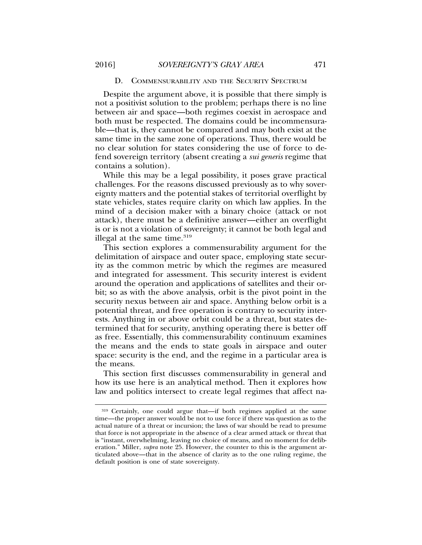## D. COMMENSURABILITY AND THE SECURITY SPECTRUM

Despite the argument above, it is possible that there simply is not a positivist solution to the problem; perhaps there is no line between air and space—both regimes coexist in aerospace and both must be respected. The domains could be incommensurable—that is, they cannot be compared and may both exist at the same time in the same zone of operations. Thus, there would be no clear solution for states considering the use of force to defend sovereign territory (absent creating a *sui generis* regime that contains a solution).

While this may be a legal possibility, it poses grave practical challenges. For the reasons discussed previously as to why sovereignty matters and the potential stakes of territorial overflight by state vehicles, states require clarity on which law applies. In the mind of a decision maker with a binary choice (attack or not attack), there must be a definitive answer—either an overflight is or is not a violation of sovereignty; it cannot be both legal and illegal at the same time.<sup>319</sup>

This section explores a commensurability argument for the delimitation of airspace and outer space, employing state security as the common metric by which the regimes are measured and integrated for assessment. This security interest is evident around the operation and applications of satellites and their orbit; so as with the above analysis, orbit is the pivot point in the security nexus between air and space. Anything below orbit is a potential threat, and free operation is contrary to security interests. Anything in or above orbit could be a threat, but states determined that for security, anything operating there is better off as free. Essentially, this commensurability continuum examines the means and the ends to state goals in airspace and outer space: security is the end, and the regime in a particular area is the means.

This section first discusses commensurability in general and how its use here is an analytical method. Then it explores how law and politics intersect to create legal regimes that affect na-

<sup>319</sup> Certainly, one could argue that—if both regimes applied at the same time—the proper answer would be not to use force if there was question as to the actual nature of a threat or incursion; the laws of war should be read to presume that force is not appropriate in the absence of a clear armed attack or threat that is "instant, overwhelming, leaving no choice of means, and no moment for deliberation." Miller, *supra* note 25. However, the counter to this is the argument articulated above—that in the absence of clarity as to the one ruling regime, the default position is one of state sovereignty.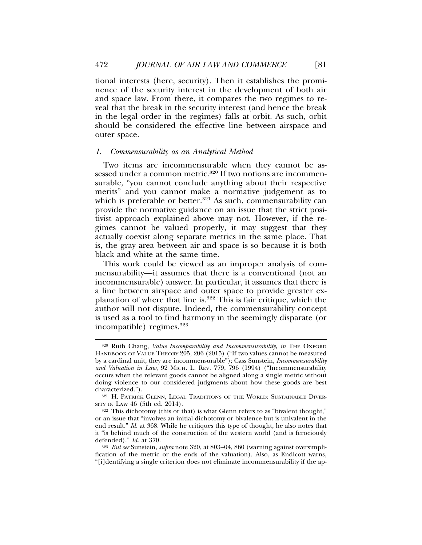tional interests (here, security). Then it establishes the prominence of the security interest in the development of both air and space law. From there, it compares the two regimes to reveal that the break in the security interest (and hence the break in the legal order in the regimes) falls at orbit. As such, orbit should be considered the effective line between airspace and outer space.

#### *1. Commensurability as an Analytical Method*

Two items are incommensurable when they cannot be assessed under a common metric.<sup>320</sup> If two notions are incommensurable, "you cannot conclude anything about their respective merits" and you cannot make a normative judgement as to which is preferable or better. $321$  As such, commensurability can provide the normative guidance on an issue that the strict positivist approach explained above may not. However, if the regimes cannot be valued properly, it may suggest that they actually coexist along separate metrics in the same place. That is, the gray area between air and space is so because it is both black and white at the same time.

This work could be viewed as an improper analysis of commensurability—it assumes that there is a conventional (not an incommensurable) answer. In particular, it assumes that there is a line between airspace and outer space to provide greater explanation of where that line is.322 This is fair critique, which the author will not dispute. Indeed, the commensurability concept is used as a tool to find harmony in the seemingly disparate (or incompatible) regimes.<sup>323</sup>

<sup>320</sup> Ruth Chang, *Value Incomparability and Incommensurability*, *in* THE OXFORD HANDBOOK OF VALUE THEORY 205, 206 (2015) ("If two values cannot be measured by a cardinal unit, they are incommensurable"); Cass Sunstein, *Incommensurability and Valuation in Law*, 92 MICH. L. REV. 779, 796 (1994) ("Incommensurability occurs when the relevant goods cannot be aligned along a single metric without doing violence to our considered judgments about how these goods are best characterized.").

<sup>321</sup> H. PATRICK GLENN, LEGAL TRADITIONS OF THE WORLD: SUSTAINABLE DIVER-SITY IN LAW 46 (5th ed. 2014).

<sup>322</sup> This dichotomy (this or that) is what Glenn refers to as "bivalent thought," or an issue that "involves an initial dichotomy or bivalence but is univalent in the end result." *Id.* at 368. While he critiques this type of thought, he also notes that it "is behind much of the construction of the western world (and is ferociously defended)." *Id.* at 370.

<sup>323</sup> *But see* Sunstein, *supra* note 320, at 803–04, 860 (warning against oversimplification of the metric or the ends of the valuation). Also, as Endicott warns, "[i]dentifying a single criterion does not eliminate incommensurability if the ap-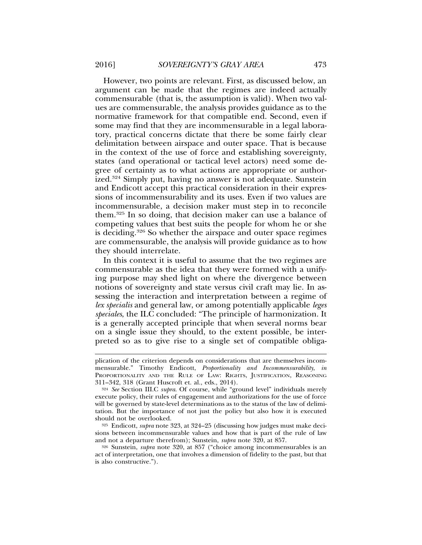However, two points are relevant. First, as discussed below, an argument can be made that the regimes are indeed actually commensurable (that is, the assumption is valid). When two values are commensurable, the analysis provides guidance as to the normative framework for that compatible end. Second, even if some may find that they are incommensurable in a legal laboratory, practical concerns dictate that there be some fairly clear delimitation between airspace and outer space. That is because in the context of the use of force and establishing sovereignty, states (and operational or tactical level actors) need some degree of certainty as to what actions are appropriate or authorized.324 Simply put, having no answer is not adequate. Sunstein and Endicott accept this practical consideration in their expressions of incommensurability and its uses. Even if two values are incommensurable, a decision maker must step in to reconcile them.325 In so doing, that decision maker can use a balance of competing values that best suits the people for whom he or she is deciding.326 So whether the airspace and outer space regimes are commensurable, the analysis will provide guidance as to how they should interrelate.

In this context it is useful to assume that the two regimes are commensurable as the idea that they were formed with a unifying purpose may shed light on where the divergence between notions of sovereignty and state versus civil craft may lie. In assessing the interaction and interpretation between a regime of *lex specialis* and general law, or among potentially applicable *leges speciales*, the ILC concluded: "The principle of harmonization. It is a generally accepted principle that when several norms bear on a single issue they should, to the extent possible, be interpreted so as to give rise to a single set of compatible obliga-

<sup>325</sup> Endicott, *supra* note 323, at 324–25 (discussing how judges must make decisions between incommensurable values and how that is part of the rule of law and not a departure therefrom); Sunstein, *supra* note 320, at 857.

<sup>326</sup> Sunstein, *supra* note 320, at 857 ("choice among incommensurables is an act of interpretation, one that involves a dimension of fidelity to the past, but that is also constructive.").

plication of the criterion depends on considerations that are themselves incommensurable." Timothy Endicott, *Proportionality and Incommensurability*, *in* PROPORTIONALITY AND THE RULE OF LAW: RIGHTS, JUSTIFICATION, REASONING 311–342, 318 (Grant Huscroft et. al., eds., 2014).

<sup>324</sup> *See* Section III.C *supra*. Of course, while "ground level" individuals merely execute policy, their rules of engagement and authorizations for the use of force will be governed by state-level determinations as to the status of the law of delimitation. But the importance of not just the policy but also how it is executed should not be overlooked.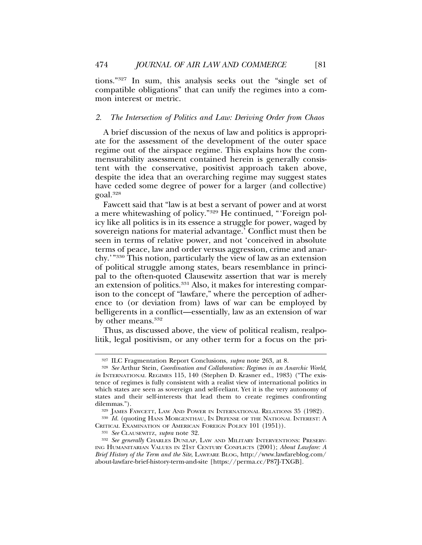tions."327 In sum, this analysis seeks out the "single set of compatible obligations" that can unify the regimes into a common interest or metric.

#### *2. The Intersection of Politics and Law: Deriving Order from Chaos*

A brief discussion of the nexus of law and politics is appropriate for the assessment of the development of the outer space regime out of the airspace regime. This explains how the commensurability assessment contained herein is generally consistent with the conservative, positivist approach taken above, despite the idea that an overarching regime may suggest states have ceded some degree of power for a larger (and collective) goal.328

Fawcett said that "law is at best a servant of power and at worst a mere whitewashing of policy."329 He continued, "'Foreign policy like all politics is in its essence a struggle for power, waged by sovereign nations for material advantage.' Conflict must then be seen in terms of relative power, and not 'conceived in absolute terms of peace, law and order versus aggression, crime and anarchy.'"330 This notion, particularly the view of law as an extension of political struggle among states, bears resemblance in principal to the often-quoted Clausewitz assertion that war is merely an extension of politics.<sup>331</sup> Also, it makes for interesting comparison to the concept of "lawfare," where the perception of adherence to (or deviation from) laws of war can be employed by belligerents in a conflict—essentially, law as an extension of war by other means.<sup>332</sup>

Thus, as discussed above, the view of political realism, realpolitik, legal positivism, or any other term for a focus on the pri-

<sup>327</sup> ILC Fragmentation Report Conclusions, *supra* note 263, at 8.

<sup>328</sup> *See* Arthur Stein, *Coordination and Collaboration: Regimes in an Anarchic World*, *in* INTERNATIONAL REGIMES 115, 140 (Stephen D. Krasner ed., 1983) ("The existence of regimes is fully consistent with a realist view of international politics in which states are seen as sovereign and self-reliant. Yet it is the very autonomy of states and their self-interests that lead them to create regimes confronting dilemmas.").

<sup>329</sup> JAMES FAWCETT, LAW AND POWER IN INTERNATIONAL RELATIONS 35 (1982).

<sup>&</sup>lt;sup>330</sup> *Id.* (quoting HANS MORGENTHAU, IN DEFENSE OF THE NATIONAL INTEREST: A CRITICAL EXAMINATION OF AMERICAN FOREIGN POLICY 101 (1951)).

<sup>331</sup> *See* CLAUSEWITZ, *supra* note 32.

<sup>332</sup> *See generally* CHARLES DUNLAP, LAW AND MILITARY INTERVENTIONS: PRESERV-ING HUMANITARIAN VALUES IN 21ST CENTURY CONFLICTS (2001); *About Lawfare: A Brief History of the Term and the Site*, LAWFARE BLOG, http://www.lawfareblog.com/ about-lawfare-brief-history-term-and-site [https://perma.cc/P87J-TXGB].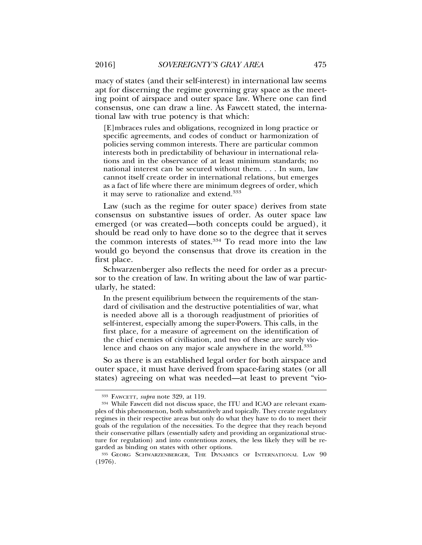macy of states (and their self-interest) in international law seems apt for discerning the regime governing gray space as the meeting point of airspace and outer space law. Where one can find consensus, one can draw a line. As Fawcett stated, the international law with true potency is that which:

[E]mbraces rules and obligations, recognized in long practice or specific agreements, and codes of conduct or harmonization of policies serving common interests. There are particular common interests both in predictability of behaviour in international relations and in the observance of at least minimum standards; no national interest can be secured without them. . . . In sum, law cannot itself create order in international relations, but emerges as a fact of life where there are minimum degrees of order, which it may serve to rationalize and extend.333

Law (such as the regime for outer space) derives from state consensus on substantive issues of order. As outer space law emerged (or was created—both concepts could be argued), it should be read only to have done so to the degree that it serves the common interests of states.<sup>334</sup> To read more into the law would go beyond the consensus that drove its creation in the first place.

Schwarzenberger also reflects the need for order as a precursor to the creation of law. In writing about the law of war particularly, he stated:

In the present equilibrium between the requirements of the standard of civilisation and the destructive potentialities of war, what is needed above all is a thorough readjustment of priorities of self-interest, especially among the super-Powers. This calls, in the first place, for a measure of agreement on the identification of the chief enemies of civilisation, and two of these are surely violence and chaos on any major scale anywhere in the world.<sup>335</sup>

So as there is an established legal order for both airspace and outer space, it must have derived from space-faring states (or all states) agreeing on what was needed—at least to prevent "vio-

<sup>333</sup> FAWCETT, *supra* note 329, at 119.

<sup>334</sup> While Fawcett did not discuss space, the ITU and ICAO are relevant examples of this phenomenon, both substantively and topically. They create regulatory regimes in their respective areas but only do what they have to do to meet their goals of the regulation of the necessities. To the degree that they reach beyond their conservative pillars (essentially safety and providing an organizational structure for regulation) and into contentious zones, the less likely they will be regarded as binding on states with other options.

<sup>335</sup> GEORG SCHWARZENBERGER, THE DYNAMICS OF INTERNATIONAL LAW 90 (1976).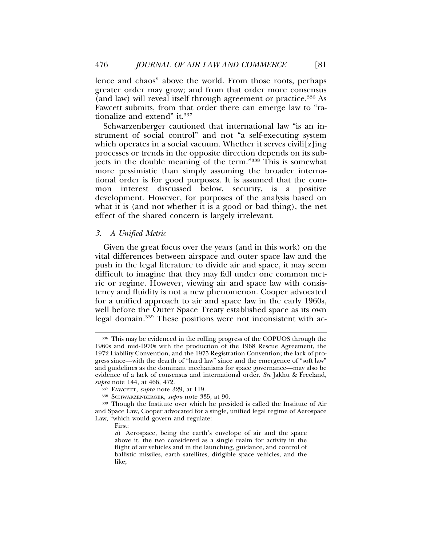lence and chaos" above the world. From those roots, perhaps greater order may grow; and from that order more consensus (and law) will reveal itself through agreement or practice.<sup>336</sup> As Fawcett submits, from that order there can emerge law to "rationalize and extend" it.<sup>337</sup>

Schwarzenberger cautioned that international law "is an instrument of social control" and not "a self-executing system which operates in a social vacuum. Whether it serves civili[z]ing processes or trends in the opposite direction depends on its subjects in the double meaning of the term."338 This is somewhat more pessimistic than simply assuming the broader international order is for good purposes. It is assumed that the common interest discussed below, security, is a positive development. However, for purposes of the analysis based on what it is (and not whether it is a good or bad thing), the net effect of the shared concern is largely irrelevant.

#### *3. A Unified Metric*

Given the great focus over the years (and in this work) on the vital differences between airspace and outer space law and the push in the legal literature to divide air and space, it may seem difficult to imagine that they may fall under one common metric or regime. However, viewing air and space law with consistency and fluidity is not a new phenomenon. Cooper advocated for a unified approach to air and space law in the early 1960s, well before the Outer Space Treaty established space as its own legal domain.<sup>339</sup> These positions were not inconsistent with ac-

<sup>336</sup> This may be evidenced in the rolling progress of the COPUOS through the 1960s and mid-1970s with the production of the 1968 Rescue Agreement, the 1972 Liability Convention, and the 1975 Registration Convention; the lack of progress since—with the dearth of "hard law" since and the emergence of "soft law" and guidelines as the dominant mechanisms for space governance—may also be evidence of a lack of consensus and international order. *See* Jakhu & Freeland, *supra* note 144, at 466, 472.

<sup>337</sup> FAWCETT, *supra* note 329, at 119.

<sup>338</sup> SCHWARZENBERGER, *supra* note 335, at 90.

<sup>339</sup> Though the Institute over which he presided is called the Institute of Air and Space Law, Cooper advocated for a single, unified legal regime of Aerospace Law, "which would govern and regulate:

First:

*a*) Aerospace, being the earth's envelope of air and the space above it, the two considered as a single realm for activity in the flight of air vehicles and in the launching, guidance, and control of ballistic missiles, earth satellites, dirigible space vehicles, and the like;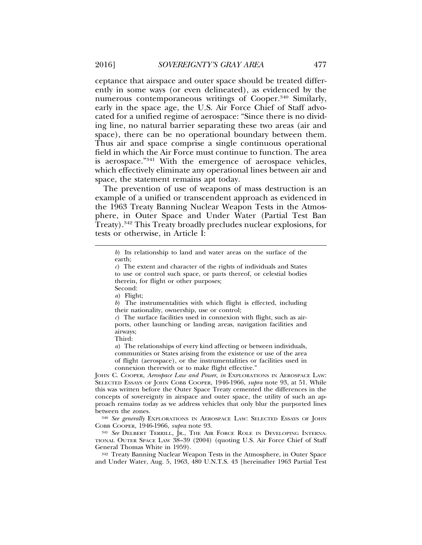ceptance that airspace and outer space should be treated differently in some ways (or even delineated), as evidenced by the numerous contemporaneous writings of Cooper.<sup>340</sup> Similarly, early in the space age, the U.S. Air Force Chief of Staff advocated for a unified regime of aerospace: "Since there is no dividing line, no natural barrier separating these two areas (air and space), there can be no operational boundary between them. Thus air and space comprise a single continuous operational field in which the Air Force must continue to function. The area is aerospace."341 With the emergence of aerospace vehicles, which effectively eliminate any operational lines between air and space, the statement remains apt today.

The prevention of use of weapons of mass destruction is an example of a unified or transcendent approach as evidenced in the 1963 Treaty Banning Nuclear Weapon Tests in the Atmosphere, in Outer Space and Under Water (Partial Test Ban Treaty).342 This Treaty broadly precludes nuclear explosions, for tests or otherwise, in Article I:

*b*) The instrumentalities with which flight is effected, including their nationality, ownership, use or control;

Third:

*a*) The relationships of every kind affecting or between individuals, communities or States arising from the existence or use of the area of flight (aerospace), or the instrumentalities or facilities used in connexion therewith or to make flight effective."

JOHN C. COOPER, *Aerospace Law and Power*, *in* EXPLORATIONS IN AEROSPACE LAW: SELECTED ESSAYS OF JOHN COBB COOPER, 1946-1966, *supra* note 93, at 51. While this was written before the Outer Space Treaty cemented the differences in the concepts of sovereignty in airspace and outer space, the utility of such an approach remains today as we address vehicles that only blur the purported lines between the zones.

<sup>340</sup> *See generally* EXPLORATIONS IN AEROSPACE LAW: SELECTED ESSAYS OF JOHN COBB COOPER, 1946-1966, *supra* note 93.

<sup>341</sup> *See* DELBERT TERRILL, JR., THE AIR FORCE ROLE IN DEVELOPING INTERNA-TIONAL OUTER SPACE LAW 38–39 (2004) (quoting U.S. Air Force Chief of Staff General Thomas White in 1959).

<sup>342</sup> Treaty Banning Nuclear Weapon Tests in the Atmosphere, in Outer Space and Under Water, Aug. 5, 1963, 480 U.N.T.S. 43 [hereinafter 1963 Partial Test

*b*) Its relationship to land and water areas on the surface of the earth;

*c*) The extent and character of the rights of individuals and States to use or control such space, or parts thereof, or celestial bodies therein, for flight or other purposes;

Second:

*a*) Flight;

*c*) The surface facilities used in connexion with flight, such as airports, other launching or landing areas, navigation facilities and airways;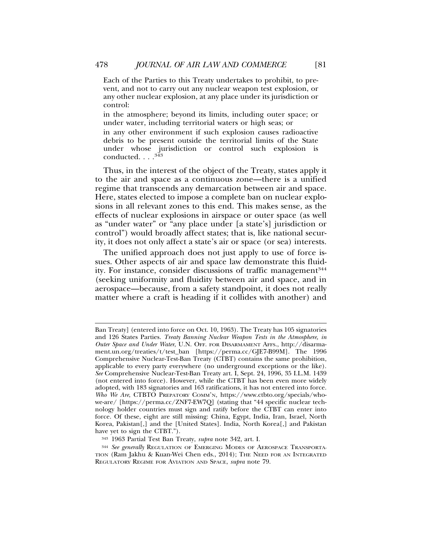Each of the Parties to this Treaty undertakes to prohibit, to prevent, and not to carry out any nuclear weapon test explosion, or any other nuclear explosion, at any place under its jurisdiction or control:

in the atmosphere; beyond its limits, including outer space; or under water, including territorial waters or high seas; or

in any other environment if such explosion causes radioactive debris to be present outside the territorial limits of the State under whose jurisdiction or control such explosion is conducted.  $\ldots$ <sup>343</sup>

Thus, in the interest of the object of the Treaty, states apply it to the air and space as a continuous zone—there is a unified regime that transcends any demarcation between air and space. Here, states elected to impose a complete ban on nuclear explosions in all relevant zones to this end. This makes sense, as the effects of nuclear explosions in airspace or outer space (as well as "under water" or "any place under [a state's] jurisdiction or control") would broadly affect states; that is, like national security, it does not only affect a state's air or space (or sea) interests.

The unified approach does not just apply to use of force issues. Other aspects of air and space law demonstrate this fluidity. For instance, consider discussions of traffic management<sup>344</sup> (seeking uniformity and fluidity between air and space, and in aerospace—because, from a safety standpoint, it does not really matter where a craft is heading if it collides with another) and

Ban Treaty] (entered into force on Oct. 10, 1963). The Treaty has 105 signatories and 126 States Parties. *Treaty Banning Nuclear Weapon Tests in the Atmosphere, in Outer Space and Under Water*, U.N. OFF. FOR DISARMAMENT AFFS., http://disarmament.un.org/treaties/t/test\_ban [https://perma.cc/GJE7-B99M]. The 1996 Comprehensive Nuclear-Test-Ban Treaty (CTBT) contains the same prohibition, applicable to every party everywhere (no underground exceptions or the like). *See* Comprehensive Nuclear-Test-Ban Treaty art. I, Sept. 24, 1996, 35 I.L.M. 1439 (not entered into force). However, while the CTBT has been even more widely adopted, with 183 signatories and 163 ratifications, it has not entered into force. *Who We Are*, CTBTO PREPATORY COMM'N, https://www.ctbto.org/specials/whowe-are/ [https://perma.cc/ZNF7-EW7Q] (stating that "44 specific nuclear technology holder countries must sign and ratify before the CTBT can enter into force. Of these, eight are still missing: China, Egypt, India, Iran, Israel, North Korea, Pakistan[,] and the [United States]. India, North Korea[,] and Pakistan have yet to sign the CTBT.").

<sup>343</sup> 1963 Partial Test Ban Treaty, *supra* note 342, art. I.

<sup>344</sup> *See generally* REGULATION OF EMERGING MODES OF AEROSPACE TRANSPORTA-TION (Ram Jakhu & Kuan-Wei Chen eds., 2014); THE NEED FOR AN INTEGRATED REGULATORY REGIME FOR AVIATION AND SPACE, *supra* note 79.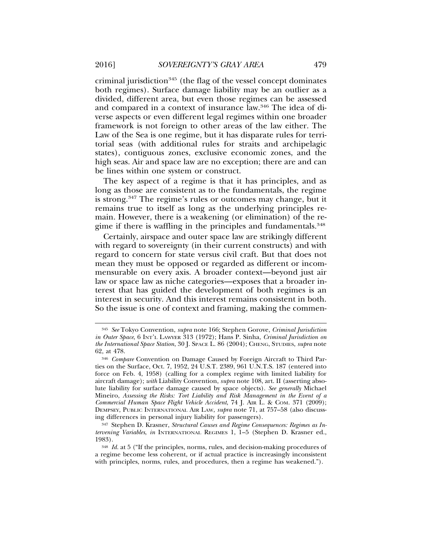criminal jurisdiction<sup>345</sup> (the flag of the vessel concept dominates both regimes). Surface damage liability may be an outlier as a divided, different area, but even those regimes can be assessed and compared in a context of insurance law.346 The idea of diverse aspects or even different legal regimes within one broader framework is not foreign to other areas of the law either. The Law of the Sea is one regime, but it has disparate rules for territorial seas (with additional rules for straits and archipelagic states), contiguous zones, exclusive economic zones, and the high seas. Air and space law are no exception; there are and can be lines within one system or construct.

The key aspect of a regime is that it has principles, and as long as those are consistent as to the fundamentals, the regime is strong.347 The regime's rules or outcomes may change, but it remains true to itself as long as the underlying principles remain. However, there is a weakening (or elimination) of the regime if there is waffling in the principles and fundamentals.<sup>348</sup>

Certainly, airspace and outer space law are strikingly different with regard to sovereignty (in their current constructs) and with regard to concern for state versus civil craft. But that does not mean they must be opposed or regarded as different or incommensurable on every axis. A broader context—beyond just air law or space law as niche categories—exposes that a broader interest that has guided the development of both regimes is an interest in security. And this interest remains consistent in both. So the issue is one of context and framing, making the commen-

<sup>345</sup> *See* Tokyo Convention, *supra* note 166; Stephen Gorove, *Criminal Jurisdiction in Outer Space*, 6 INT'L LAWYER 313 (1972); Hans P. Sinha, *Criminal Jurisdiction on the International Space Station*, 30 J. SPACE L. 86 (2004); CHENG, STUDIES, *supra* note 62, at 478.

<sup>346</sup> *Compare* Convention on Damage Caused by Foreign Aircraft to Third Parties on the Surface, Oct. 7, 1952, 24 U.S.T. 2389, 961 U.N.T.S. 187 (entered into force on Feb. 4, 1958) (calling for a complex regime with limited liability for aircraft damage); *with* Liability Convention, *supra* note 108, art. II (asserting absolute liability for surface damage caused by space objects). *See generally* Michael Mineiro, *Assessing the Risks: Tort Liability and Risk Management in the Event of a Commercial Human Space Flight Vehicle Accident*, 74 J. AIR L. & COM. 371 (2009); DEMPSEY, PUBLIC INTERNATIONAL AIR LAW, *supra* note 71, at 757–58 (also discussing differences in personal injury liability for passengers).

<sup>347</sup> Stephen D. Krasner, *Structural Causes and Regime Consequences: Regimes as Intervening Variables*, *in* INTERNATIONAL REGIMES 1, 1–5 (Stephen D. Krasner ed., 1983).

<sup>348</sup> *Id.* at 5 ("If the principles, norms, rules, and decision-making procedures of a regime become less coherent, or if actual practice is increasingly inconsistent with principles, norms, rules, and procedures, then a regime has weakened.").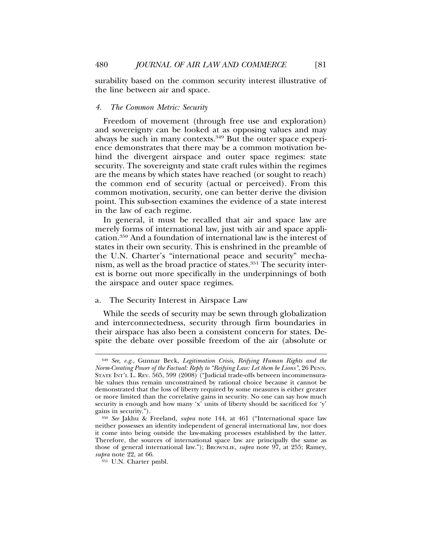surability based on the common security interest illustrative of the line between air and space.

## *4. The Common Metric: Security*

Freedom of movement (through free use and exploration) and sovereignty can be looked at as opposing values and may always be such in many contexts.<sup>349</sup> But the outer space experience demonstrates that there may be a common motivation behind the divergent airspace and outer space regimes: state security. The sovereignty and state craft rules within the regimes are the means by which states have reached (or sought to reach) the common end of security (actual or perceived). From this common motivation, security, one can better derive the division point. This sub-section examines the evidence of a state interest in the law of each regime.

In general, it must be recalled that air and space law are merely forms of international law, just with air and space application.350 And a foundation of international law is the interest of states in their own security. This is enshrined in the preamble of the U.N. Charter's "international peace and security" mechanism, as well as the broad practice of states.<sup>351</sup> The security interest is borne out more specifically in the underpinnings of both the airspace and outer space regimes.

# a. The Security Interest in Airspace Law

While the seeds of security may be sewn through globalization and interconnectedness, security through firm boundaries in their airspace has also been a consistent concern for states. Despite the debate over possible freedom of the air (absolute or

<sup>349</sup> *See, e.g.*, Gunnar Beck, *Legitimation Crisis, Reifying Human Rights and the Norm-Creating Power of the Factual: Reply to "Reifying Law: Let them be Lions"*, 26 PENN. STATE INT'L L. REV. 565, 599 (2008) ("Judicial trade-offs between incommensurable values thus remain unconstrained by rational choice because it cannot be demonstrated that the loss of liberty required by some measures is either greater or more limited than the correlative gains in security. No one can say how much security is enough and how many 'x' units of liberty should be sacrificed for 'y' gains in security.").

<sup>350</sup> *See* Jakhu & Freeland, *supra* note 144, at 461 ("International space law neither possesses an identity independent of general international law, nor does it come into being outside the law-making processes established by the latter. Therefore, the sources of international space law are principally the same as those of general international law."); BROWNLIE, *supra* note 97, at 255; Ramey, *supra* note 22, at 66.

<sup>351</sup> U.N. Charter pmbl.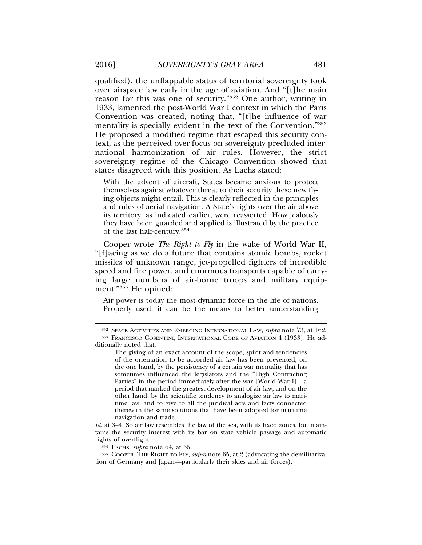qualified), the unflappable status of territorial sovereignty took over airspace law early in the age of aviation. And "[t]he main reason for this was one of security."352 One author, writing in 1933, lamented the post-World War I context in which the Paris Convention was created, noting that, "[t]he influence of war mentality is specially evident in the text of the Convention."353 He proposed a modified regime that escaped this security context, as the perceived over-focus on sovereignty precluded international harmonization of air rules. However, the strict sovereignty regime of the Chicago Convention showed that states disagreed with this position. As Lachs stated:

With the advent of aircraft, States became anxious to protect themselves against whatever threat to their security these new flying objects might entail. This is clearly reflected in the principles and rules of aerial navigation. A State's rights over the air above its territory, as indicated earlier, were reasserted. How jealously they have been guarded and applied is illustrated by the practice of the last half-century.354

Cooper wrote *The Right to Fly* in the wake of World War II, "[f]acing as we do a future that contains atomic bombs, rocket missiles of unknown range, jet-propelled fighters of incredible speed and fire power, and enormous transports capable of carrying large numbers of air-borne troops and military equipment."<sup>355</sup> He opined:

Air power is today the most dynamic force in the life of nations. Properly used, it can be the means to better understanding

*Id.* at 3–4. So air law resembles the law of the sea, with its fixed zones, but maintains the security interest with its bar on state vehicle passage and automatic rights of overflight.

<sup>354</sup> LACHS, *supra* note 64, at 55.

<sup>355</sup> COOPER, THE RIGHT TO FLY, *supra* note 65, at 2 (advocating the demilitarization of Germany and Japan—particularly their skies and air forces).

<sup>352</sup> SPACE ACTIVITIES AND EMERGING INTERNATIONAL LAW, *supra* note 73, at 162.

<sup>353</sup> FRANCESCO COSENTINI, INTERNATIONAL CODE OF AVIATION 4 (1933). He additionally noted that:

The giving of an exact account of the scope, spirit and tendencies of the orientation to be accorded air law has been prevented, on the one hand, by the persistency of a certain war mentality that has sometimes influenced the legislators and the "High Contracting Parties" in the period immediately after the war [World War I]—a period that marked the greatest development of air law; and on the other hand, by the scientific tendency to analogize air law to maritime law, and to give to all the juridical acts and facts connected therewith the same solutions that have been adopted for maritime navigation and trade.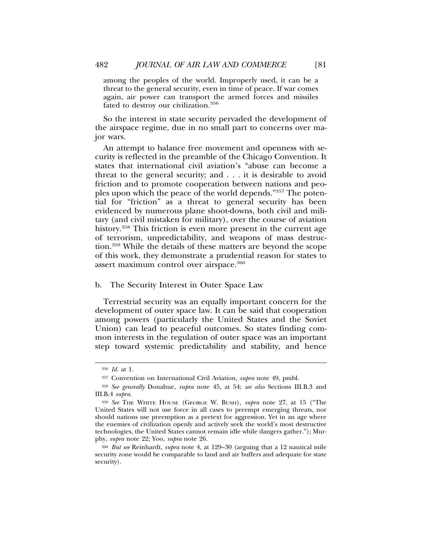among the peoples of the world. Improperly used, it can be a threat to the general security, even in time of peace. If war comes again, air power can transport the armed forces and missiles fated to destroy our civilization.356

So the interest in state security pervaded the development of the airspace regime, due in no small part to concerns over major wars.

An attempt to balance free movement and openness with security is reflected in the preamble of the Chicago Convention. It states that international civil aviation's "abuse can become a threat to the general security; and . . . it is desirable to avoid friction and to promote cooperation between nations and peoples upon which the peace of the world depends."357 The potential for "friction" as a threat to general security has been evidenced by numerous plane shoot-downs, both civil and military (and civil mistaken for military), over the course of aviation history.<sup>358</sup> This friction is even more present in the current age of terrorism, unpredictability, and weapons of mass destruction.359 While the details of these matters are beyond the scope of this work, they demonstrate a prudential reason for states to assert maximum control over airspace.<sup>360</sup>

#### b. The Security Interest in Outer Space Law

Terrestrial security was an equally important concern for the development of outer space law. It can be said that cooperation among powers (particularly the United States and the Soviet Union) can lead to peaceful outcomes. So states finding common interests in the regulation of outer space was an important step toward systemic predictability and stability, and hence

<sup>356</sup> *Id.* at 1.

<sup>357</sup> Convention on International Civil Aviation, *supra* note 49, pmbl.

<sup>358</sup> *See generally* Donahue, *supra* note 45, at 54; *see also* Sections III.B.3 and III.B.4 *supra*.

<sup>359</sup> *See* THE WHITE HOUSE (GEORGE W. BUSH), *supra* note 27, at 15 ("The United States will not use force in all cases to preempt emerging threats, nor should nations use preemption as a pretext for aggression. Yet in an age where the enemies of civilization openly and actively seek the world's most destructive technologies, the United States cannot remain idle while dangers gather."); Murphy, *supra* note 22; Yoo, *supra* note 26.

<sup>360</sup> *But see* Reinhardt, *supra* note 4, at 129–30 (arguing that a 12 nautical mile security zone would be comparable to land and air buffers and adequate for state security).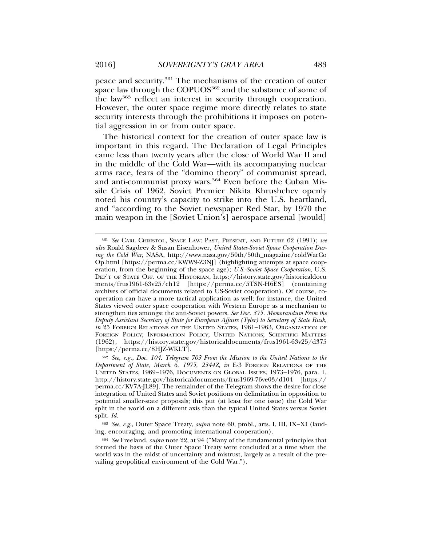peace and security.361 The mechanisms of the creation of outer space law through the COPUOS<sup>362</sup> and the substance of some of the law363 reflect an interest in security through cooperation. However, the outer space regime more directly relates to state security interests through the prohibitions it imposes on potential aggression in or from outer space.

The historical context for the creation of outer space law is important in this regard. The Declaration of Legal Principles came less than twenty years after the close of World War II and in the middle of the Cold War—with its accompanying nuclear arms race, fears of the "domino theory" of communist spread, and anti-communist proxy wars.<sup>364</sup> Even before the Cuban Missile Crisis of 1962, Soviet Premier Nikita Khrushchev openly noted his country's capacity to strike into the U.S. heartland, and "according to the Soviet newspaper Red Star, by 1970 the main weapon in the [Soviet Union's] aerospace arsenal [would]

<sup>361</sup> *See* CARL CHRISTOL, SPACE LAW: PAST, PRESENT, AND FUTURE 62 (1991); *see also* Roald Sagdeev & Susan Eisenhower, *United States-Soviet Space Cooperation During the Cold War*, NASA, http://www.nasa.gov/50th/50th\_magazine/coldWarCo Op.html [https://perma.cc/KWW9-Z3NJ] (highlighting attempts at space cooperation, from the beginning of the space age); *U.S.-Soviet Space Cooperation*, U.S. DEP'T OF STATE OFF. OF THE HISTORIAN, https://history.state.gov/historicaldocu ments/frus1961-63v25/ch12 [https://perma.cc/5TSN-H6ES] (containing archives of official documents related to US-Soviet cooperation). Of course, cooperation can have a more tactical application as well; for instance, the United States viewed outer space cooperation with Western Europe as a mechanism to strengthen ties amongst the anti-Soviet powers. *See Doc. 375. Memorandum From the Deputy Assistant Secretary of State for European Affairs (Tyler) to Secretary of State Rusk*, *in* 25 FOREIGN RELATIONS OF THE UNITED STATES, 1961-1963, ORGANIZATION OF FOREIGN POLICY; INFORMATION POLICY; UNITED NATIONS; SCIENTIFIC MATTERS (1962), https://history.state.gov/historicaldocuments/frus1961-63v25/d375 [https://perma.cc/8HJZ-WKLT].

<sup>362</sup> *See, e.g.*, *Doc. 104. Telegram 703 From the Mission to the United Nations to the Department of State, March 6, 1975, 2344Z*, *in* E-3 FOREIGN RELATIONS OF THE UNITED STATES, 1969–1976, DOCUMENTS ON GLOBAL ISSUES, 1973–1976, para. 1, http://history.state.gov/historicaldocuments/frus1969-76ve03/d104 [https:// perma.cc/KV7A-JL89]. The remainder of the Telegram shows the desire for close integration of United States and Soviet positions on delimitation in opposition to potential smaller-state proposals; this put (at least for one issue) the Cold War split in the world on a different axis than the typical United States versus Soviet split. *Id.*

<sup>363</sup> *See, e.g.*, Outer Space Treaty, *supra* note 60, pmbl., arts. I, III, IX–XI (lauding, encouraging, and promoting international cooperation).

<sup>364</sup> *See* Freeland, *supra* note 22, at 94 ("Many of the fundamental principles that formed the basis of the Outer Space Treaty were concluded at a time when the world was in the midst of uncertainty and mistrust, largely as a result of the prevailing geopolitical environment of the Cold War.").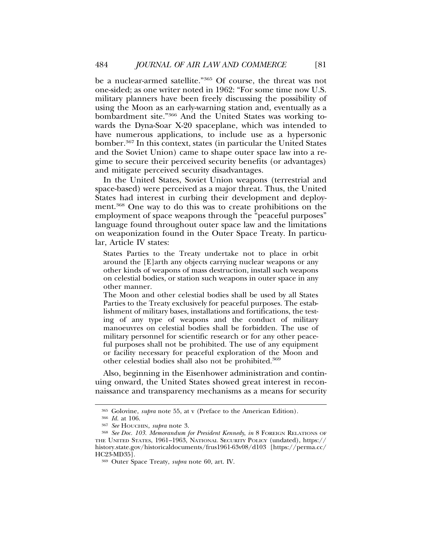be a nuclear-armed satellite."365 Of course, the threat was not one-sided; as one writer noted in 1962: "For some time now U.S. military planners have been freely discussing the possibility of using the Moon as an early-warning station and, eventually as a bombardment site."366 And the United States was working towards the Dyna-Soar X-20 spaceplane, which was intended to have numerous applications, to include use as a hypersonic bomber.367 In this context, states (in particular the United States and the Soviet Union) came to shape outer space law into a regime to secure their perceived security benefits (or advantages) and mitigate perceived security disadvantages.

In the United States, Soviet Union weapons (terrestrial and space-based) were perceived as a major threat. Thus, the United States had interest in curbing their development and deployment.368 One way to do this was to create prohibitions on the employment of space weapons through the "peaceful purposes" language found throughout outer space law and the limitations on weaponization found in the Outer Space Treaty. In particular, Article IV states:

States Parties to the Treaty undertake not to place in orbit around the [E]arth any objects carrying nuclear weapons or any other kinds of weapons of mass destruction, install such weapons on celestial bodies, or station such weapons in outer space in any other manner.

The Moon and other celestial bodies shall be used by all States Parties to the Treaty exclusively for peaceful purposes. The establishment of military bases, installations and fortifications, the testing of any type of weapons and the conduct of military manoeuvres on celestial bodies shall be forbidden. The use of military personnel for scientific research or for any other peaceful purposes shall not be prohibited. The use of any equipment or facility necessary for peaceful exploration of the Moon and other celestial bodies shall also not be prohibited.<sup>369</sup>

Also, beginning in the Eisenhower administration and continuing onward, the United States showed great interest in reconnaissance and transparency mechanisms as a means for security

<sup>365</sup> Golovine, *supra* note 55, at v (Preface to the American Edition).

<sup>366</sup> *Id.* at 106.

<sup>367</sup> *See* HOUCHIN, *supra* note 3.

<sup>368</sup> *See Doc. 103. Memorandum for President Kennedy*, *in* 8 FOREIGN RELATIONS OF THE UNITED STATES, 1961–1963, NATIONAL SECURITY POLICY (undated), https:// history.state.gov/historicaldocuments/frus1961-63v08/d103 [https://perma.cc/ HC23-MD35].

<sup>369</sup> Outer Space Treaty, *supra* note 60, art. IV.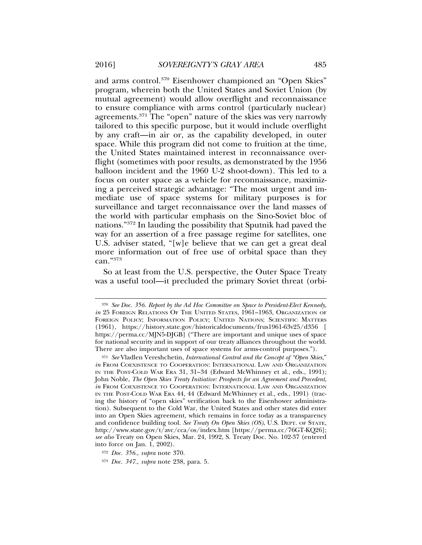and arms control.370 Eisenhower championed an "Open Skies" program, wherein both the United States and Soviet Union (by mutual agreement) would allow overflight and reconnaissance to ensure compliance with arms control (particularly nuclear) agreements.371 The "open" nature of the skies was very narrowly tailored to this specific purpose, but it would include overflight by any craft—in air or, as the capability developed, in outer space. While this program did not come to fruition at the time, the United States maintained interest in reconnaissance overflight (sometimes with poor results, as demonstrated by the 1956 balloon incident and the 1960 U-2 shoot-down). This led to a focus on outer space as a vehicle for reconnaissance, maximizing a perceived strategic advantage: "The most urgent and immediate use of space systems for military purposes is for surveillance and target reconnaissance over the land masses of the world with particular emphasis on the Sino-Soviet bloc of nations."372 In lauding the possibility that Sputnik had paved the way for an assertion of a free passage regime for satellites, one U.S. adviser stated, "[w]e believe that we can get a great deal more information out of free use of orbital space than they can."373

So at least from the U.S. perspective, the Outer Space Treaty was a useful tool—it precluded the primary Soviet threat (orbi-

<sup>370</sup> *See Doc. 356. Report by the Ad Hoc Committee on Space to President-Elect Kennedy*, *in* 25 FOREIGN RELATIONS OF THE UNITED STATES, 1961–1963, ORGANIZATION OF FOREIGN POLICY; INFORMATION POLICY; UNITED NATIONS; SCIENTIFIC MATTERS (1961), https://history.state.gov/historicaldocuments/frus1961-63v25/d356 [ https://perma.cc/MJN5-DJGB] ("There are important and unique uses of space for national security and in support of our treaty alliances throughout the world. There are also important uses of space systems for arms-control purposes.").

<sup>371</sup> *See* Vladlen Vereshchetin, *International Control and the Concept of "Open Skies*," *in* FROM COEXISTENCE TO COOPERATION: INTERNATIONAL LAW AND ORGANIZATION IN THE POST-COLD WAR ERA 31, 31–34 (Edward McWhinney et al., eds., 1991); John Noble, *The Open Skies Treaty Initiative: Prospects for an Agreement and Precedent*, *in* FROM COEXISTENCE TO COOPERATION: INTERNATIONAL LAW AND ORGANIZATION IN THE POST-COLD WAR ERA 44, 44 (Edward McWhinney et al., eds., 1991) (tracing the history of "open skies" verification back to the Eisenhower administration). Subsequent to the Cold War, the United States and other states did enter into an Open Skies agreement, which remains in force today as a transparency and confidence building tool. *See Treaty On Open Skies (OS)*, U.S. DEPT. OF STATE, http://www.state.gov/t/avc/cca/os/index.htm [https://perma.cc/76GT-KQ26]; *see also* Treaty on Open Skies, Mar. 24, 1992, S. Treaty Doc. No. 102-37 (entered into force on Jan. 1, 2002).

<sup>372</sup> *Doc. 356.*, *supra* note 370.

<sup>373</sup> *Doc. 347.*, *supra* note 238, para. 5.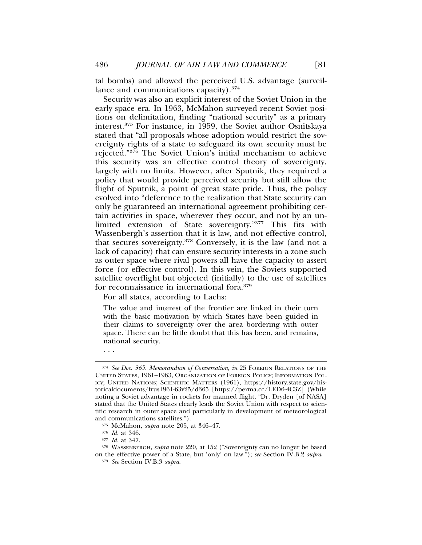tal bombs) and allowed the perceived U.S. advantage (surveillance and communications capacity).<sup>374</sup>

Security was also an explicit interest of the Soviet Union in the early space era. In 1963, McMahon surveyed recent Soviet positions on delimitation, finding "national security" as a primary interest.375 For instance, in 1959, the Soviet author Osnitskaya stated that "all proposals whose adoption would restrict the sovereignty rights of a state to safeguard its own security must be rejected."376 The Soviet Union's initial mechanism to achieve this security was an effective control theory of sovereignty, largely with no limits. However, after Sputnik, they required a policy that would provide perceived security but still allow the flight of Sputnik, a point of great state pride. Thus, the policy evolved into "deference to the realization that State security can only be guaranteed an international agreement prohibiting certain activities in space, wherever they occur, and not by an unlimited extension of State sovereignty."377 This fits with Wassenbergh's assertion that it is law, and not effective control, that secures sovereignty.378 Conversely, it is the law (and not a lack of capacity) that can ensure security interests in a zone such as outer space where rival powers all have the capacity to assert force (or effective control). In this vein, the Soviets supported satellite overflight but objected (initially) to the use of satellites for reconnaissance in international fora.379

For all states, according to Lachs:

The value and interest of the frontier are linked in their turn with the basic motivation by which States have been guided in their claims to sovereignty over the area bordering with outer space. There can be little doubt that this has been, and remains, national security.

. . .

<sup>374</sup> *See Doc. 365. Memorandum of Conversation*, *in* 25 FOREIGN RELATIONS OF THE UNITED STATES, 1961–1963, ORGANIZATION OF FOREIGN POLICY; INFORMATION POL-ICY; UNITED NATIONS; SCIENTIFIC MATTERS (1961), https://history.state.gov/historicaldocuments/frus1961-63v25/d365 [https://perma.cc/LED6-4C3Z] (While noting a Soviet advantage in rockets for manned flight, "Dr. Dryden [of NASA] stated that the United States clearly leads the Soviet Union with respect to scientific research in outer space and particularly in development of meteorological and communications satellites.").

<sup>375</sup> McMahon, *supra* note 205, at 346–47.

<sup>376</sup> *Id.* at 346.

<sup>377</sup> *Id.* at 347.

<sup>378</sup> WASSENBERGH, *supra* note 220, at 152 ("Sovereignty can no longer be based on the effective power of a State, but 'only' on law."); *see* Section IV.B.2 *supra*.

<sup>379</sup> *See* Section IV.B.3 *supra*.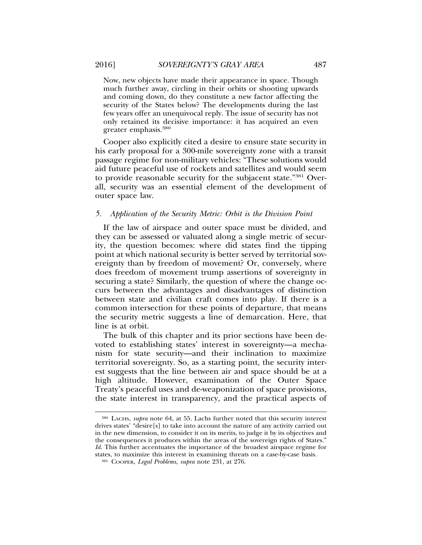Now, new objects have made their appearance in space. Though much further away, circling in their orbits or shooting upwards and coming down, do they constitute a new factor affecting the security of the States below? The developments during the last few years offer an unequivocal reply. The issue of security has not only retained its decisive importance: it has acquired an even greater emphasis.380

Cooper also explicitly cited a desire to ensure state security in his early proposal for a 300-mile sovereignty zone with a transit passage regime for non-military vehicles: "These solutions would aid future peaceful use of rockets and satellites and would seem to provide reasonable security for the subjacent state."381 Overall, security was an essential element of the development of outer space law.

## *5. Application of the Security Metric: Orbit is the Division Point*

If the law of airspace and outer space must be divided, and they can be assessed or valuated along a single metric of security, the question becomes: where did states find the tipping point at which national security is better served by territorial sovereignty than by freedom of movement? Or, conversely, where does freedom of movement trump assertions of sovereignty in securing a state? Similarly, the question of where the change occurs between the advantages and disadvantages of distinction between state and civilian craft comes into play. If there is a common intersection for these points of departure, that means the security metric suggests a line of demarcation. Here, that line is at orbit.

The bulk of this chapter and its prior sections have been devoted to establishing states' interest in sovereignty—a mechanism for state security—and their inclination to maximize territorial sovereignty. So, as a starting point, the security interest suggests that the line between air and space should be at a high altitude. However, examination of the Outer Space Treaty's peaceful uses and de-weaponization of space provisions, the state interest in transparency, and the practical aspects of

<sup>380</sup> LACHS, *supra* note 64, at 55. Lachs further noted that this security interest drives states' "desire[s] to take into account the nature of any activity carried out in the new dimension, to consider it on its merits, to judge it by its objectives and the consequences it produces within the areas of the sovereign rights of States." *Id.* This further accentuates the importance of the broadest airspace regime for states, to maximize this interest in examining threats on a case-by-case basis.

<sup>381</sup> COOPER, *Legal Problems*, *supra* note 231, at 276.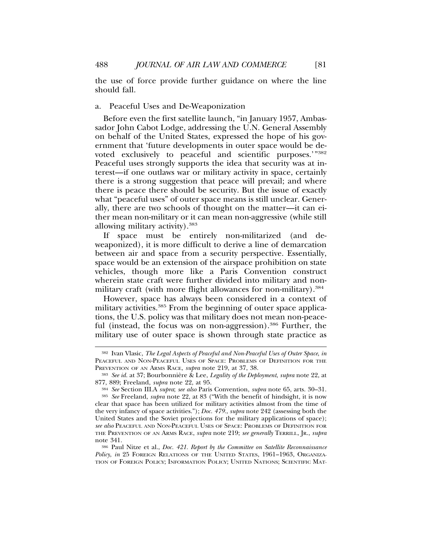the use of force provide further guidance on where the line should fall.

## a. Peaceful Uses and De-Weaponization

Before even the first satellite launch, "in January 1957, Ambassador John Cabot Lodge, addressing the U.N. General Assembly on behalf of the United States, expressed the hope of his government that 'future developments in outer space would be devoted exclusively to peaceful and scientific purposes.'"382 Peaceful uses strongly supports the idea that security was at interest—if one outlaws war or military activity in space, certainly there is a strong suggestion that peace will prevail; and where there is peace there should be security. But the issue of exactly what "peaceful uses" of outer space means is still unclear. Generally, there are two schools of thought on the matter—it can either mean non-military or it can mean non-aggressive (while still allowing military activity).383

If space must be entirely non-militarized (and deweaponized), it is more difficult to derive a line of demarcation between air and space from a security perspective. Essentially, space would be an extension of the airspace prohibition on state vehicles, though more like a Paris Convention construct wherein state craft were further divided into military and nonmilitary craft (with more flight allowances for non-military).<sup>384</sup>

However, space has always been considered in a context of military activities.<sup>385</sup> From the beginning of outer space applications, the U.S. policy was that military does not mean non-peaceful (instead, the focus was on non-aggression).<sup>386</sup> Further, the military use of outer space is shown through state practice as

<sup>382</sup> Ivan Vlasic, *The Legal Aspects of Peaceful and Non-Peaceful Uses of Outer Space*, *in* PEACEFUL AND NON-PEACEFUL USES OF SPACE: PROBLEMS OF DEFINITION FOR THE PREVENTION OF AN ARMS RACE, *supra* note 219, at 37, 38.

<sup>&</sup>lt;sup>383</sup> *See id.* at 37; Bourbonnière & Lee, *Legality of the Deployment, supra* note 22, at 877, 889; Freeland, *supra* note 22, at 95.

<sup>384</sup> *See* Section III.A *supra*; *see also* Paris Convention, *supra* note 65, arts. 30–31.

<sup>385</sup> *See* Freeland, *supra* note 22, at 83 ("With the benefit of hindsight, it is now clear that space has been utilized for military activities almost from the time of the very infancy of space activities."); *Doc. 479.*, *supra* note 242 (assessing both the United States and the Soviet projections for the military applications of space); *see also* PEACEFUL AND NON-PEACEFUL USES OF SPACE: PROBLEMS OF DEFINITION FOR THE PREVENTION OF AN ARMS RACE, *supra* note 219; *see generally* TERRILL, JR., *supra* note 341.

<sup>386</sup> Paul Nitze et al., *Doc. 421. Report by the Committee on Satellite Reconnaissance Policy*, *in* 25 FOREIGN RELATIONS OF THE UNITED STATES, 1961–1963, ORGANIZA-TION OF FOREIGN POLICY; INFORMATION POLICY; UNITED NATIONS; SCIENTIFIC MAT-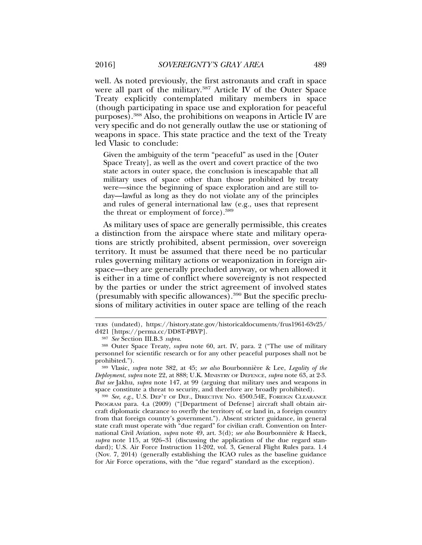well. As noted previously, the first astronauts and craft in space were all part of the military.<sup>387</sup> Article IV of the Outer Space Treaty explicitly contemplated military members in space (though participating in space use and exploration for peaceful purposes).388 Also, the prohibitions on weapons in Article IV are very specific and do not generally outlaw the use or stationing of weapons in space. This state practice and the text of the Treaty led Vlasic to conclude:

Given the ambiguity of the term "peaceful" as used in the [Outer Space Treaty], as well as the overt and covert practice of the two state actors in outer space, the conclusion is inescapable that all military uses of space other than those prohibited by treaty were—since the beginning of space exploration and are still today—lawful as long as they do not violate any of the principles and rules of general international law (e.g., uses that represent the threat or employment of force).389

As military uses of space are generally permissible, this creates a distinction from the airspace where state and military operations are strictly prohibited, absent permission, over sovereign territory. It must be assumed that there need be no particular rules governing military actions or weaponization in foreign airspace—they are generally precluded anyway, or when allowed it is either in a time of conflict where sovereignty is not respected by the parties or under the strict agreement of involved states (presumably with specific allowances).390 But the specific preclusions of military activities in outer space are telling of the reach

<sup>390</sup> *See, e.g.*, U.S. DEP'T OF DEF., DIRECTIVE NO. 4500.54E, FOREIGN CLEARANCE PROGRAM para. 4.a (2009) ("[Department of Defense] aircraft shall obtain aircraft diplomatic clearance to overfly the territory of, or land in, a foreign country from that foreign country's government."). Absent stricter guidance, in general state craft must operate with "due regard" for civilian craft. Convention on International Civil Aviation, *supra* note 49, art. 3(d); *see also* Bourbonniere & Haeck, ` *supra* note 115, at 926–31 (discussing the application of the due regard standard); U.S. Air Force Instruction 11-202, vol. 3, General Flight Rules para. 1.4 (Nov. 7, 2014) (generally establishing the ICAO rules as the baseline guidance for Air Force operations, with the "due regard" standard as the exception).

TERS (undated), https://history.state.gov/historicaldocuments/frus1961-63v25/ d421 [https://perma.cc/DD8T-PBVP].

<sup>387</sup> *See* Section III.B.3 *supra*.

<sup>388</sup> Outer Space Treaty, *supra* note 60, art. IV, para. 2 ("The use of military personnel for scientific research or for any other peaceful purposes shall not be prohibited.").

<sup>&</sup>lt;sup>389</sup> Vlasic, *supra* note 382, at 45; *see also* Bourbonnière & Lee, *Legality of the Deployment*, *supra* note 22, at 888; U.K. MINISTRY OF DEFENCE, *supra* note 63, at 2-3. *But see* Jakhu, *supra* note 147, at 99 (arguing that military uses and weapons in space constitute a threat to security, and therefore are broadly prohibited).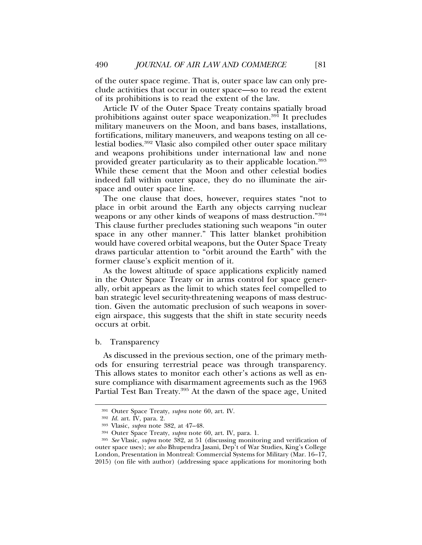of the outer space regime. That is, outer space law can only preclude activities that occur in outer space—so to read the extent of its prohibitions is to read the extent of the law.

Article IV of the Outer Space Treaty contains spatially broad prohibitions against outer space weaponization.<sup>391</sup> It precludes military maneuvers on the Moon, and bans bases, installations, fortifications, military maneuvers, and weapons testing on all celestial bodies.392 Vlasic also compiled other outer space military and weapons prohibitions under international law and none provided greater particularity as to their applicable location.393 While these cement that the Moon and other celestial bodies indeed fall within outer space, they do no illuminate the airspace and outer space line.

The one clause that does, however, requires states "not to place in orbit around the Earth any objects carrying nuclear weapons or any other kinds of weapons of mass destruction."394 This clause further precludes stationing such weapons "in outer space in any other manner." This latter blanket prohibition would have covered orbital weapons, but the Outer Space Treaty draws particular attention to "orbit around the Earth" with the former clause's explicit mention of it.

As the lowest altitude of space applications explicitly named in the Outer Space Treaty or in arms control for space generally, orbit appears as the limit to which states feel compelled to ban strategic level security-threatening weapons of mass destruction. Given the automatic preclusion of such weapons in sovereign airspace, this suggests that the shift in state security needs occurs at orbit.

#### b. Transparency

As discussed in the previous section, one of the primary methods for ensuring terrestrial peace was through transparency. This allows states to monitor each other's actions as well as ensure compliance with disarmament agreements such as the 1963 Partial Test Ban Treaty.<sup>395</sup> At the dawn of the space age, United

<sup>391</sup> Outer Space Treaty, *supra* note 60, art. IV.

<sup>392</sup> *Id.* art. IV, para. 2.

<sup>393</sup> Vlasic, *supra* note 382, at 47–48.

<sup>394</sup> Outer Space Treaty, *supra* note 60, art. IV, para. 1.

<sup>395</sup> *See* Vlasic, *supra* note 382, at 51 (discussing monitoring and verification of outer space uses); *see also* Bhupendra Jasani, Dep't of War Studies, King's College London, Presentation in Montreal: Commercial Systems for Military (Mar. 16–17, 2015) (on file with author) (addressing space applications for monitoring both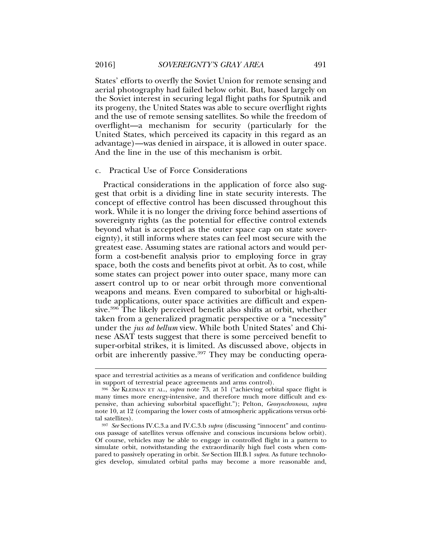States' efforts to overfly the Soviet Union for remote sensing and aerial photography had failed below orbit. But, based largely on the Soviet interest in securing legal flight paths for Sputnik and its progeny, the United States was able to secure overflight rights and the use of remote sensing satellites. So while the freedom of overflight—a mechanism for security (particularly for the United States, which perceived its capacity in this regard as an advantage)—was denied in airspace, it is allowed in outer space. And the line in the use of this mechanism is orbit.

# c. Practical Use of Force Considerations

Practical considerations in the application of force also suggest that orbit is a dividing line in state security interests. The concept of effective control has been discussed throughout this work. While it is no longer the driving force behind assertions of sovereignty rights (as the potential for effective control extends beyond what is accepted as the outer space cap on state sovereignty), it still informs where states can feel most secure with the greatest ease. Assuming states are rational actors and would perform a cost-benefit analysis prior to employing force in gray space, both the costs and benefits pivot at orbit. As to cost, while some states can project power into outer space, many more can assert control up to or near orbit through more conventional weapons and means. Even compared to suborbital or high-altitude applications, outer space activities are difficult and expensive.<sup>396</sup> The likely perceived benefit also shifts at orbit, whether taken from a generalized pragmatic perspective or a "necessity" under the *jus ad bellum* view. While both United States' and Chinese ASAT tests suggest that there is some perceived benefit to super-orbital strikes, it is limited. As discussed above, objects in orbit are inherently passive.<sup>397</sup> They may be conducting opera-

space and terrestrial activities as a means of verification and confidence building in support of terrestrial peace agreements and arms control).

<sup>396</sup> *See* KLEIMAN ET AL., *supra* note 73, at 51 ("achieving orbital space flight is many times more energy-intensive, and therefore much more difficult and expensive, than achieving suborbital spaceflight."); Pelton, *Geosynchronous*, *supra* note 10, at 12 (comparing the lower costs of atmospheric applications versus orbital satellites).

<sup>397</sup> *See* Sections IV.C.3.a and IV.C.3.b *supra* (discussing "innocent" and continuous passage of satellites versus offensive and conscious incursions below orbit). Of course, vehicles may be able to engage in controlled flight in a pattern to simulate orbit, notwithstanding the extraordinarily high fuel costs when compared to passively operating in orbit. *See* Section III.B.1 *supra*. As future technologies develop, simulated orbital paths may become a more reasonable and,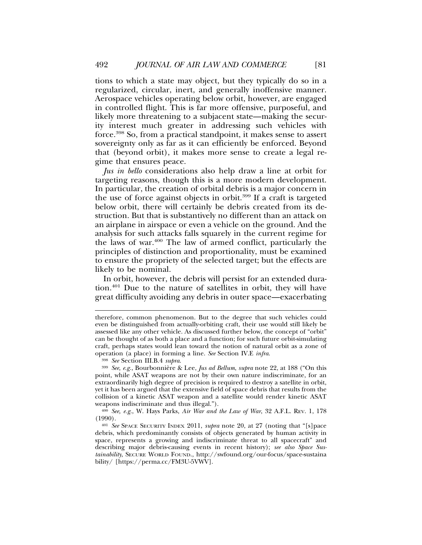tions to which a state may object, but they typically do so in a regularized, circular, inert, and generally inoffensive manner. Aerospace vehicles operating below orbit, however, are engaged in controlled flight. This is far more offensive, purposeful, and likely more threatening to a subjacent state—making the security interest much greater in addressing such vehicles with force.398 So, from a practical standpoint, it makes sense to assert sovereignty only as far as it can efficiently be enforced. Beyond that (beyond orbit), it makes more sense to create a legal regime that ensures peace.

*Jus in bello* considerations also help draw a line at orbit for targeting reasons, though this is a more modern development. In particular, the creation of orbital debris is a major concern in the use of force against objects in orbit.399 If a craft is targeted below orbit, there will certainly be debris created from its destruction. But that is substantively no different than an attack on an airplane in airspace or even a vehicle on the ground. And the analysis for such attacks falls squarely in the current regime for the laws of war.400 The law of armed conflict, particularly the principles of distinction and proportionality, must be examined to ensure the propriety of the selected target; but the effects are likely to be nominal.

In orbit, however, the debris will persist for an extended duration.401 Due to the nature of satellites in orbit, they will have great difficulty avoiding any debris in outer space—exacerbating

<sup>398</sup> *See* Section III.B.4 *supra*.

therefore, common phenomenon. But to the degree that such vehicles could even be distinguished from actually-orbiting craft, their use would still likely be assessed like any other vehicle. As discussed further below, the concept of "orbit" can be thought of as both a place and a function; for such future orbit-simulating craft, perhaps states would lean toward the notion of natural orbit as a zone of operation (a place) in forming a line. *See* Section IV.E *infra*.

<sup>&</sup>lt;sup>399</sup> See, e.g., Bourbonnière & Lee, *Jus ad Bellum*, *supra* note 22, at 188 ("On this point, while ASAT weapons are not by their own nature indiscriminate, for an extraordinarily high degree of precision is required to destroy a satellite in orbit, yet it has been argued that the extensive field of space debris that results from the collision of a kinetic ASAT weapon and a satellite would render kinetic ASAT weapons indiscriminate and thus illegal.").

<sup>400</sup> *See, e.g.*, W. Hays Parks, *Air War and the Law of War*, 32 A.F.L. REV. 1, 178 (1990).

<sup>401</sup> *See* SPACE SECURITY INDEX 2011, *supra* note 20, at 27 (noting that "[s]pace debris, which predominantly consists of objects generated by human activity in space, represents a growing and indiscriminate threat to all spacecraft" and describing major debris-causing events in recent history); *see also Space Sustainability*, SECURE WORLD FOUND., http://swfound.org/our-focus/space-sustaina bility/ [https://perma.cc/FM3U-5VWV].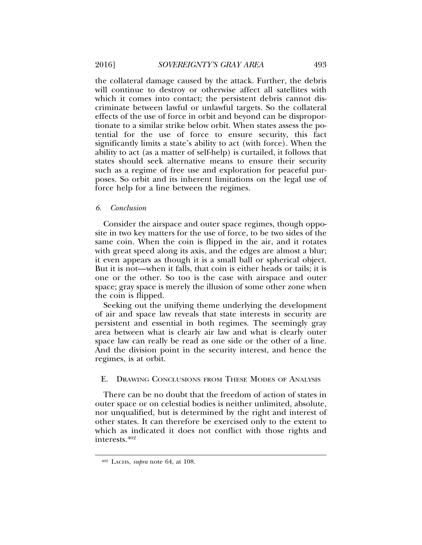the collateral damage caused by the attack. Further, the debris will continue to destroy or otherwise affect all satellites with which it comes into contact; the persistent debris cannot discriminate between lawful or unlawful targets. So the collateral effects of the use of force in orbit and beyond can be disproportionate to a similar strike below orbit. When states assess the potential for the use of force to ensure security, this fact significantly limits a state's ability to act (with force). When the ability to act (as a matter of self-help) is curtailed, it follows that states should seek alternative means to ensure their security such as a regime of free use and exploration for peaceful purposes. So orbit and its inherent limitations on the legal use of force help for a line between the regimes.

# *6. Conclusion*

Consider the airspace and outer space regimes, though opposite in two key matters for the use of force, to be two sides of the same coin. When the coin is flipped in the air, and it rotates with great speed along its axis, and the edges are almost a blur; it even appears as though it is a small ball or spherical object. But it is not—when it falls, that coin is either heads or tails; it is one or the other. So too is the case with airspace and outer space; gray space is merely the illusion of some other zone when the coin is flipped.

Seeking out the unifying theme underlying the development of air and space law reveals that state interests in security are persistent and essential in both regimes. The seemingly gray area between what is clearly air law and what is clearly outer space law can really be read as one side or the other of a line. And the division point in the security interest, and hence the regimes, is at orbit.

# E. DRAWING CONCLUSIONS FROM THESE MODES OF ANALYSIS

There can be no doubt that the freedom of action of states in outer space or on celestial bodies is neither unlimited, absolute, nor unqualified, but is determined by the right and interest of other states. It can therefore be exercised only to the extent to which as indicated it does not conflict with those rights and interests.402

<sup>402</sup> LACHS, *supra* note 64, at 108.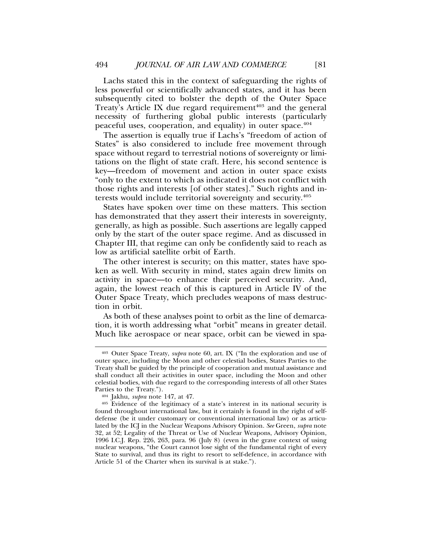Lachs stated this in the context of safeguarding the rights of less powerful or scientifically advanced states, and it has been subsequently cited to bolster the depth of the Outer Space Treaty's Article IX due regard requirement<sup>403</sup> and the general necessity of furthering global public interests (particularly peaceful uses, cooperation, and equality) in outer space.404

The assertion is equally true if Lachs's "freedom of action of States" is also considered to include free movement through space without regard to terrestrial notions of sovereignty or limitations on the flight of state craft. Here, his second sentence is key—freedom of movement and action in outer space exists "only to the extent to which as indicated it does not conflict with those rights and interests [of other states]." Such rights and interests would include territorial sovereignty and security.405

States have spoken over time on these matters. This section has demonstrated that they assert their interests in sovereignty, generally, as high as possible. Such assertions are legally capped only by the start of the outer space regime. And as discussed in Chapter III, that regime can only be confidently said to reach as low as artificial satellite orbit of Earth.

The other interest is security; on this matter, states have spoken as well. With security in mind, states again drew limits on activity in space—to enhance their perceived security. And, again, the lowest reach of this is captured in Article IV of the Outer Space Treaty, which precludes weapons of mass destruction in orbit.

As both of these analyses point to orbit as the line of demarcation, it is worth addressing what "orbit" means in greater detail. Much like aerospace or near space, orbit can be viewed in spa-

<sup>403</sup> Outer Space Treaty, *supra* note 60, art. IX ("In the exploration and use of outer space, including the Moon and other celestial bodies, States Parties to the Treaty shall be guided by the principle of cooperation and mutual assistance and shall conduct all their activities in outer space, including the Moon and other celestial bodies, with due regard to the corresponding interests of all other States Parties to the Treaty.").

<sup>404</sup> Jakhu, *supra* note 147, at 47.

<sup>&</sup>lt;sup>405</sup> Evidence of the legitimacy of a state's interest in its national security is found throughout international law, but it certainly is found in the right of selfdefense (be it under customary or conventional international law) or as articulated by the ICJ in the Nuclear Weapons Advisory Opinion. *See* Green, *supra* note 32, at 52; Legality of the Threat or Use of Nuclear Weapons, Advisory Opinion, 1996 I.C.J. Rep. 226, 263, para. 96 (July 8) (even in the grave context of using nuclear weapons, "the Court cannot lose sight of the fundamental right of every State to survival, and thus its right to resort to self-defence, in accordance with Article 51 of the Charter when its survival is at stake.").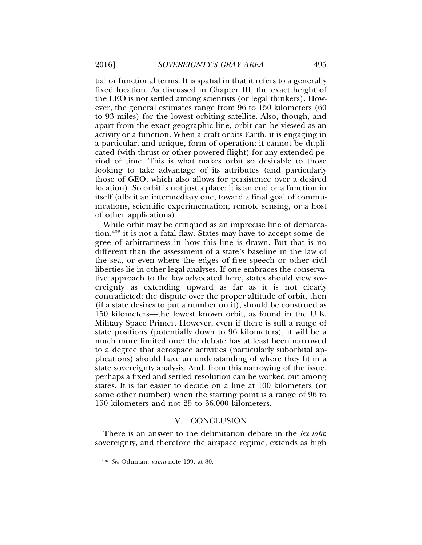tial or functional terms. It is spatial in that it refers to a generally fixed location. As discussed in Chapter III, the exact height of the LEO is not settled among scientists (or legal thinkers). However, the general estimates range from 96 to 150 kilometers (60 to 93 miles) for the lowest orbiting satellite. Also, though, and apart from the exact geographic line, orbit can be viewed as an activity or a function. When a craft orbits Earth, it is engaging in a particular, and unique, form of operation; it cannot be duplicated (with thrust or other powered flight) for any extended period of time. This is what makes orbit so desirable to those looking to take advantage of its attributes (and particularly those of GEO, which also allows for persistence over a desired location). So orbit is not just a place; it is an end or a function in itself (albeit an intermediary one, toward a final goal of communications, scientific experimentation, remote sensing, or a host of other applications).

While orbit may be critiqued as an imprecise line of demarcation,<sup>406</sup> it is not a fatal flaw. States may have to accept some degree of arbitrariness in how this line is drawn. But that is no different than the assessment of a state's baseline in the law of the sea, or even where the edges of free speech or other civil liberties lie in other legal analyses. If one embraces the conservative approach to the law advocated here, states should view sovereignty as extending upward as far as it is not clearly contradicted; the dispute over the proper altitude of orbit, then (if a state desires to put a number on it), should be construed as 150 kilometers—the lowest known orbit, as found in the U.K. Military Space Primer. However, even if there is still a range of state positions (potentially down to 96 kilometers), it will be a much more limited one; the debate has at least been narrowed to a degree that aerospace activities (particularly suborbital applications) should have an understanding of where they fit in a state sovereignty analysis. And, from this narrowing of the issue, perhaps a fixed and settled resolution can be worked out among states. It is far easier to decide on a line at 100 kilometers (or some other number) when the starting point is a range of 96 to 150 kilometers and not 25 to 36,000 kilometers.

## V. CONCLUSION

There is an answer to the delimitation debate in the *lex lata*: sovereignty, and therefore the airspace regime, extends as high

<sup>406</sup> *See* Oduntan, *supra* note 139, at 80.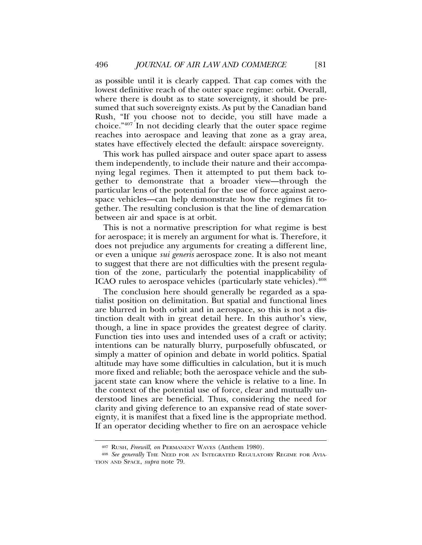as possible until it is clearly capped. That cap comes with the lowest definitive reach of the outer space regime: orbit. Overall, where there is doubt as to state sovereignty, it should be presumed that such sovereignty exists. As put by the Canadian band Rush, "If you choose not to decide, you still have made a choice."407 In not deciding clearly that the outer space regime reaches into aerospace and leaving that zone as a gray area, states have effectively elected the default: airspace sovereignty.

This work has pulled airspace and outer space apart to assess them independently, to include their nature and their accompanying legal regimes. Then it attempted to put them back together to demonstrate that a broader view—through the particular lens of the potential for the use of force against aerospace vehicles—can help demonstrate how the regimes fit together. The resulting conclusion is that the line of demarcation between air and space is at orbit.

This is not a normative prescription for what regime is best for aerospace; it is merely an argument for what is. Therefore, it does not prejudice any arguments for creating a different line, or even a unique *sui generis* aerospace zone. It is also not meant to suggest that there are not difficulties with the present regulation of the zone, particularly the potential inapplicability of ICAO rules to aerospace vehicles (particularly state vehicles).408

The conclusion here should generally be regarded as a spatialist position on delimitation. But spatial and functional lines are blurred in both orbit and in aerospace, so this is not a distinction dealt with in great detail here. In this author's view, though, a line in space provides the greatest degree of clarity. Function ties into uses and intended uses of a craft or activity; intentions can be naturally blurry, purposefully obfuscated, or simply a matter of opinion and debate in world politics. Spatial altitude may have some difficulties in calculation, but it is much more fixed and reliable; both the aerospace vehicle and the subjacent state can know where the vehicle is relative to a line. In the context of the potential use of force, clear and mutually understood lines are beneficial. Thus, considering the need for clarity and giving deference to an expansive read of state sovereignty, it is manifest that a fixed line is the appropriate method. If an operator deciding whether to fire on an aerospace vehicle

<sup>407</sup> RUSH, *Freewill*, *on* PERMANENT WAVES (Anthem 1980).

<sup>408</sup> *See generally* THE NEED FOR AN INTEGRATED REGULATORY REGIME FOR AVIA-TION AND SPACE, *supra* note 79.